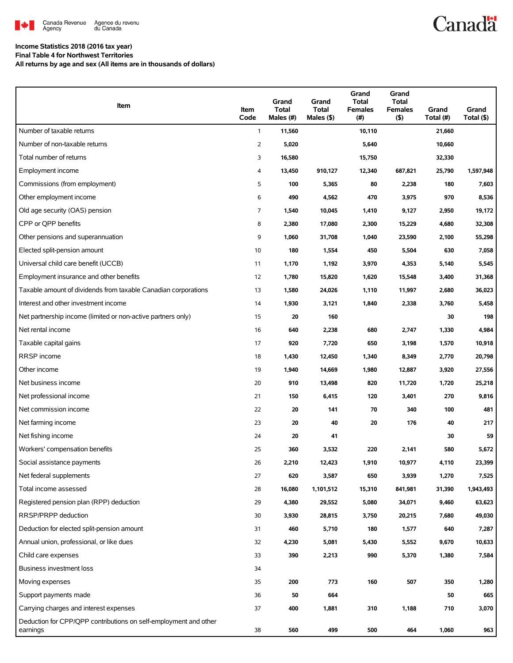

# **Canadä**

## **Income Statistics 2018 (2016 tax year)**

**Final Table 4 for Northwest Territories All returns by age and sex (All items are in thousands of dollars)**

| Item                                                                         | Item<br>Code   | Grand<br>Total<br>Males (#) | Grand<br>Total<br>Males (\$) | Grand<br>Total<br><b>Females</b><br>(#) | Grand<br>Total<br><b>Females</b><br>$($ \$) | Grand<br>Total (#) | Grand<br>Total (\$) |
|------------------------------------------------------------------------------|----------------|-----------------------------|------------------------------|-----------------------------------------|---------------------------------------------|--------------------|---------------------|
| Number of taxable returns                                                    | $\mathbf{1}$   | 11,560                      |                              | 10,110                                  |                                             | 21,660             |                     |
| Number of non-taxable returns                                                | $\overline{2}$ | 5,020                       |                              | 5,640                                   |                                             | 10,660             |                     |
| Total number of returns                                                      | 3              | 16,580                      |                              | 15,750                                  |                                             | 32,330             |                     |
| Employment income                                                            | 4              | 13,450                      | 910,127                      | 12,340                                  | 687,821                                     | 25,790             | 1,597,948           |
| Commissions (from employment)                                                | 5              | 100                         | 5,365                        | 80                                      | 2,238                                       | 180                | 7,603               |
| Other employment income                                                      | 6              | 490                         | 4,562                        | 470                                     | 3,975                                       | 970                | 8,536               |
| Old age security (OAS) pension                                               | $\overline{7}$ | 1,540                       | 10,045                       | 1,410                                   | 9,127                                       | 2,950              | 19,172              |
| CPP or OPP benefits                                                          | 8              | 2,380                       | 17,080                       | 2,300                                   | 15,229                                      | 4,680              | 32,308              |
| Other pensions and superannuation                                            | 9              | 1,060                       | 31,708                       | 1,040                                   | 23,590                                      | 2,100              | 55,298              |
| Elected split-pension amount                                                 | 10             | 180                         | 1,554                        | 450                                     | 5,504                                       | 630                | 7,058               |
| Universal child care benefit (UCCB)                                          | 11             | 1,170                       | 1,192                        | 3,970                                   | 4,353                                       | 5,140              | 5,545               |
| Employment insurance and other benefits                                      | 12             | 1,780                       | 15,820                       | 1,620                                   | 15,548                                      | 3,400              | 31,368              |
| Taxable amount of dividends from taxable Canadian corporations               | 13             | 1,580                       | 24,026                       | 1,110                                   | 11,997                                      | 2,680              | 36,023              |
| Interest and other investment income                                         | 14             | 1,930                       | 3,121                        | 1,840                                   | 2,338                                       | 3,760              | 5,458               |
| Net partnership income (limited or non-active partners only)                 | 15             | 20                          | 160                          |                                         |                                             | 30                 | 198                 |
| Net rental income                                                            | 16             | 640                         | 2,238                        | 680                                     | 2,747                                       | 1,330              | 4,984               |
| Taxable capital gains                                                        | 17             | 920                         | 7,720                        | 650                                     | 3,198                                       | 1,570              | 10,918              |
| RRSP income                                                                  | 18             | 1,430                       | 12,450                       | 1,340                                   | 8,349                                       | 2,770              | 20,798              |
| Other income                                                                 | 19             | 1,940                       | 14,669                       | 1,980                                   | 12,887                                      | 3,920              | 27,556              |
| Net business income                                                          | 20             | 910                         | 13,498                       | 820                                     | 11,720                                      | 1,720              | 25,218              |
| Net professional income                                                      | 21             | 150                         | 6,415                        | 120                                     | 3,401                                       | 270                | 9,816               |
| Net commission income                                                        | 22             | 20                          | 141                          | 70                                      | 340                                         | 100                | 481                 |
| Net farming income                                                           | 23             | 20                          | 40                           | 20                                      | 176                                         | 40                 | 217                 |
| Net fishing income                                                           | 24             | 20                          | 41                           |                                         |                                             | 30                 | 59                  |
| Workers' compensation benefits                                               | 25             | 360                         | 3,532                        | 220                                     | 2,141                                       | 580                | 5,672               |
| Social assistance payments                                                   | 26             | 2,210                       | 12,423                       | 1,910                                   | 10,977                                      | 4,110              | 23,399              |
| Net federal supplements                                                      | 27             | 620                         | 3,587                        | 650                                     | 3,939                                       | 1,270              | 7,525               |
| Total income assessed                                                        | 28             | 16,080                      | 1,101,512                    | 15,310                                  | 841,981                                     | 31,390             | 1,943,493           |
| Registered pension plan (RPP) deduction                                      | 29             | 4,380                       | 29,552                       | 5,080                                   | 34,071                                      | 9,460              | 63,623              |
| RRSP/PRPP deduction                                                          | 30             | 3,930                       | 28,815                       | 3,750                                   | 20,215                                      | 7,680              | 49,030              |
| Deduction for elected split-pension amount                                   | 31             | 460                         | 5,710                        | 180                                     | 1,577                                       | 640                | 7,287               |
| Annual union, professional, or like dues                                     | 32             | 4,230                       | 5,081                        | 5,430                                   | 5,552                                       | 9,670              | 10,633              |
| Child care expenses                                                          | 33             | 390                         | 2,213                        | 990                                     | 5,370                                       | 1,380              | 7,584               |
| Business investment loss                                                     | 34             |                             |                              |                                         |                                             |                    |                     |
| Moving expenses                                                              | 35             | 200                         | 773                          | 160                                     | 507                                         | 350                | 1,280               |
| Support payments made                                                        | 36             | 50                          | 664                          |                                         |                                             | 50                 | 665                 |
| Carrying charges and interest expenses                                       | 37             | 400                         | 1,881                        | 310                                     | 1,188                                       | 710                | 3,070               |
| Deduction for CPP/QPP contributions on self-employment and other<br>earnings | 38             | 560                         | 499                          | 500                                     | 464                                         | 1,060              | 963                 |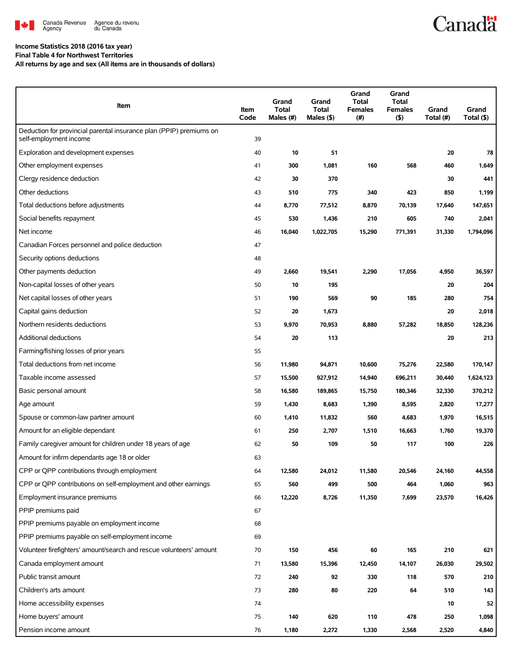

## **Income Statistics 2018 (2016 tax year) Final Table 4 for Northwest Territories**

**All returns by age and sex (All items are in thousands of dollars)**

| Item                                                                                          | Item<br>Code | Grand<br><b>Total</b><br>Males (#) | Grand<br><b>Total</b><br>Males (\$) | Grand<br>Total<br><b>Females</b><br>(# ) | Grand<br><b>Total</b><br><b>Females</b><br>$($ \$) | Grand<br>Total (#) | Grand<br>Total (\$) |
|-----------------------------------------------------------------------------------------------|--------------|------------------------------------|-------------------------------------|------------------------------------------|----------------------------------------------------|--------------------|---------------------|
| Deduction for provincial parental insurance plan (PPIP) premiums on<br>self-employment income | 39           |                                    |                                     |                                          |                                                    |                    |                     |
| Exploration and development expenses                                                          | 40           | 10                                 | 51                                  |                                          |                                                    | 20                 | 78                  |
| Other employment expenses                                                                     | 41           | 300                                | 1,081                               | 160                                      | 568                                                | 460                | 1,649               |
| Clergy residence deduction                                                                    | 42           | 30                                 | 370                                 |                                          |                                                    | 30                 | 441                 |
| Other deductions                                                                              | 43           | 510                                | 775                                 | 340                                      | 423                                                | 850                | 1,199               |
| Total deductions before adjustments                                                           | 44           | 8,770                              | 77,512                              | 8,870                                    | 70,139                                             | 17,640             | 147,651             |
| Social benefits repayment                                                                     | 45           | 530                                | 1,436                               | 210                                      | 605                                                | 740                | 2,041               |
| Net income                                                                                    | 46           | 16,040                             | 1,022,705                           | 15,290                                   | 771,391                                            | 31,330             | 1,794,096           |
| Canadian Forces personnel and police deduction                                                | 47           |                                    |                                     |                                          |                                                    |                    |                     |
| Security options deductions                                                                   | 48           |                                    |                                     |                                          |                                                    |                    |                     |
| Other payments deduction                                                                      | 49           | 2,660                              | 19,541                              | 2,290                                    | 17,056                                             | 4,950              | 36,597              |
| Non-capital losses of other years                                                             | 50           | 10                                 | 195                                 |                                          |                                                    | 20                 | 204                 |
| Net capital losses of other years                                                             | 51           | 190                                | 569                                 | 90                                       | 185                                                | 280                | 754                 |
| Capital gains deduction                                                                       | 52           | 20                                 | 1,673                               |                                          |                                                    | 20                 | 2,018               |
| Northern residents deductions                                                                 | 53           | 9,970                              | 70,953                              | 8,880                                    | 57,282                                             | 18,850             | 128,236             |
| Additional deductions                                                                         | 54           | 20                                 | 113                                 |                                          |                                                    | 20                 | 213                 |
| Farming/fishing losses of prior years                                                         | 55           |                                    |                                     |                                          |                                                    |                    |                     |
| Total deductions from net income                                                              | 56           | 11,980                             | 94,871                              | 10,600                                   | 75,276                                             | 22,580             | 170,147             |
| Taxable income assessed                                                                       | 57           | 15,500                             | 927,912                             | 14,940                                   | 696,211                                            | 30,440             | 1,624,123           |
| Basic personal amount                                                                         | 58           | 16,580                             | 189,865                             | 15,750                                   | 180,346                                            | 32,330             | 370,212             |
| Age amount                                                                                    | 59           | 1,430                              | 8,683                               | 1,390                                    | 8,595                                              | 2,820              | 17,277              |
| Spouse or common-law partner amount                                                           | 60           | 1,410                              | 11,832                              | 560                                      | 4,683                                              | 1,970              | 16,515              |
| Amount for an eligible dependant                                                              | 61           | 250                                | 2,707                               | 1,510                                    | 16,663                                             | 1,760              | 19,370              |
| Family caregiver amount for children under 18 years of age                                    | 62           | 50                                 | 109                                 | 50                                       | 117                                                | 100                | 226                 |
| Amount for infirm dependants age 18 or older                                                  | 63           |                                    |                                     |                                          |                                                    |                    |                     |
| CPP or QPP contributions through employment                                                   | 64           | 12,580                             | 24,012                              | 11,580                                   | 20,546                                             | 24,160             | 44,558              |
| CPP or QPP contributions on self-employment and other earnings                                | 65           | 560                                | 499                                 | 500                                      | 464                                                | 1,060              | 963                 |
| Employment insurance premiums                                                                 | 66           | 12,220                             | 8,726                               | 11,350                                   | 7,699                                              | 23,570             | 16,426              |
| PPIP premiums paid                                                                            | 67           |                                    |                                     |                                          |                                                    |                    |                     |
| PPIP premiums payable on employment income                                                    | 68           |                                    |                                     |                                          |                                                    |                    |                     |
| PPIP premiums payable on self-employment income                                               | 69           |                                    |                                     |                                          |                                                    |                    |                     |
| Volunteer firefighters' amount/search and rescue volunteers' amount                           | 70           | 150                                | 456                                 | 60                                       | 165                                                | 210                | 621                 |
| Canada employment amount                                                                      | 71           | 13,580                             | 15,396                              | 12,450                                   | 14,107                                             | 26,030             | 29,502              |
| Public transit amount                                                                         | 72           | 240                                | 92                                  | 330                                      | 118                                                | 570                | 210                 |
| Children's arts amount                                                                        | 73           | 280                                | 80                                  | 220                                      | 64                                                 | 510                | 143                 |
| Home accessibility expenses                                                                   | 74           |                                    |                                     |                                          |                                                    | 10                 | 52                  |
| Home buyers' amount                                                                           | 75           | 140                                | 620                                 | 110                                      | 478                                                | 250                | 1,098               |
| Pension income amount                                                                         | 76           | 1,180                              | 2,272                               | 1,330                                    | 2,568                                              | 2,520              | 4,840               |

## **Canadä**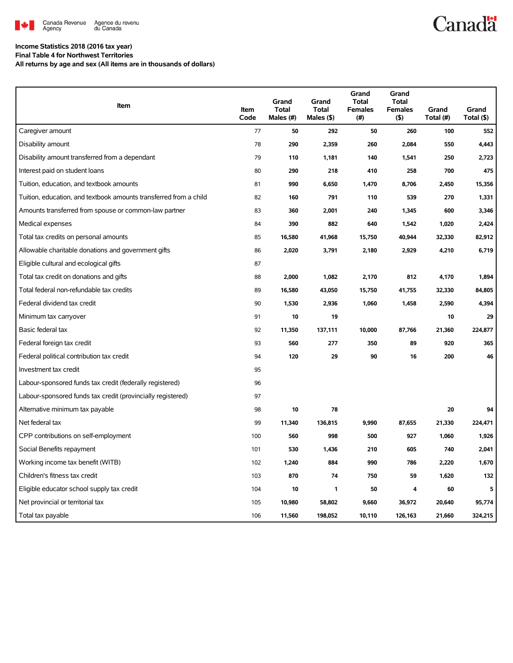

# **Canadä**

## **Income Statistics 2018 (2016 tax year) Final Table 4 for Northwest Territories**

**All returns by age and sex (All items are in thousands of dollars)**

| Item                                                              | Item<br>Code | Grand<br>Total<br>Males (#) | Grand<br><b>Total</b><br>Males (\$) | Grand<br><b>Total</b><br><b>Females</b><br>(#) | Grand<br><b>Total</b><br><b>Females</b><br>(5) | Grand<br>Total (#) | Grand<br>Total (\$) |
|-------------------------------------------------------------------|--------------|-----------------------------|-------------------------------------|------------------------------------------------|------------------------------------------------|--------------------|---------------------|
| Caregiver amount                                                  | 77           | 50                          | 292                                 | 50                                             | 260                                            | 100                | 552                 |
| Disability amount                                                 | 78           | 290                         | 2,359                               | 260                                            | 2,084                                          | 550                | 4,443               |
| Disability amount transferred from a dependant                    | 79           | 110                         | 1,181                               | 140                                            | 1,541                                          | 250                | 2,723               |
| Interest paid on student loans                                    | 80           | 290                         | 218                                 | 410                                            | 258                                            | 700                | 475                 |
| Tuition, education, and textbook amounts                          | 81           | 990                         | 6,650                               | 1,470                                          | 8,706                                          | 2,450              | 15,356              |
| Tuition, education, and textbook amounts transferred from a child | 82           | 160                         | 791                                 | 110                                            | 539                                            | 270                | 1,331               |
| Amounts transferred from spouse or common-law partner             | 83           | 360                         | 2,001                               | 240                                            | 1,345                                          | 600                | 3,346               |
| Medical expenses                                                  | 84           | 390                         | 882                                 | 640                                            | 1,542                                          | 1,020              | 2,424               |
| Total tax credits on personal amounts                             | 85           | 16,580                      | 41,968                              | 15,750                                         | 40,944                                         | 32,330             | 82,912              |
| Allowable charitable donations and government gifts               | 86           | 2,020                       | 3,791                               | 2,180                                          | 2,929                                          | 4,210              | 6,719               |
| Eligible cultural and ecological gifts                            | 87           |                             |                                     |                                                |                                                |                    |                     |
| Total tax credit on donations and gifts                           | 88           | 2,000                       | 1,082                               | 2,170                                          | 812                                            | 4,170              | 1,894               |
| Total federal non-refundable tax credits                          | 89           | 16,580                      | 43,050                              | 15,750                                         | 41,755                                         | 32,330             | 84,805              |
| Federal dividend tax credit                                       | 90           | 1,530                       | 2,936                               | 1,060                                          | 1,458                                          | 2,590              | 4,394               |
| Minimum tax carryover                                             | 91           | 10                          | 19                                  |                                                |                                                | 10                 | 29                  |
| Basic federal tax                                                 | 92           | 11,350                      | 137,111                             | 10,000                                         | 87,766                                         | 21,360             | 224,877             |
| Federal foreign tax credit                                        | 93           | 560                         | 277                                 | 350                                            | 89                                             | 920                | 365                 |
| Federal political contribution tax credit                         | 94           | 120                         | 29                                  | 90                                             | 16                                             | 200                | 46                  |
| Investment tax credit                                             | 95           |                             |                                     |                                                |                                                |                    |                     |
| Labour-sponsored funds tax credit (federally registered)          | 96           |                             |                                     |                                                |                                                |                    |                     |
| Labour-sponsored funds tax credit (provincially registered)       | 97           |                             |                                     |                                                |                                                |                    |                     |
| Alternative minimum tax payable                                   | 98           | 10                          | 78                                  |                                                |                                                | 20                 | 94                  |
| Net federal tax                                                   | 99           | 11,340                      | 136,815                             | 9,990                                          | 87,655                                         | 21,330             | 224,471             |
| CPP contributions on self-employment                              | 100          | 560                         | 998                                 | 500                                            | 927                                            | 1,060              | 1,926               |
| Social Benefits repayment                                         | 101          | 530                         | 1,436                               | 210                                            | 605                                            | 740                | 2,041               |
| Working income tax benefit (WITB)                                 | 102          | 1,240                       | 884                                 | 990                                            | 786                                            | 2,220              | 1,670               |
| Children's fitness tax credit                                     | 103          | 870                         | 74                                  | 750                                            | 59                                             | 1,620              | 132                 |
| Eligible educator school supply tax credit                        | 104          | 10                          | 1                                   | 50                                             | 4                                              | 60                 | 5                   |
| Net provincial or territorial tax                                 | 105          | 10,980                      | 58,802                              | 9,660                                          | 36,972                                         | 20,640             | 95.774              |
| Total tax payable                                                 | 106          | 11.560                      | 198,052                             | 10.110                                         | 126.163                                        | 21.660             | 324,215             |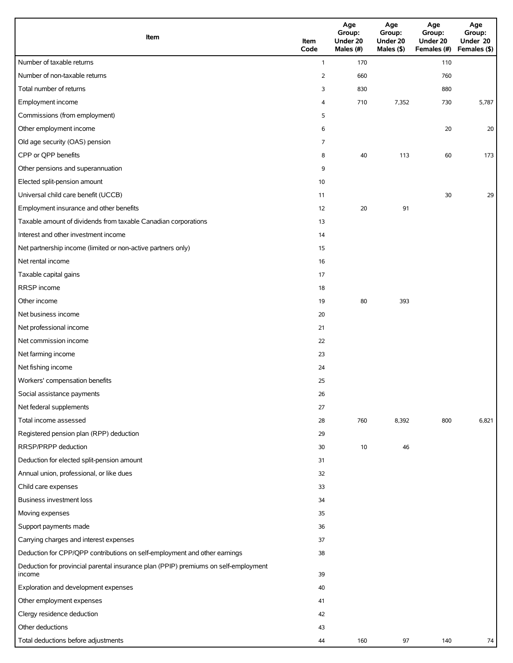| Item                                                                                          | Item<br>Code   | Age<br>Group:<br>Under 20<br>Males (#) | Age<br>Group:<br>Under 20<br>Males (\$) | Age<br>Group:<br>Under 20<br>Females (#) | Age<br>Group:<br>Under 20<br>Females (\$) |
|-----------------------------------------------------------------------------------------------|----------------|----------------------------------------|-----------------------------------------|------------------------------------------|-------------------------------------------|
| Number of taxable returns                                                                     | $\mathbf{1}$   | 170                                    |                                         | 110                                      |                                           |
| Number of non-taxable returns                                                                 | $\overline{2}$ | 660                                    |                                         | 760                                      |                                           |
| Total number of returns                                                                       | 3              | 830                                    |                                         | 880                                      |                                           |
| Employment income                                                                             | 4              | 710                                    | 7,352                                   | 730                                      | 5,787                                     |
| Commissions (from employment)                                                                 | 5              |                                        |                                         |                                          |                                           |
| Other employment income                                                                       | 6              |                                        |                                         | 20                                       | 20                                        |
| Old age security (OAS) pension                                                                | $\overline{7}$ |                                        |                                         |                                          |                                           |
| CPP or QPP benefits                                                                           | 8              | 40                                     | 113                                     | 60                                       | 173                                       |
| Other pensions and superannuation                                                             | 9              |                                        |                                         |                                          |                                           |
| Elected split-pension amount                                                                  | 10             |                                        |                                         |                                          |                                           |
| Universal child care benefit (UCCB)                                                           | 11             |                                        |                                         | 30                                       | 29                                        |
| Employment insurance and other benefits                                                       | 12             | 20                                     | 91                                      |                                          |                                           |
| Taxable amount of dividends from taxable Canadian corporations                                | 13             |                                        |                                         |                                          |                                           |
| Interest and other investment income                                                          | 14             |                                        |                                         |                                          |                                           |
| Net partnership income (limited or non-active partners only)                                  | 15             |                                        |                                         |                                          |                                           |
| Net rental income                                                                             | 16             |                                        |                                         |                                          |                                           |
| Taxable capital gains                                                                         | 17             |                                        |                                         |                                          |                                           |
| RRSP income                                                                                   | 18             |                                        |                                         |                                          |                                           |
| Other income                                                                                  | 19             | 80                                     | 393                                     |                                          |                                           |
| Net business income                                                                           | 20             |                                        |                                         |                                          |                                           |
| Net professional income                                                                       | 21             |                                        |                                         |                                          |                                           |
| Net commission income                                                                         | 22             |                                        |                                         |                                          |                                           |
| Net farming income                                                                            | 23             |                                        |                                         |                                          |                                           |
| Net fishing income                                                                            | 24             |                                        |                                         |                                          |                                           |
| Workers' compensation benefits                                                                | 25             |                                        |                                         |                                          |                                           |
| Social assistance payments                                                                    | 26             |                                        |                                         |                                          |                                           |
| Net federal supplements                                                                       | 27             |                                        |                                         |                                          |                                           |
| Total income assessed                                                                         | 28             | 760                                    | 8,392                                   | 800                                      | 6,821                                     |
| Registered pension plan (RPP) deduction                                                       | 29             |                                        |                                         |                                          |                                           |
| RRSP/PRPP deduction                                                                           | 30             | 10                                     | 46                                      |                                          |                                           |
| Deduction for elected split-pension amount                                                    | 31             |                                        |                                         |                                          |                                           |
| Annual union, professional, or like dues                                                      | 32             |                                        |                                         |                                          |                                           |
| Child care expenses                                                                           | 33             |                                        |                                         |                                          |                                           |
| Business investment loss                                                                      | 34             |                                        |                                         |                                          |                                           |
| Moving expenses                                                                               | 35             |                                        |                                         |                                          |                                           |
| Support payments made                                                                         | 36             |                                        |                                         |                                          |                                           |
| Carrying charges and interest expenses                                                        | 37             |                                        |                                         |                                          |                                           |
| Deduction for CPP/QPP contributions on self-employment and other earnings                     | 38             |                                        |                                         |                                          |                                           |
| Deduction for provincial parental insurance plan (PPIP) premiums on self-employment<br>income | 39             |                                        |                                         |                                          |                                           |
| Exploration and development expenses                                                          | 40             |                                        |                                         |                                          |                                           |
| Other employment expenses                                                                     | 41             |                                        |                                         |                                          |                                           |
| Clergy residence deduction                                                                    | 42             |                                        |                                         |                                          |                                           |
| Other deductions                                                                              | 43             |                                        |                                         |                                          |                                           |
| Total deductions before adjustments                                                           | 44             | 160                                    | 97                                      | 140                                      | 74                                        |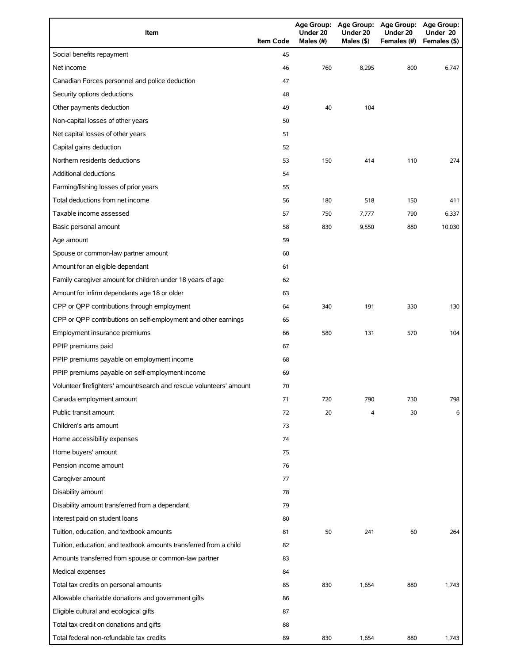| Item                                                                | <b>Item Code</b> | Under 20<br>Males (#) | Under 20<br>Males (\$) | Age Group: Age Group: Age Group: Age Group:<br>Under 20<br>Females (#) | Under 20<br>Females (\$) |
|---------------------------------------------------------------------|------------------|-----------------------|------------------------|------------------------------------------------------------------------|--------------------------|
| Social benefits repayment                                           | 45               |                       |                        |                                                                        |                          |
| Net income                                                          | 46               | 760                   | 8,295                  | 800                                                                    | 6,747                    |
| Canadian Forces personnel and police deduction                      | 47               |                       |                        |                                                                        |                          |
| Security options deductions                                         | 48               |                       |                        |                                                                        |                          |
| Other payments deduction                                            | 49               | 40                    | 104                    |                                                                        |                          |
| Non-capital losses of other years                                   | 50               |                       |                        |                                                                        |                          |
| Net capital losses of other years                                   | 51               |                       |                        |                                                                        |                          |
| Capital gains deduction                                             | 52               |                       |                        |                                                                        |                          |
| Northern residents deductions                                       | 53               | 150                   | 414                    | 110                                                                    | 274                      |
| <b>Additional deductions</b>                                        | 54               |                       |                        |                                                                        |                          |
| Farming/fishing losses of prior years                               | 55               |                       |                        |                                                                        |                          |
| Total deductions from net income                                    | 56               | 180                   | 518                    | 150                                                                    | 411                      |
| Taxable income assessed                                             | 57               | 750                   | 7,777                  | 790                                                                    | 6,337                    |
| Basic personal amount                                               | 58               | 830                   | 9,550                  | 880                                                                    | 10,030                   |
| Age amount                                                          | 59               |                       |                        |                                                                        |                          |
| Spouse or common-law partner amount                                 | 60               |                       |                        |                                                                        |                          |
| Amount for an eligible dependant                                    | 61               |                       |                        |                                                                        |                          |
| Family caregiver amount for children under 18 years of age          | 62               |                       |                        |                                                                        |                          |
| Amount for infirm dependants age 18 or older                        | 63               |                       |                        |                                                                        |                          |
| CPP or QPP contributions through employment                         | 64               | 340                   | 191                    | 330                                                                    | 130                      |
| CPP or QPP contributions on self-employment and other earnings      | 65               |                       |                        |                                                                        |                          |
| Employment insurance premiums                                       | 66               | 580                   | 131                    | 570                                                                    | 104                      |
| PPIP premiums paid                                                  | 67               |                       |                        |                                                                        |                          |
| PPIP premiums payable on employment income                          | 68               |                       |                        |                                                                        |                          |
| PPIP premiums payable on self-employment income                     | 69               |                       |                        |                                                                        |                          |
| Volunteer firefighters' amount/search and rescue volunteers' amount | 70               |                       |                        |                                                                        |                          |
| Canada employment amount                                            | 71               | 720                   | 790                    | 730                                                                    | 798                      |
| Public transit amount                                               | 72               | 20                    | 4                      | 30                                                                     | 6                        |
| Children's arts amount                                              | 73               |                       |                        |                                                                        |                          |
| Home accessibility expenses                                         | 74               |                       |                        |                                                                        |                          |
| Home buyers' amount                                                 | 75               |                       |                        |                                                                        |                          |
| Pension income amount                                               | 76               |                       |                        |                                                                        |                          |
| Caregiver amount                                                    | 77               |                       |                        |                                                                        |                          |
| Disability amount                                                   | 78               |                       |                        |                                                                        |                          |
| Disability amount transferred from a dependant                      | 79               |                       |                        |                                                                        |                          |
| Interest paid on student loans                                      | 80               |                       |                        |                                                                        |                          |
| Tuition, education, and textbook amounts                            | 81               | 50                    | 241                    | 60                                                                     | 264                      |
| Tuition, education, and textbook amounts transferred from a child   | 82               |                       |                        |                                                                        |                          |
| Amounts transferred from spouse or common-law partner               | 83               |                       |                        |                                                                        |                          |
| Medical expenses                                                    | 84               |                       |                        |                                                                        |                          |
| Total tax credits on personal amounts                               | 85               | 830                   | 1,654                  | 880                                                                    | 1,743                    |
| Allowable charitable donations and government gifts                 | 86               |                       |                        |                                                                        |                          |
| Eligible cultural and ecological gifts                              | 87               |                       |                        |                                                                        |                          |
| Total tax credit on donations and gifts                             | 88               |                       |                        |                                                                        |                          |
| Total federal non-refundable tax credits                            | 89               | 830                   | 1,654                  | 880                                                                    | 1,743                    |
|                                                                     |                  |                       |                        |                                                                        |                          |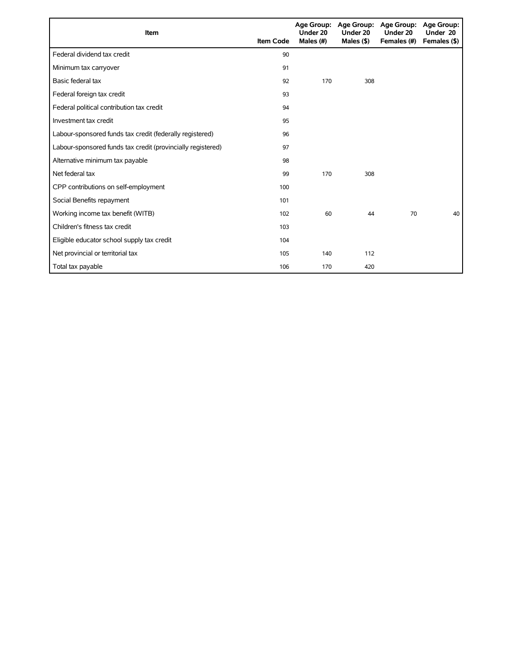| Item                                                        | <b>Item Code</b> | Under 20<br>Males (#) | Age Group: Age Group:<br>Under 20<br>Males $($ \$ $)$ | <b>Age Group:</b><br>Under 20<br>Females (#) | <b>Age Group:</b><br>Under 20<br>Females (\$) |
|-------------------------------------------------------------|------------------|-----------------------|-------------------------------------------------------|----------------------------------------------|-----------------------------------------------|
| Federal dividend tax credit                                 | 90               |                       |                                                       |                                              |                                               |
| Minimum tax carryover                                       | 91               |                       |                                                       |                                              |                                               |
| Basic federal tax                                           | 92               | 170                   | 308                                                   |                                              |                                               |
| Federal foreign tax credit                                  | 93               |                       |                                                       |                                              |                                               |
| Federal political contribution tax credit                   | 94               |                       |                                                       |                                              |                                               |
| Investment tax credit                                       | 95               |                       |                                                       |                                              |                                               |
| Labour-sponsored funds tax credit (federally registered)    | 96               |                       |                                                       |                                              |                                               |
| Labour-sponsored funds tax credit (provincially registered) | 97               |                       |                                                       |                                              |                                               |
| Alternative minimum tax payable                             | 98               |                       |                                                       |                                              |                                               |
| Net federal tax                                             | 99               | 170                   | 308                                                   |                                              |                                               |
| CPP contributions on self-employment                        | 100              |                       |                                                       |                                              |                                               |
| Social Benefits repayment                                   | 101              |                       |                                                       |                                              |                                               |
| Working income tax benefit (WITB)                           | 102              | 60                    | 44                                                    | 70                                           | 40                                            |
| Children's fitness tax credit                               | 103              |                       |                                                       |                                              |                                               |
| Eligible educator school supply tax credit                  | 104              |                       |                                                       |                                              |                                               |
| Net provincial or territorial tax                           | 105              | 140                   | 112                                                   |                                              |                                               |
| Total tax payable                                           | 106              | 170                   | 420                                                   |                                              |                                               |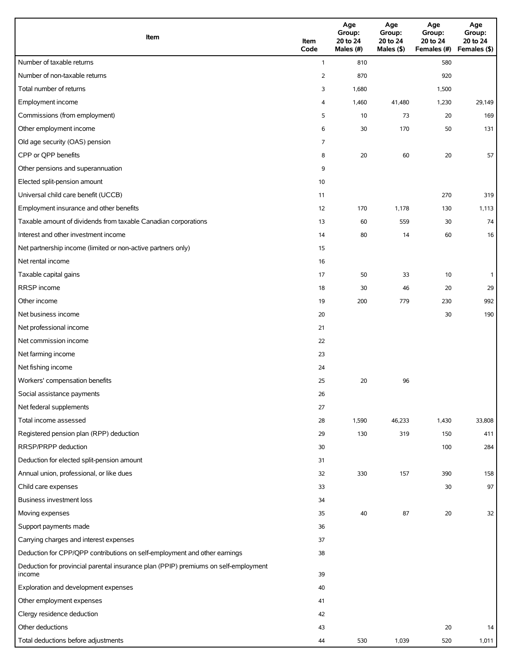| Item                                                                                          | Item<br>Code   | Age<br>Group:<br>20 to 24<br>Males (#) | Age<br>Group:<br>20 to 24<br>Males (\$) | Age<br>Group:<br>20 to 24<br>Females (#) | Age<br>Group:<br>20 to 24<br>Females (\$) |
|-----------------------------------------------------------------------------------------------|----------------|----------------------------------------|-----------------------------------------|------------------------------------------|-------------------------------------------|
| Number of taxable returns                                                                     | $\mathbf{1}$   | 810                                    |                                         | 580                                      |                                           |
| Number of non-taxable returns                                                                 | $\overline{2}$ | 870                                    |                                         | 920                                      |                                           |
| Total number of returns                                                                       | 3              | 1,680                                  |                                         | 1,500                                    |                                           |
| Employment income                                                                             | 4              | 1,460                                  | 41,480                                  | 1,230                                    | 29,149                                    |
| Commissions (from employment)                                                                 | 5              | 10                                     | 73                                      | 20                                       | 169                                       |
| Other employment income                                                                       | 6              | 30                                     | 170                                     | 50                                       | 131                                       |
| Old age security (OAS) pension                                                                | 7              |                                        |                                         |                                          |                                           |
| CPP or QPP benefits                                                                           | 8              | 20                                     | 60                                      | 20                                       | 57                                        |
| Other pensions and superannuation                                                             | 9              |                                        |                                         |                                          |                                           |
| Elected split-pension amount                                                                  | 10             |                                        |                                         |                                          |                                           |
| Universal child care benefit (UCCB)                                                           | 11             |                                        |                                         | 270                                      | 319                                       |
| Employment insurance and other benefits                                                       | 12             | 170                                    | 1,178                                   | 130                                      | 1,113                                     |
| Taxable amount of dividends from taxable Canadian corporations                                | 13             | 60                                     | 559                                     | 30                                       | 74                                        |
| Interest and other investment income                                                          | 14             | 80                                     | 14                                      | 60                                       | 16                                        |
| Net partnership income (limited or non-active partners only)                                  | 15             |                                        |                                         |                                          |                                           |
| Net rental income                                                                             | 16             |                                        |                                         |                                          |                                           |
| Taxable capital gains                                                                         | 17             | 50                                     | 33                                      | 10                                       | $\mathbf{1}$                              |
| RRSP income                                                                                   | 18             | 30                                     | 46                                      | 20                                       | 29                                        |
| Other income                                                                                  | 19             | 200                                    | 779                                     | 230                                      | 992                                       |
| Net business income                                                                           | 20             |                                        |                                         | 30                                       | 190                                       |
| Net professional income                                                                       | 21             |                                        |                                         |                                          |                                           |
| Net commission income                                                                         | 22             |                                        |                                         |                                          |                                           |
| Net farming income                                                                            | 23             |                                        |                                         |                                          |                                           |
| Net fishing income                                                                            | 24             |                                        |                                         |                                          |                                           |
| Workers' compensation benefits                                                                | 25             | 20                                     | 96                                      |                                          |                                           |
| Social assistance payments                                                                    | 26             |                                        |                                         |                                          |                                           |
| Net federal supplements                                                                       | 27             |                                        |                                         |                                          |                                           |
| Total income assessed                                                                         | 28             | 1,590                                  | 46,233                                  | 1,430                                    | 33,808                                    |
| Registered pension plan (RPP) deduction                                                       | 29             | 130                                    | 319                                     | 150                                      | 411                                       |
| RRSP/PRPP deduction                                                                           | 30             |                                        |                                         | 100                                      | 284                                       |
| Deduction for elected split-pension amount                                                    | 31             |                                        |                                         |                                          |                                           |
| Annual union, professional, or like dues                                                      | 32             | 330                                    | 157                                     | 390                                      | 158                                       |
| Child care expenses                                                                           | 33             |                                        |                                         | 30                                       | 97                                        |
| Business investment loss                                                                      | 34             |                                        |                                         |                                          |                                           |
| Moving expenses                                                                               | 35             | 40                                     | 87                                      | 20                                       | 32                                        |
| Support payments made                                                                         | 36             |                                        |                                         |                                          |                                           |
| Carrying charges and interest expenses                                                        | 37             |                                        |                                         |                                          |                                           |
| Deduction for CPP/QPP contributions on self-employment and other earnings                     | 38             |                                        |                                         |                                          |                                           |
| Deduction for provincial parental insurance plan (PPIP) premiums on self-employment<br>income | 39             |                                        |                                         |                                          |                                           |
| Exploration and development expenses                                                          | 40             |                                        |                                         |                                          |                                           |
| Other employment expenses                                                                     | 41             |                                        |                                         |                                          |                                           |
| Clergy residence deduction                                                                    | 42             |                                        |                                         |                                          |                                           |
| Other deductions                                                                              | 43             |                                        |                                         | 20                                       | 14                                        |
| Total deductions before adjustments                                                           | 44             | 530                                    | 1,039                                   | 520                                      | 1,011                                     |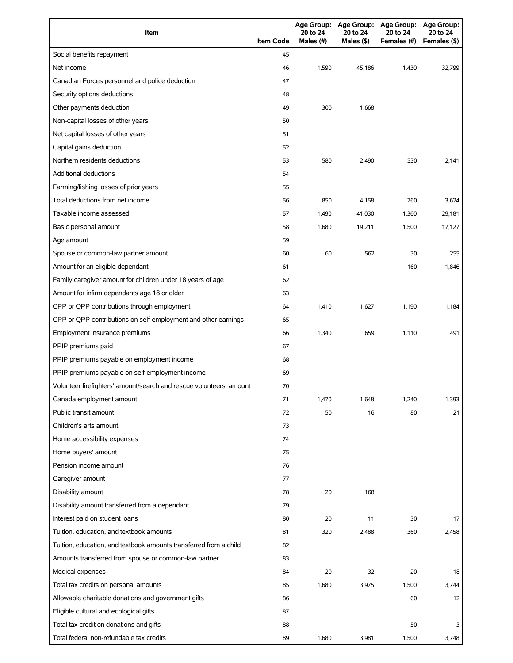| Item                                                                | <b>Item Code</b> | <b>Age Group:</b><br>20 to 24<br>Males (#) | <b>Age Group:</b><br>20 to 24<br>Males (\$) | <b>Age Group:</b><br>20 to 24<br>Females (#) | Age Group:<br>20 to 24<br>Females (\$) |
|---------------------------------------------------------------------|------------------|--------------------------------------------|---------------------------------------------|----------------------------------------------|----------------------------------------|
| Social benefits repayment                                           | 45               |                                            |                                             |                                              |                                        |
| Net income                                                          | 46               | 1,590                                      | 45,186                                      | 1,430                                        | 32,799                                 |
| Canadian Forces personnel and police deduction                      | 47               |                                            |                                             |                                              |                                        |
| Security options deductions                                         | 48               |                                            |                                             |                                              |                                        |
| Other payments deduction                                            | 49               | 300                                        | 1,668                                       |                                              |                                        |
| Non-capital losses of other years                                   | 50               |                                            |                                             |                                              |                                        |
| Net capital losses of other years                                   | 51               |                                            |                                             |                                              |                                        |
| Capital gains deduction                                             | 52               |                                            |                                             |                                              |                                        |
| Northern residents deductions                                       | 53               | 580                                        | 2,490                                       | 530                                          | 2,141                                  |
| <b>Additional deductions</b>                                        | 54               |                                            |                                             |                                              |                                        |
| Farming/fishing losses of prior years                               | 55               |                                            |                                             |                                              |                                        |
| Total deductions from net income                                    | 56               | 850                                        | 4,158                                       | 760                                          | 3,624                                  |
| Taxable income assessed                                             | 57               | 1,490                                      | 41,030                                      | 1,360                                        | 29,181                                 |
| Basic personal amount                                               | 58               | 1,680                                      | 19,211                                      | 1,500                                        | 17,127                                 |
| Age amount                                                          | 59               |                                            |                                             |                                              |                                        |
| Spouse or common-law partner amount                                 | 60               | 60                                         | 562                                         | 30                                           | 255                                    |
| Amount for an eligible dependant                                    | 61               |                                            |                                             | 160                                          | 1,846                                  |
| Family caregiver amount for children under 18 years of age          | 62               |                                            |                                             |                                              |                                        |
| Amount for infirm dependants age 18 or older                        | 63               |                                            |                                             |                                              |                                        |
| CPP or QPP contributions through employment                         | 64               | 1,410                                      | 1,627                                       | 1,190                                        | 1,184                                  |
| CPP or QPP contributions on self-employment and other earnings      | 65               |                                            |                                             |                                              |                                        |
| Employment insurance premiums                                       | 66               | 1,340                                      | 659                                         | 1,110                                        | 491                                    |
| PPIP premiums paid                                                  | 67               |                                            |                                             |                                              |                                        |
| PPIP premiums payable on employment income                          | 68               |                                            |                                             |                                              |                                        |
| PPIP premiums payable on self-employment income                     | 69               |                                            |                                             |                                              |                                        |
| Volunteer firefighters' amount/search and rescue volunteers' amount | 70               |                                            |                                             |                                              |                                        |
| Canada employment amount                                            | 71               | 1,470                                      | 1,648                                       | 1,240                                        | 1,393                                  |
| Public transit amount                                               | 72               | 50                                         | 16                                          | 80                                           | 21                                     |
| Children's arts amount                                              | 73               |                                            |                                             |                                              |                                        |
| Home accessibility expenses                                         | 74               |                                            |                                             |                                              |                                        |
| Home buyers' amount                                                 | 75               |                                            |                                             |                                              |                                        |
| Pension income amount                                               | 76               |                                            |                                             |                                              |                                        |
| Caregiver amount                                                    | 77               |                                            |                                             |                                              |                                        |
| Disability amount                                                   | 78               | 20                                         | 168                                         |                                              |                                        |
| Disability amount transferred from a dependant                      | 79               |                                            |                                             |                                              |                                        |
| Interest paid on student loans                                      | 80               | 20                                         | 11                                          | 30                                           | 17                                     |
| Tuition, education, and textbook amounts                            | 81               | 320                                        | 2,488                                       | 360                                          | 2,458                                  |
| Tuition, education, and textbook amounts transferred from a child   | 82               |                                            |                                             |                                              |                                        |
| Amounts transferred from spouse or common-law partner               | 83               |                                            |                                             |                                              |                                        |
| Medical expenses                                                    | 84               | 20                                         | 32                                          | 20                                           | 18                                     |
| Total tax credits on personal amounts                               | 85               | 1,680                                      | 3,975                                       | 1,500                                        | 3,744                                  |
| Allowable charitable donations and government gifts                 | 86               |                                            |                                             | 60                                           | 12                                     |
| Eligible cultural and ecological gifts                              | 87               |                                            |                                             |                                              |                                        |
| Total tax credit on donations and gifts                             | 88               |                                            |                                             | 50                                           | 3                                      |
| Total federal non-refundable tax credits                            | 89               | 1,680                                      | 3,981                                       | 1,500                                        | 3,748                                  |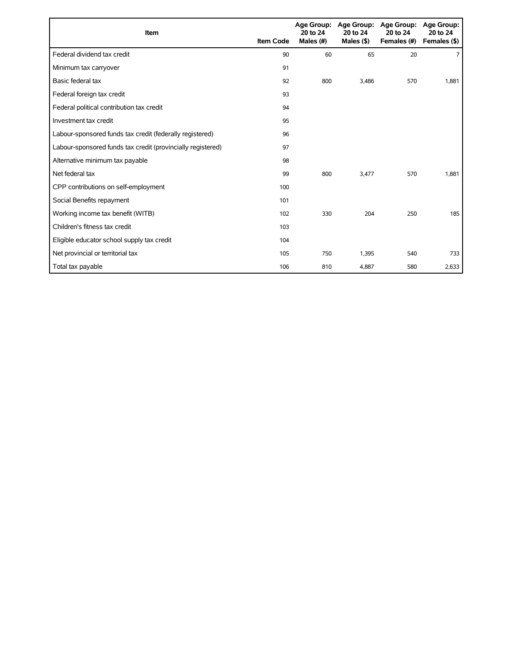| Item                                                        | <b>Item Code</b> | 20 to 24<br>Males (#) | Age Group: Age Group:<br>20 to 24<br>Males $($ \$ $)$ | <b>Age Group:</b><br>20 to 24<br>Females (#) | <b>Age Group:</b><br>20 to 24<br>Females (\$) |
|-------------------------------------------------------------|------------------|-----------------------|-------------------------------------------------------|----------------------------------------------|-----------------------------------------------|
| Federal dividend tax credit                                 | 90               | 60                    | 65                                                    | 20                                           | $\overline{7}$                                |
| Minimum tax carryover                                       | 91               |                       |                                                       |                                              |                                               |
| Basic federal tax                                           | 92               | 800                   | 3,486                                                 | 570                                          | 1,881                                         |
| Federal foreign tax credit                                  | 93               |                       |                                                       |                                              |                                               |
| Federal political contribution tax credit                   | 94               |                       |                                                       |                                              |                                               |
| Investment tax credit                                       | 95               |                       |                                                       |                                              |                                               |
| Labour-sponsored funds tax credit (federally registered)    | 96               |                       |                                                       |                                              |                                               |
| Labour-sponsored funds tax credit (provincially registered) | 97               |                       |                                                       |                                              |                                               |
| Alternative minimum tax payable                             | 98               |                       |                                                       |                                              |                                               |
| Net federal tax                                             | 99               | 800                   | 3.477                                                 | 570                                          | 1,881                                         |
| CPP contributions on self-employment                        | 100              |                       |                                                       |                                              |                                               |
| Social Benefits repayment                                   | 101              |                       |                                                       |                                              |                                               |
| Working income tax benefit (WITB)                           | 102              | 330                   | 204                                                   | 250                                          | 185                                           |
| Children's fitness tax credit                               | 103              |                       |                                                       |                                              |                                               |
| Eligible educator school supply tax credit                  | 104              |                       |                                                       |                                              |                                               |
| Net provincial or territorial tax                           | 105              | 750                   | 1,395                                                 | 540                                          | 733                                           |
| Total tax payable                                           | 106              | 810                   | 4,887                                                 | 580                                          | 2,633                                         |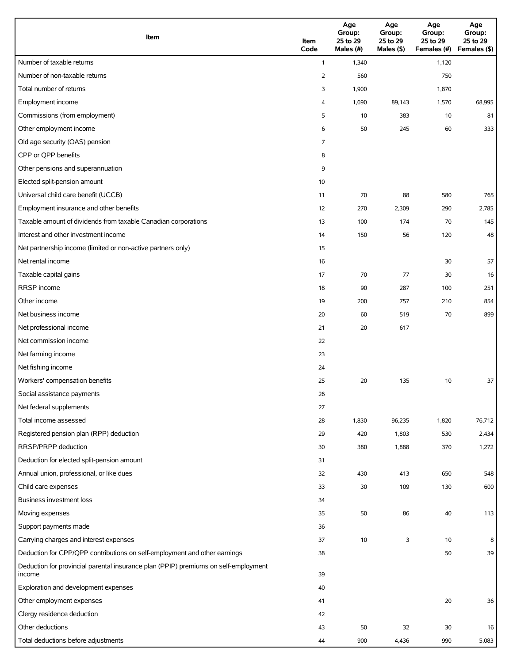| Item                                                                                          | Item<br>Code | Age<br>Group:<br>25 to 29<br>Males (#) | Age<br>Group:<br>25 to 29<br>Males (\$) | Age<br>Group:<br>25 to 29<br>Females (#) | Age<br>Group:<br>25 to 29<br>Females (\$) |
|-----------------------------------------------------------------------------------------------|--------------|----------------------------------------|-----------------------------------------|------------------------------------------|-------------------------------------------|
| Number of taxable returns                                                                     | $\mathbf{1}$ | 1,340                                  |                                         | 1,120                                    |                                           |
| Number of non-taxable returns                                                                 | 2            | 560                                    |                                         | 750                                      |                                           |
| Total number of returns                                                                       | 3            | 1,900                                  |                                         | 1,870                                    |                                           |
| Employment income                                                                             | 4            | 1,690                                  | 89,143                                  | 1,570                                    | 68,995                                    |
| Commissions (from employment)                                                                 | 5            | 10                                     | 383                                     | 10                                       | 81                                        |
| Other employment income                                                                       | 6            | 50                                     | 245                                     | 60                                       | 333                                       |
| Old age security (OAS) pension                                                                | 7            |                                        |                                         |                                          |                                           |
| CPP or QPP benefits                                                                           | 8            |                                        |                                         |                                          |                                           |
| Other pensions and superannuation                                                             | 9            |                                        |                                         |                                          |                                           |
| Elected split-pension amount                                                                  | 10           |                                        |                                         |                                          |                                           |
| Universal child care benefit (UCCB)                                                           | 11           | 70                                     | 88                                      | 580                                      | 765                                       |
| Employment insurance and other benefits                                                       | 12           | 270                                    | 2,309                                   | 290                                      | 2,785                                     |
| Taxable amount of dividends from taxable Canadian corporations                                | 13           | 100                                    | 174                                     | 70                                       | 145                                       |
| Interest and other investment income                                                          | 14           | 150                                    | 56                                      | 120                                      | 48                                        |
| Net partnership income (limited or non-active partners only)                                  | 15           |                                        |                                         |                                          |                                           |
| Net rental income                                                                             | 16           |                                        |                                         | 30                                       | 57                                        |
| Taxable capital gains                                                                         | 17           | 70                                     | 77                                      | 30                                       | 16                                        |
| RRSP income                                                                                   | 18           | 90                                     | 287                                     | 100                                      | 251                                       |
| Other income                                                                                  | 19           | 200                                    | 757                                     | 210                                      | 854                                       |
| Net business income                                                                           | 20           | 60                                     | 519                                     | 70                                       | 899                                       |
| Net professional income                                                                       | 21           | 20                                     | 617                                     |                                          |                                           |
| Net commission income                                                                         | 22           |                                        |                                         |                                          |                                           |
| Net farming income                                                                            | 23           |                                        |                                         |                                          |                                           |
| Net fishing income                                                                            | 24           |                                        |                                         |                                          |                                           |
| Workers' compensation benefits                                                                | 25           | 20                                     | 135                                     | 10                                       | 37                                        |
| Social assistance payments                                                                    | 26           |                                        |                                         |                                          |                                           |
| Net federal supplements                                                                       | 27           |                                        |                                         |                                          |                                           |
| Total income assessed                                                                         | 28           | 1,830                                  | 96,235                                  | 1,820                                    | 76,712                                    |
| Registered pension plan (RPP) deduction                                                       | 29           | 420                                    | 1,803                                   | 530                                      | 2,434                                     |
| RRSP/PRPP deduction                                                                           | 30           | 380                                    | 1,888                                   | 370                                      | 1,272                                     |
| Deduction for elected split-pension amount                                                    | 31           |                                        |                                         |                                          |                                           |
| Annual union, professional, or like dues                                                      | 32           | 430                                    | 413                                     | 650                                      | 548                                       |
| Child care expenses                                                                           | 33           | 30                                     | 109                                     | 130                                      | 600                                       |
| Business investment loss                                                                      | 34           |                                        |                                         |                                          |                                           |
| Moving expenses                                                                               | 35           | 50                                     | 86                                      | 40                                       | 113                                       |
| Support payments made                                                                         | 36           |                                        |                                         |                                          |                                           |
| Carrying charges and interest expenses                                                        | 37           | 10                                     | 3                                       | 10                                       | 8                                         |
| Deduction for CPP/QPP contributions on self-employment and other earnings                     | 38           |                                        |                                         | 50                                       | 39                                        |
| Deduction for provincial parental insurance plan (PPIP) premiums on self-employment<br>income | 39           |                                        |                                         |                                          |                                           |
| Exploration and development expenses                                                          | 40           |                                        |                                         |                                          |                                           |
| Other employment expenses                                                                     | 41           |                                        |                                         | 20                                       | 36                                        |
| Clergy residence deduction                                                                    | 42           |                                        |                                         |                                          |                                           |
| Other deductions                                                                              | 43           | 50                                     | 32                                      | 30                                       | 16                                        |
| Total deductions before adjustments                                                           | 44           | 900                                    | 4,436                                   | 990                                      | 5,083                                     |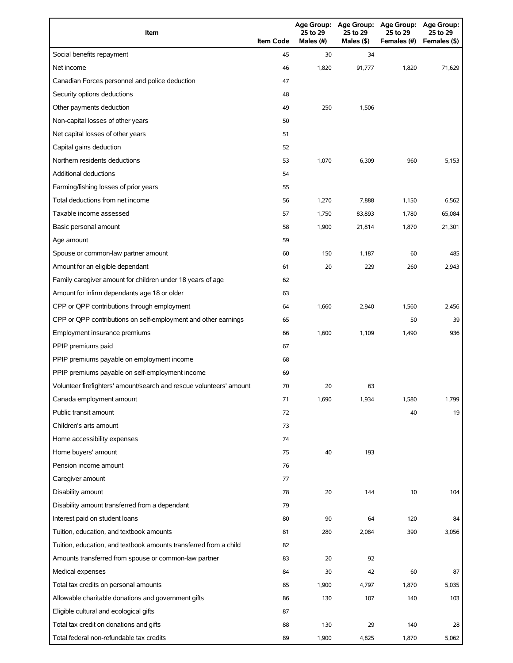| Item                                                                | <b>Item Code</b> | 25 to 29<br>Males (#) | 25 to 29<br>Males (\$) | Age Group: Age Group: Age Group: Age Group:<br>25 to 29<br>Females (#) | 25 to 29<br>Females (\$) |
|---------------------------------------------------------------------|------------------|-----------------------|------------------------|------------------------------------------------------------------------|--------------------------|
| Social benefits repayment                                           | 45               | 30                    | 34                     |                                                                        |                          |
| Net income                                                          | 46               | 1,820                 | 91,777                 | 1,820                                                                  | 71,629                   |
| Canadian Forces personnel and police deduction                      | 47               |                       |                        |                                                                        |                          |
| Security options deductions                                         | 48               |                       |                        |                                                                        |                          |
| Other payments deduction                                            | 49               | 250                   | 1,506                  |                                                                        |                          |
| Non-capital losses of other years                                   | 50               |                       |                        |                                                                        |                          |
| Net capital losses of other years                                   | 51               |                       |                        |                                                                        |                          |
| Capital gains deduction                                             | 52               |                       |                        |                                                                        |                          |
| Northern residents deductions                                       | 53               | 1,070                 | 6,309                  | 960                                                                    | 5,153                    |
| Additional deductions                                               | 54               |                       |                        |                                                                        |                          |
| Farming/fishing losses of prior years                               | 55               |                       |                        |                                                                        |                          |
| Total deductions from net income                                    | 56               | 1,270                 | 7,888                  | 1,150                                                                  | 6,562                    |
| Taxable income assessed                                             | 57               | 1,750                 | 83,893                 | 1,780                                                                  | 65,084                   |
| Basic personal amount                                               | 58               | 1,900                 | 21,814                 | 1,870                                                                  | 21,301                   |
| Age amount                                                          | 59               |                       |                        |                                                                        |                          |
| Spouse or common-law partner amount                                 | 60               | 150                   | 1,187                  | 60                                                                     | 485                      |
| Amount for an eligible dependant                                    | 61               | 20                    | 229                    | 260                                                                    | 2,943                    |
| Family caregiver amount for children under 18 years of age          | 62               |                       |                        |                                                                        |                          |
| Amount for infirm dependants age 18 or older                        | 63               |                       |                        |                                                                        |                          |
| CPP or QPP contributions through employment                         | 64               | 1,660                 | 2,940                  | 1,560                                                                  | 2,456                    |
| CPP or QPP contributions on self-employment and other earnings      | 65               |                       |                        | 50                                                                     | 39                       |
| Employment insurance premiums                                       | 66               | 1,600                 | 1,109                  | 1,490                                                                  | 936                      |
| PPIP premiums paid                                                  | 67               |                       |                        |                                                                        |                          |
| PPIP premiums payable on employment income                          | 68               |                       |                        |                                                                        |                          |
| PPIP premiums payable on self-employment income                     | 69               |                       |                        |                                                                        |                          |
| Volunteer firefighters' amount/search and rescue volunteers' amount | 70               | 20                    | 63                     |                                                                        |                          |
| Canada employment amount                                            | 71               | 1,690                 | 1,934                  | 1,580                                                                  | 1,799                    |
| Public transit amount                                               | 72               |                       |                        | 40                                                                     | 19                       |
| Children's arts amount                                              | 73               |                       |                        |                                                                        |                          |
| Home accessibility expenses                                         | 74               |                       |                        |                                                                        |                          |
| Home buyers' amount                                                 | 75               | 40                    | 193                    |                                                                        |                          |
| Pension income amount                                               | 76               |                       |                        |                                                                        |                          |
| Caregiver amount                                                    | 77               |                       |                        |                                                                        |                          |
| Disability amount                                                   | 78               | 20                    | 144                    | 10                                                                     | 104                      |
| Disability amount transferred from a dependant                      | 79               |                       |                        |                                                                        |                          |
| Interest paid on student loans                                      | 80               | 90                    | 64                     | 120                                                                    | 84                       |
| Tuition, education, and textbook amounts                            | 81               | 280                   | 2,084                  | 390                                                                    | 3,056                    |
| Tuition, education, and textbook amounts transferred from a child   | 82               |                       |                        |                                                                        |                          |
| Amounts transferred from spouse or common-law partner               | 83               | 20                    | 92                     |                                                                        |                          |
| Medical expenses                                                    | 84               | 30                    | 42                     | 60                                                                     | 87                       |
| Total tax credits on personal amounts                               | 85               | 1,900                 | 4,797                  | 1,870                                                                  | 5,035                    |
| Allowable charitable donations and government gifts                 | 86               | 130                   | 107                    | 140                                                                    | 103                      |
| Eligible cultural and ecological gifts                              | 87               |                       |                        |                                                                        |                          |
| Total tax credit on donations and gifts                             | 88               | 130                   | 29                     | 140                                                                    | 28                       |
| Total federal non-refundable tax credits                            | 89               | 1,900                 | 4,825                  | 1,870                                                                  | 5,062                    |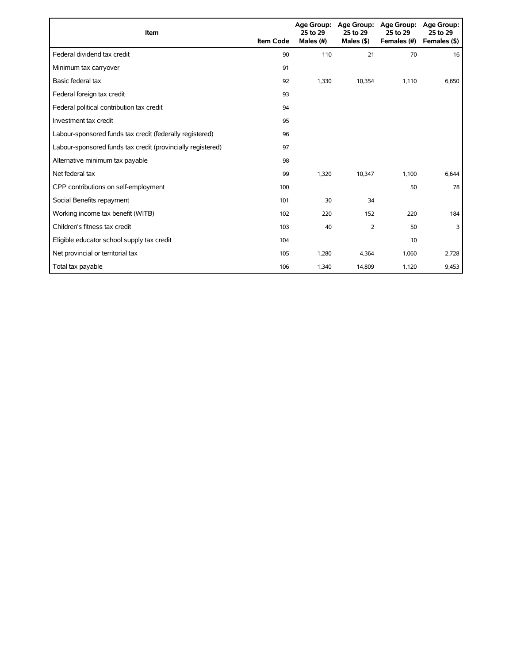| Item                                                        | <b>Item Code</b> | <b>Age Group:</b><br>25 to 29<br>Males $(\#)$ | <b>Age Group:</b><br>25 to 29<br>Males (\$) | <b>Age Group:</b><br>25 to 29<br>Females (#) | Age Group:<br>25 to 29<br>Females (\$) |
|-------------------------------------------------------------|------------------|-----------------------------------------------|---------------------------------------------|----------------------------------------------|----------------------------------------|
| Federal dividend tax credit                                 | 90               | 110                                           | 21                                          | 70                                           | 16                                     |
| Minimum tax carryover                                       | 91               |                                               |                                             |                                              |                                        |
| Basic federal tax                                           | 92               | 1,330                                         | 10,354                                      | 1,110                                        | 6,650                                  |
| Federal foreign tax credit                                  | 93               |                                               |                                             |                                              |                                        |
| Federal political contribution tax credit                   | 94               |                                               |                                             |                                              |                                        |
| Investment tax credit                                       | 95               |                                               |                                             |                                              |                                        |
| Labour-sponsored funds tax credit (federally registered)    | 96               |                                               |                                             |                                              |                                        |
| Labour-sponsored funds tax credit (provincially registered) | 97               |                                               |                                             |                                              |                                        |
| Alternative minimum tax payable                             | 98               |                                               |                                             |                                              |                                        |
| Net federal tax                                             | 99               | 1,320                                         | 10,347                                      | 1,100                                        | 6,644                                  |
| CPP contributions on self-employment                        | 100              |                                               |                                             | 50                                           | 78                                     |
| Social Benefits repayment                                   | 101              | 30                                            | 34                                          |                                              |                                        |
| Working income tax benefit (WITB)                           | 102              | 220                                           | 152                                         | 220                                          | 184                                    |
| Children's fitness tax credit                               | 103              | 40                                            | $\overline{2}$                              | 50                                           | 3                                      |
| Eligible educator school supply tax credit                  | 104              |                                               |                                             | 10                                           |                                        |
| Net provincial or territorial tax                           | 105              | 1,280                                         | 4,364                                       | 1,060                                        | 2,728                                  |
| Total tax payable                                           | 106              | 1,340                                         | 14,809                                      | 1,120                                        | 9,453                                  |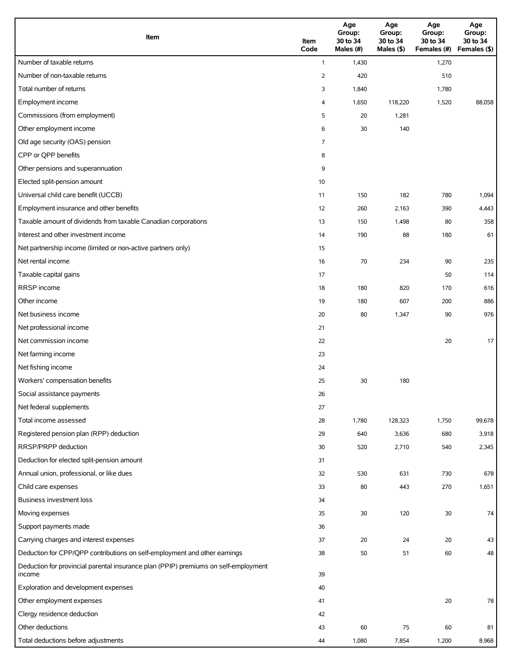| Item                                                                                          | Item<br>Code | Age<br>Group:<br>30 to 34<br>Males (#) | Age<br>Group:<br>30 to 34<br>Males (\$) | Age<br>Group:<br>30 to 34<br>Females (#) | Age<br>Group:<br>30 to 34<br>Females (\$) |
|-----------------------------------------------------------------------------------------------|--------------|----------------------------------------|-----------------------------------------|------------------------------------------|-------------------------------------------|
| Number of taxable returns                                                                     | $\mathbf{1}$ | 1,430                                  |                                         | 1,270                                    |                                           |
| Number of non-taxable returns                                                                 | 2            | 420                                    |                                         | 510                                      |                                           |
| Total number of returns                                                                       | 3            | 1,840                                  |                                         | 1,780                                    |                                           |
| Employment income                                                                             | 4            | 1,650                                  | 118,220                                 | 1,520                                    | 88,058                                    |
| Commissions (from employment)                                                                 | 5            | 20                                     | 1,281                                   |                                          |                                           |
| Other employment income                                                                       | 6            | 30                                     | 140                                     |                                          |                                           |
| Old age security (OAS) pension                                                                | 7            |                                        |                                         |                                          |                                           |
| CPP or QPP benefits                                                                           | 8            |                                        |                                         |                                          |                                           |
| Other pensions and superannuation                                                             | 9            |                                        |                                         |                                          |                                           |
| Elected split-pension amount                                                                  | 10           |                                        |                                         |                                          |                                           |
| Universal child care benefit (UCCB)                                                           | 11           | 150                                    | 182                                     | 780                                      | 1,094                                     |
| Employment insurance and other benefits                                                       | 12           | 260                                    | 2,163                                   | 390                                      | 4,443                                     |
| Taxable amount of dividends from taxable Canadian corporations                                | 13           | 150                                    | 1,498                                   | 80                                       | 358                                       |
| Interest and other investment income                                                          | 14           | 190                                    | 88                                      | 180                                      | 61                                        |
| Net partnership income (limited or non-active partners only)                                  | 15           |                                        |                                         |                                          |                                           |
| Net rental income                                                                             | 16           | 70                                     | 234                                     | 90                                       | 235                                       |
| Taxable capital gains                                                                         | 17           |                                        |                                         | 50                                       | 114                                       |
| <b>RRSP</b> income                                                                            | 18           | 180                                    | 820                                     | 170                                      | 616                                       |
| Other income                                                                                  | 19           | 180                                    | 607                                     | 200                                      | 886                                       |
| Net business income                                                                           | 20           | 80                                     | 1,347                                   | 90                                       | 976                                       |
| Net professional income                                                                       | 21           |                                        |                                         |                                          |                                           |
| Net commission income                                                                         | 22           |                                        |                                         | 20                                       | 17                                        |
| Net farming income                                                                            | 23           |                                        |                                         |                                          |                                           |
| Net fishing income                                                                            | 24           |                                        |                                         |                                          |                                           |
| Workers' compensation benefits                                                                | 25           | 30                                     | 180                                     |                                          |                                           |
| Social assistance payments                                                                    | 26           |                                        |                                         |                                          |                                           |
| Net federal supplements                                                                       | 27           |                                        |                                         |                                          |                                           |
| Total income assessed                                                                         | 28           | 1,780                                  | 128,323                                 | 1,750                                    | 99,678                                    |
| Registered pension plan (RPP) deduction                                                       | 29           | 640                                    | 3,636                                   | 680                                      | 3,918                                     |
| RRSP/PRPP deduction                                                                           | 30           | 520                                    | 2,710                                   | 540                                      | 2,345                                     |
| Deduction for elected split-pension amount                                                    | 31           |                                        |                                         |                                          |                                           |
| Annual union, professional, or like dues                                                      | 32           | 530                                    | 631                                     | 730                                      | 678                                       |
| Child care expenses                                                                           | 33           | 80                                     | 443                                     | 270                                      | 1,651                                     |
| Business investment loss                                                                      | 34           |                                        |                                         |                                          |                                           |
| Moving expenses                                                                               | 35           | $30\,$                                 | 120                                     | 30                                       | 74                                        |
| Support payments made                                                                         | 36           |                                        |                                         |                                          |                                           |
| Carrying charges and interest expenses                                                        | 37           | 20                                     | 24                                      | 20                                       | 43                                        |
| Deduction for CPP/QPP contributions on self-employment and other earnings                     | 38           | 50                                     | 51                                      | 60                                       | 48                                        |
| Deduction for provincial parental insurance plan (PPIP) premiums on self-employment<br>income | 39           |                                        |                                         |                                          |                                           |
| Exploration and development expenses                                                          | 40           |                                        |                                         |                                          |                                           |
| Other employment expenses                                                                     | 41           |                                        |                                         | 20                                       | 78                                        |
| Clergy residence deduction                                                                    | 42           |                                        |                                         |                                          |                                           |
| Other deductions                                                                              | 43           | 60                                     | 75                                      | 60                                       | 81                                        |
| Total deductions before adjustments                                                           | 44           | 1,080                                  | 7,854                                   | 1,200                                    | 8,968                                     |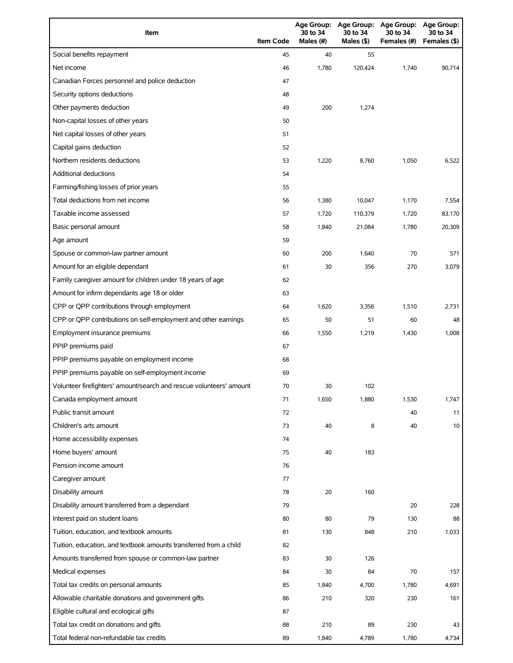| Item                                                                | <b>Item Code</b> | 30 to 34<br>Males (#) | 30 to 34<br>Males (\$) | Age Group: Age Group: Age Group:<br>30 to 34<br>Females (#) | <b>Age Group:</b><br>30 to 34<br>Females (\$) |
|---------------------------------------------------------------------|------------------|-----------------------|------------------------|-------------------------------------------------------------|-----------------------------------------------|
| Social benefits repayment                                           | 45               | 40                    | 55                     |                                                             |                                               |
| Net income                                                          | 46               | 1,780                 | 120,424                | 1,740                                                       | 90.714                                        |
| Canadian Forces personnel and police deduction                      | 47               |                       |                        |                                                             |                                               |
| Security options deductions                                         | 48               |                       |                        |                                                             |                                               |
| Other payments deduction                                            | 49               | 200                   | 1,274                  |                                                             |                                               |
| Non-capital losses of other years                                   | 50               |                       |                        |                                                             |                                               |
| Net capital losses of other years                                   | 51               |                       |                        |                                                             |                                               |
| Capital gains deduction                                             | 52               |                       |                        |                                                             |                                               |
| Northern residents deductions                                       | 53               | 1,220                 | 8,760                  | 1,050                                                       | 6,522                                         |
| Additional deductions                                               | 54               |                       |                        |                                                             |                                               |
| Farming/fishing losses of prior years                               | 55               |                       |                        |                                                             |                                               |
| Total deductions from net income                                    | 56               | 1,380                 | 10,047                 | 1,170                                                       | 7,554                                         |
| Taxable income assessed                                             | 57               | 1,720                 | 110,379                | 1,720                                                       | 83,170                                        |
| Basic personal amount                                               | 58               | 1,840                 | 21,084                 | 1,780                                                       | 20,309                                        |
| Age amount                                                          | 59               |                       |                        |                                                             |                                               |
| Spouse or common-law partner amount                                 | 60               | 200                   | 1,640                  | 70                                                          | 571                                           |
| Amount for an eligible dependant                                    | 61               | 30                    | 356                    | 270                                                         | 3,079                                         |
| Family caregiver amount for children under 18 years of age          | 62               |                       |                        |                                                             |                                               |
| Amount for infirm dependants age 18 or older                        | 63               |                       |                        |                                                             |                                               |
| CPP or QPP contributions through employment                         | 64               | 1,620                 | 3,356                  | 1,510                                                       | 2,731                                         |
| CPP or QPP contributions on self-employment and other earnings      | 65               | 50                    | 51                     | 60                                                          | 48                                            |
| Employment insurance premiums                                       | 66               | 1,550                 | 1,219                  | 1,430                                                       | 1,008                                         |
| PPIP premiums paid                                                  | 67               |                       |                        |                                                             |                                               |
| PPIP premiums payable on employment income                          | 68               |                       |                        |                                                             |                                               |
| PPIP premiums payable on self-employment income                     | 69               |                       |                        |                                                             |                                               |
| Volunteer firefighters' amount/search and rescue volunteers' amount | 70               | 30                    | 102                    |                                                             |                                               |
| Canada employment amount                                            | 71               | 1,650                 | 1,880                  | 1,530                                                       | 1,747                                         |
| Public transit amount                                               | 72               |                       |                        | 40                                                          | 11                                            |
| Children's arts amount                                              | 73               | 40                    | 8                      | 40                                                          | 10                                            |
| Home accessibility expenses                                         | 74               |                       |                        |                                                             |                                               |
| Home buyers' amount                                                 | 75               | 40                    | 183                    |                                                             |                                               |
| Pension income amount                                               | 76               |                       |                        |                                                             |                                               |
| Caregiver amount                                                    | 77               |                       |                        |                                                             |                                               |
| Disability amount                                                   | 78               | 20                    | 160                    |                                                             |                                               |
| Disability amount transferred from a dependant                      | 79               |                       |                        | 20                                                          | 228                                           |
| Interest paid on student loans                                      | 80               | 80                    | 79                     | 130                                                         | 88                                            |
| Tuition, education, and textbook amounts                            | 81               | 130                   | 848                    | 210                                                         | 1,033                                         |
| Tuition, education, and textbook amounts transferred from a child   | 82               |                       |                        |                                                             |                                               |
| Amounts transferred from spouse or common-law partner               | 83               | 30                    | 126                    |                                                             |                                               |
| Medical expenses                                                    | 84               | 30                    | 84                     | 70                                                          | 157                                           |
| Total tax credits on personal amounts                               | 85               | 1,840                 | 4,700                  | 1,780                                                       | 4,691                                         |
| Allowable charitable donations and government gifts                 | 86               | 210                   | 320                    | 230                                                         | 161                                           |
| Eligible cultural and ecological gifts                              | 87               |                       |                        |                                                             |                                               |
| Total tax credit on donations and gifts                             | 88               | 210                   | 89                     | 230                                                         | 43                                            |
| Total federal non-refundable tax credits                            | 89               | 1,840                 | 4,789                  | 1,780                                                       | 4,734                                         |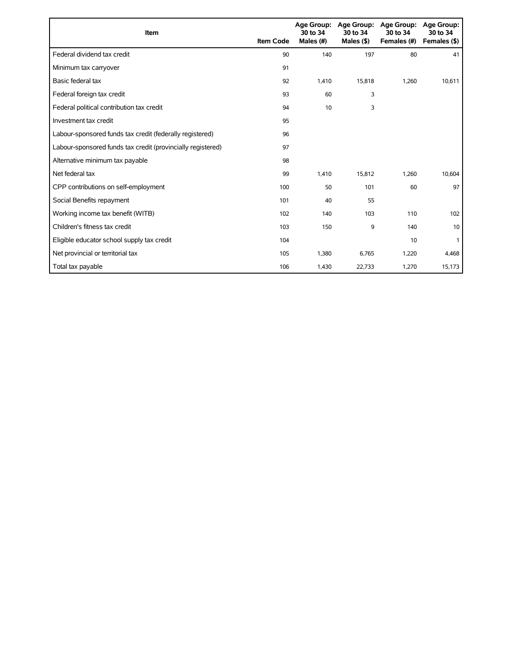| Item                                                        | <b>Item Code</b> | 30 to 34<br>Males (#) | Age Group: Age Group:<br>30 to 34<br>Males $($ \$) | <b>Age Group:</b><br>30 to 34<br>Females (#) | Age Group:<br>30 to 34<br>Females (\$) |
|-------------------------------------------------------------|------------------|-----------------------|----------------------------------------------------|----------------------------------------------|----------------------------------------|
| Federal dividend tax credit                                 | 90               | 140                   | 197                                                | 80                                           | 41                                     |
| Minimum tax carryover                                       | 91               |                       |                                                    |                                              |                                        |
| Basic federal tax                                           | 92               | 1.410                 | 15,818                                             | 1,260                                        | 10.611                                 |
| Federal foreign tax credit                                  | 93               | 60                    | 3                                                  |                                              |                                        |
| Federal political contribution tax credit                   | 94               | 10                    | 3                                                  |                                              |                                        |
| Investment tax credit                                       | 95               |                       |                                                    |                                              |                                        |
| Labour-sponsored funds tax credit (federally registered)    | 96               |                       |                                                    |                                              |                                        |
| Labour-sponsored funds tax credit (provincially registered) | 97               |                       |                                                    |                                              |                                        |
| Alternative minimum tax payable                             | 98               |                       |                                                    |                                              |                                        |
| Net federal tax                                             | 99               | 1,410                 | 15,812                                             | 1,260                                        | 10,604                                 |
| CPP contributions on self-employment                        | 100              | 50                    | 101                                                | 60                                           | 97                                     |
| Social Benefits repayment                                   | 101              | 40                    | 55                                                 |                                              |                                        |
| Working income tax benefit (WITB)                           | 102              | 140                   | 103                                                | 110                                          | 102                                    |
| Children's fitness tax credit                               | 103              | 150                   | 9                                                  | 140                                          | 10                                     |
| Eligible educator school supply tax credit                  | 104              |                       |                                                    | 10                                           |                                        |
| Net provincial or territorial tax                           | 105              | 1,380                 | 6,765                                              | 1,220                                        | 4,468                                  |
| Total tax payable                                           | 106              | 1,430                 | 22,733                                             | 1,270                                        | 15,173                                 |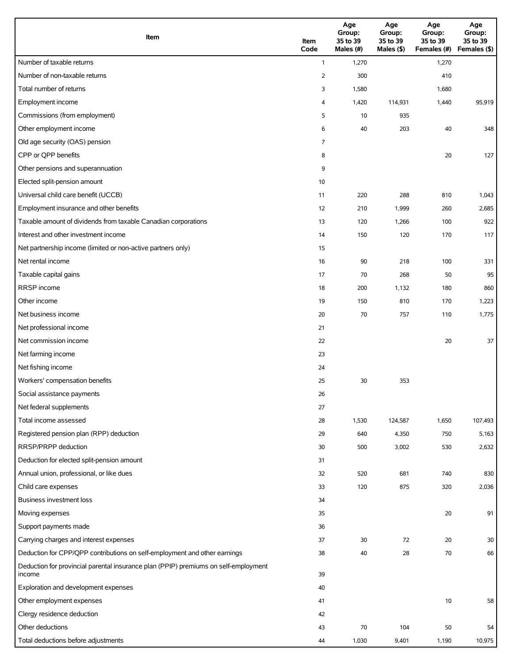| Item                                                                                          | Item<br>Code   | Age<br>Group:<br>35 to 39<br>Males (#) | Age<br>Group:<br>35 to 39<br>Males (\$) | Age<br>Group:<br>35 to 39<br>Females (#) | Age<br>Group:<br>35 to 39<br>Females (\$) |
|-----------------------------------------------------------------------------------------------|----------------|----------------------------------------|-----------------------------------------|------------------------------------------|-------------------------------------------|
| Number of taxable returns                                                                     | $\mathbf{1}$   | 1,270                                  |                                         | 1,270                                    |                                           |
| Number of non-taxable returns                                                                 | $\overline{2}$ | 300                                    |                                         | 410                                      |                                           |
| Total number of returns                                                                       | 3              | 1,580                                  |                                         | 1,680                                    |                                           |
| Employment income                                                                             | 4              | 1,420                                  | 114,931                                 | 1,440                                    | 95,919                                    |
| Commissions (from employment)                                                                 | 5              | 10                                     | 935                                     |                                          |                                           |
| Other employment income                                                                       | 6              | 40                                     | 203                                     | 40                                       | 348                                       |
| Old age security (OAS) pension                                                                | 7              |                                        |                                         |                                          |                                           |
| CPP or QPP benefits                                                                           | 8              |                                        |                                         | 20                                       | 127                                       |
| Other pensions and superannuation                                                             | 9              |                                        |                                         |                                          |                                           |
| Elected split-pension amount                                                                  | 10             |                                        |                                         |                                          |                                           |
| Universal child care benefit (UCCB)                                                           | 11             | 220                                    | 288                                     | 810                                      | 1,043                                     |
| Employment insurance and other benefits                                                       | 12             | 210                                    | 1,999                                   | 260                                      | 2,685                                     |
| Taxable amount of dividends from taxable Canadian corporations                                | 13             | 120                                    | 1,266                                   | 100                                      | 922                                       |
| Interest and other investment income                                                          | 14             | 150                                    | 120                                     | 170                                      | 117                                       |
| Net partnership income (limited or non-active partners only)                                  | 15             |                                        |                                         |                                          |                                           |
| Net rental income                                                                             | 16             | 90                                     | 218                                     | 100                                      | 331                                       |
| Taxable capital gains                                                                         | 17             | 70                                     | 268                                     | 50                                       | 95                                        |
| <b>RRSP</b> income                                                                            | 18             | 200                                    | 1,132                                   | 180                                      | 860                                       |
| Other income                                                                                  | 19             | 150                                    | 810                                     | 170                                      | 1,223                                     |
| Net business income                                                                           | 20             | 70                                     | 757                                     | 110                                      | 1,775                                     |
| Net professional income                                                                       | 21             |                                        |                                         |                                          |                                           |
| Net commission income                                                                         | 22             |                                        |                                         | 20                                       | 37                                        |
| Net farming income                                                                            | 23             |                                        |                                         |                                          |                                           |
| Net fishing income                                                                            | 24             |                                        |                                         |                                          |                                           |
| Workers' compensation benefits                                                                | 25             | 30                                     | 353                                     |                                          |                                           |
| Social assistance payments                                                                    | 26             |                                        |                                         |                                          |                                           |
| Net federal supplements                                                                       | 27             |                                        |                                         |                                          |                                           |
| Total income assessed                                                                         | 28             | 1,530                                  | 124,587                                 | 1,650                                    | 107,493                                   |
| Registered pension plan (RPP) deduction                                                       | 29             | 640                                    | 4,350                                   | 750                                      | 5,163                                     |
| RRSP/PRPP deduction                                                                           | 30             | 500                                    | 3,002                                   | 530                                      | 2,632                                     |
| Deduction for elected split-pension amount                                                    | 31             |                                        |                                         |                                          |                                           |
| Annual union, professional, or like dues                                                      | 32             | 520                                    | 681                                     | 740                                      | 830                                       |
| Child care expenses                                                                           | 33             | 120                                    | 875                                     | 320                                      | 2,036                                     |
| Business investment loss                                                                      | 34             |                                        |                                         |                                          |                                           |
| Moving expenses                                                                               | 35             |                                        |                                         | 20                                       | 91                                        |
| Support payments made                                                                         | 36             |                                        |                                         |                                          |                                           |
| Carrying charges and interest expenses                                                        | 37             | 30                                     | 72                                      | 20                                       | 30                                        |
| Deduction for CPP/QPP contributions on self-employment and other earnings                     | 38             | 40                                     | 28                                      | 70                                       | 66                                        |
| Deduction for provincial parental insurance plan (PPIP) premiums on self-employment<br>income | 39             |                                        |                                         |                                          |                                           |
| Exploration and development expenses                                                          | 40             |                                        |                                         |                                          |                                           |
| Other employment expenses                                                                     | 41             |                                        |                                         | 10                                       | 58                                        |
| Clergy residence deduction                                                                    | 42             |                                        |                                         |                                          |                                           |
| Other deductions                                                                              | 43             | 70                                     | 104                                     | 50                                       | 54                                        |
| Total deductions before adjustments                                                           | 44             | 1,030                                  | 9,401                                   | 1,190                                    | 10,975                                    |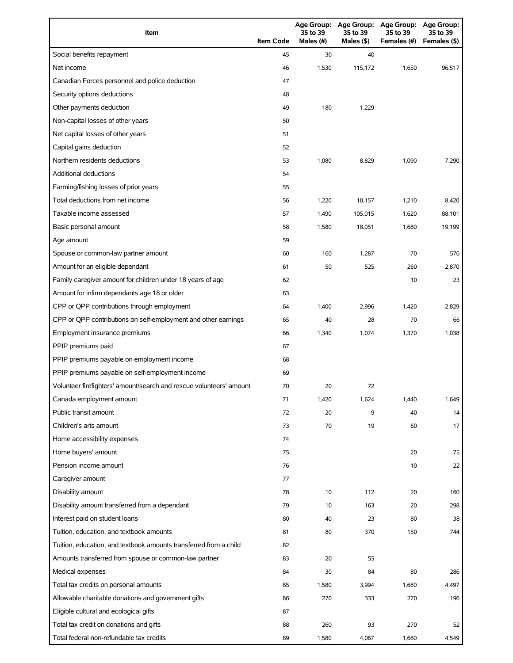| Item                                                                | <b>Item Code</b> | 35 to 39<br>Males $(H)$ | Age Group: Age Group:<br>35 to 39<br>Males (\$) | <b>Age Group:</b><br>35 to 39<br>Females (#) | Age Group:<br>35 to 39<br>Females (\$) |
|---------------------------------------------------------------------|------------------|-------------------------|-------------------------------------------------|----------------------------------------------|----------------------------------------|
| Social benefits repayment                                           | 45               | 30                      | 40                                              |                                              |                                        |
| Net income                                                          | 46               | 1,530                   | 115,172                                         | 1,650                                        | 96,517                                 |
| Canadian Forces personnel and police deduction                      | 47               |                         |                                                 |                                              |                                        |
| Security options deductions                                         | 48               |                         |                                                 |                                              |                                        |
| Other payments deduction                                            | 49               | 180                     | 1,229                                           |                                              |                                        |
| Non-capital losses of other years                                   | 50               |                         |                                                 |                                              |                                        |
| Net capital losses of other years                                   | 51               |                         |                                                 |                                              |                                        |
| Capital gains deduction                                             | 52               |                         |                                                 |                                              |                                        |
| Northern residents deductions                                       | 53               | 1,080                   | 8,829                                           | 1,090                                        | 7,290                                  |
| Additional deductions                                               | 54               |                         |                                                 |                                              |                                        |
| Farming/fishing losses of prior years                               | 55               |                         |                                                 |                                              |                                        |
| Total deductions from net income                                    | 56               | 1,220                   | 10,157                                          | 1,210                                        | 8,420                                  |
| Taxable income assessed                                             | 57               | 1,490                   | 105,015                                         | 1,620                                        | 88,101                                 |
| Basic personal amount                                               | 58               | 1,580                   | 18,051                                          | 1,680                                        | 19,199                                 |
| Age amount                                                          | 59               |                         |                                                 |                                              |                                        |
| Spouse or common-law partner amount                                 | 60               | 160                     | 1,287                                           | 70                                           | 576                                    |
| Amount for an eligible dependant                                    | 61               | 50                      | 525                                             | 260                                          | 2,870                                  |
| Family caregiver amount for children under 18 years of age          | 62               |                         |                                                 | 10                                           | 23                                     |
| Amount for infirm dependants age 18 or older                        | 63               |                         |                                                 |                                              |                                        |
| CPP or QPP contributions through employment                         | 64               | 1,400                   | 2,996                                           | 1,420                                        | 2,829                                  |
| CPP or QPP contributions on self-employment and other earnings      | 65               | 40                      | 28                                              | 70                                           | 66                                     |
| Employment insurance premiums                                       | 66               | 1,340                   | 1,074                                           | 1,370                                        | 1,038                                  |
| PPIP premiums paid                                                  | 67               |                         |                                                 |                                              |                                        |
| PPIP premiums payable on employment income                          | 68               |                         |                                                 |                                              |                                        |
| PPIP premiums payable on self-employment income                     | 69               |                         |                                                 |                                              |                                        |
| Volunteer firefighters' amount/search and rescue volunteers' amount | 70               | 20                      | 72                                              |                                              |                                        |
| Canada employment amount                                            | 71               | 1,420                   | 1,624                                           | 1,440                                        | 1,649                                  |
| Public transit amount                                               | 72               | 20                      | 9                                               | 40                                           | 14                                     |
| Children's arts amount                                              | 73               | 70                      | 19                                              | 60                                           | 17                                     |
| Home accessibility expenses                                         | 74               |                         |                                                 |                                              |                                        |
| Home buyers' amount                                                 | 75               |                         |                                                 | 20                                           | 75                                     |
| Pension income amount                                               | 76               |                         |                                                 | 10                                           | 22                                     |
| Caregiver amount                                                    | 77               |                         |                                                 |                                              |                                        |
| Disability amount                                                   | 78               | 10                      | 112                                             | 20                                           | 160                                    |
| Disability amount transferred from a dependant                      | 79               | 10                      | 163                                             | 20                                           | 298                                    |
| Interest paid on student loans                                      | 80               | 40                      | 23                                              | 80                                           | 38                                     |
| Tuition, education, and textbook amounts                            | 81               | 80                      | 370                                             | 150                                          | 744                                    |
| Tuition, education, and textbook amounts transferred from a child   | 82               |                         |                                                 |                                              |                                        |
| Amounts transferred from spouse or common-law partner               | 83               | 20                      | 55                                              |                                              |                                        |
| Medical expenses                                                    | 84               | 30                      | 84                                              | 80                                           | 286                                    |
| Total tax credits on personal amounts                               | 85               | 1,580                   | 3,994                                           | 1,680                                        | 4,497                                  |
| Allowable charitable donations and government gifts                 | 86               | 270                     | 333                                             | 270                                          | 196                                    |
| Eligible cultural and ecological gifts                              | 87               |                         |                                                 |                                              |                                        |
| Total tax credit on donations and gifts                             | 88               | 260                     | 93                                              | 270                                          | 52                                     |
| Total federal non-refundable tax credits                            | 89               | 1,580                   | 4,087                                           | 1,680                                        | 4,549                                  |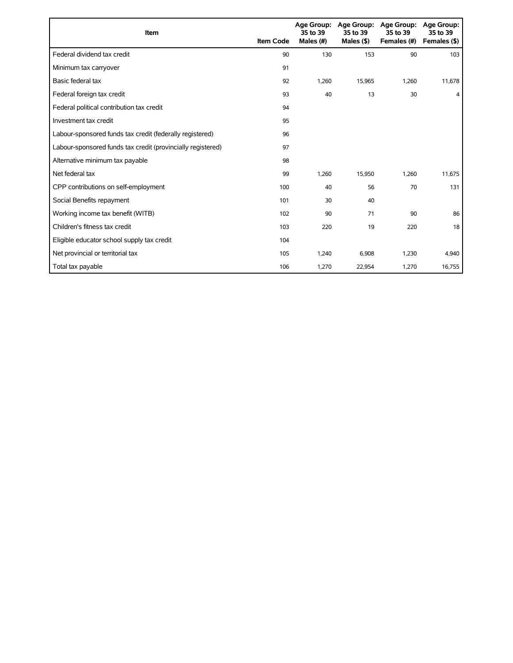| Item                                                        | <b>Item Code</b> | 35 to 39<br>Males (#) | Age Group: Age Group:<br>35 to 39<br>Males $($ \$) | <b>Age Group:</b><br>35 to 39<br>Females (#) | Age Group:<br>35 to 39<br>Females (\$) |
|-------------------------------------------------------------|------------------|-----------------------|----------------------------------------------------|----------------------------------------------|----------------------------------------|
| Federal dividend tax credit                                 | 90               | 130                   | 153                                                | 90                                           | 103                                    |
| Minimum tax carryover                                       | 91               |                       |                                                    |                                              |                                        |
| Basic federal tax                                           | 92               | 1.260                 | 15,965                                             | 1,260                                        | 11,678                                 |
| Federal foreign tax credit                                  | 93               | 40                    | 13                                                 | 30                                           | 4                                      |
| Federal political contribution tax credit                   | 94               |                       |                                                    |                                              |                                        |
| Investment tax credit                                       | 95               |                       |                                                    |                                              |                                        |
| Labour-sponsored funds tax credit (federally registered)    | 96               |                       |                                                    |                                              |                                        |
| Labour-sponsored funds tax credit (provincially registered) | 97               |                       |                                                    |                                              |                                        |
| Alternative minimum tax payable                             | 98               |                       |                                                    |                                              |                                        |
| Net federal tax                                             | 99               | 1,260                 | 15,950                                             | 1,260                                        | 11,675                                 |
| CPP contributions on self-employment                        | 100              | 40                    | 56                                                 | 70                                           | 131                                    |
| Social Benefits repayment                                   | 101              | 30                    | 40                                                 |                                              |                                        |
| Working income tax benefit (WITB)                           | 102              | 90                    | 71                                                 | 90                                           | 86                                     |
| Children's fitness tax credit                               | 103              | 220                   | 19                                                 | 220                                          | 18                                     |
| Eligible educator school supply tax credit                  | 104              |                       |                                                    |                                              |                                        |
| Net provincial or territorial tax                           | 105              | 1,240                 | 6,908                                              | 1,230                                        | 4,940                                  |
| Total tax payable                                           | 106              | 1,270                 | 22,954                                             | 1,270                                        | 16,755                                 |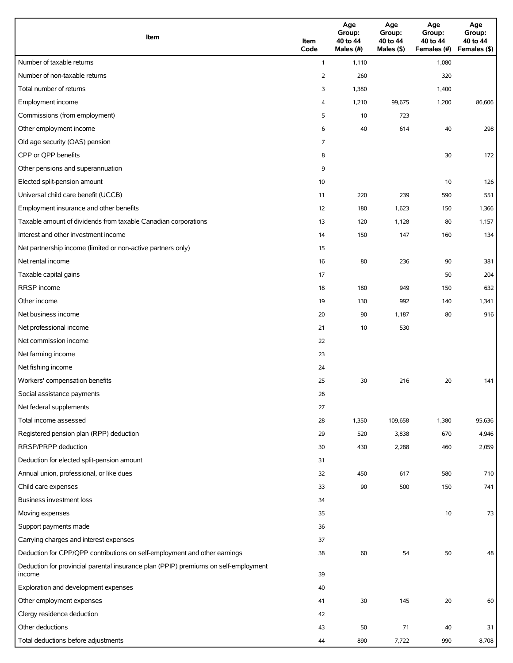| Item                                                                                          | Item<br>Code   | Age<br>Group:<br>40 to 44<br>Males (#) | Age<br>Group:<br>40 to 44<br>Males (\$) | Age<br>Group:<br>40 to 44<br>Females (#) | Age<br>Group:<br>40 to 44<br>Females (\$) |
|-----------------------------------------------------------------------------------------------|----------------|----------------------------------------|-----------------------------------------|------------------------------------------|-------------------------------------------|
| Number of taxable returns                                                                     | $\mathbf{1}$   | 1,110                                  |                                         | 1,080                                    |                                           |
| Number of non-taxable returns                                                                 | $\overline{2}$ | 260                                    |                                         | 320                                      |                                           |
| Total number of returns                                                                       | 3              | 1,380                                  |                                         | 1,400                                    |                                           |
| Employment income                                                                             | 4              | 1,210                                  | 99,675                                  | 1,200                                    | 86,606                                    |
| Commissions (from employment)                                                                 | 5              | 10                                     | 723                                     |                                          |                                           |
| Other employment income                                                                       | 6              | 40                                     | 614                                     | 40                                       | 298                                       |
| Old age security (OAS) pension                                                                | 7              |                                        |                                         |                                          |                                           |
| CPP or QPP benefits                                                                           | 8              |                                        |                                         | 30                                       | 172                                       |
| Other pensions and superannuation                                                             | 9              |                                        |                                         |                                          |                                           |
| Elected split-pension amount                                                                  | 10             |                                        |                                         | 10                                       | 126                                       |
| Universal child care benefit (UCCB)                                                           | 11             | 220                                    | 239                                     | 590                                      | 551                                       |
| Employment insurance and other benefits                                                       | 12             | 180                                    | 1,623                                   | 150                                      | 1,366                                     |
| Taxable amount of dividends from taxable Canadian corporations                                | 13             | 120                                    | 1,128                                   | 80                                       | 1,157                                     |
| Interest and other investment income                                                          | 14             | 150                                    | 147                                     | 160                                      | 134                                       |
| Net partnership income (limited or non-active partners only)                                  | 15             |                                        |                                         |                                          |                                           |
| Net rental income                                                                             | 16             | 80                                     | 236                                     | 90                                       | 381                                       |
| Taxable capital gains                                                                         | 17             |                                        |                                         | 50                                       | 204                                       |
| <b>RRSP</b> income                                                                            | 18             | 180                                    | 949                                     | 150                                      | 632                                       |
| Other income                                                                                  | 19             | 130                                    | 992                                     | 140                                      | 1,341                                     |
| Net business income                                                                           | 20             | 90                                     | 1,187                                   | 80                                       | 916                                       |
| Net professional income                                                                       | 21             | 10                                     | 530                                     |                                          |                                           |
| Net commission income                                                                         | 22             |                                        |                                         |                                          |                                           |
| Net farming income                                                                            | 23             |                                        |                                         |                                          |                                           |
| Net fishing income                                                                            | 24             |                                        |                                         |                                          |                                           |
| Workers' compensation benefits                                                                | 25             | 30                                     | 216                                     | 20                                       | 141                                       |
| Social assistance payments                                                                    | 26             |                                        |                                         |                                          |                                           |
| Net federal supplements                                                                       | 27             |                                        |                                         |                                          |                                           |
| Total income assessed                                                                         | 28             | 1,350                                  | 109,658                                 | 1,380                                    | 95,636                                    |
| Registered pension plan (RPP) deduction                                                       | 29             | 520                                    | 3,838                                   | 670                                      | 4,946                                     |
| RRSP/PRPP deduction                                                                           | 30             | 430                                    | 2,288                                   | 460                                      | 2,059                                     |
| Deduction for elected split-pension amount                                                    | 31             |                                        |                                         |                                          |                                           |
| Annual union, professional, or like dues                                                      | 32             | 450                                    | 617                                     | 580                                      | 710                                       |
| Child care expenses                                                                           | 33             | 90                                     | 500                                     | 150                                      | 741                                       |
| Business investment loss                                                                      | 34             |                                        |                                         |                                          |                                           |
| Moving expenses                                                                               | 35             |                                        |                                         | 10                                       | 73                                        |
| Support payments made                                                                         | 36             |                                        |                                         |                                          |                                           |
| Carrying charges and interest expenses                                                        | 37             |                                        |                                         |                                          |                                           |
| Deduction for CPP/QPP contributions on self-employment and other earnings                     | 38             | 60                                     | 54                                      | 50                                       | 48                                        |
| Deduction for provincial parental insurance plan (PPIP) premiums on self-employment<br>income | 39             |                                        |                                         |                                          |                                           |
| Exploration and development expenses                                                          | 40             |                                        |                                         |                                          |                                           |
| Other employment expenses                                                                     | 41             | 30                                     | 145                                     | 20                                       | 60                                        |
| Clergy residence deduction                                                                    | 42             |                                        |                                         |                                          |                                           |
| Other deductions                                                                              | 43             | 50                                     | 71                                      | 40                                       | 31                                        |
| Total deductions before adjustments                                                           | 44             | 890                                    | 7,722                                   | 990                                      | 8,708                                     |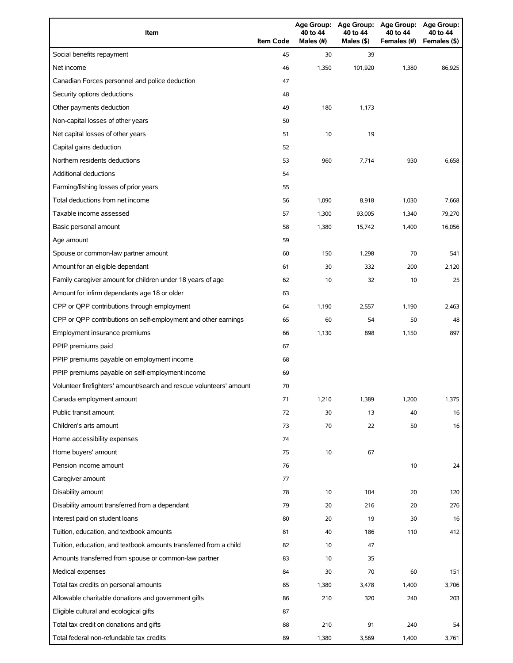| Item                                                                | <b>Item Code</b> | Age Group:<br>40 to 44<br>Males $(#)$ | <b>Age Group:</b><br>40 to 44<br>Males (\$) | <b>Age Group:</b><br>40 to 44<br>Females (#) | <b>Age Group:</b><br>40 to 44<br>Females (\$) |
|---------------------------------------------------------------------|------------------|---------------------------------------|---------------------------------------------|----------------------------------------------|-----------------------------------------------|
| Social benefits repayment                                           | 45               | 30                                    | 39                                          |                                              |                                               |
| Net income                                                          | 46               | 1,350                                 | 101,920                                     | 1,380                                        | 86,925                                        |
| Canadian Forces personnel and police deduction                      | 47               |                                       |                                             |                                              |                                               |
| Security options deductions                                         | 48               |                                       |                                             |                                              |                                               |
| Other payments deduction                                            | 49               | 180                                   | 1,173                                       |                                              |                                               |
| Non-capital losses of other years                                   | 50               |                                       |                                             |                                              |                                               |
| Net capital losses of other years                                   | 51               | 10                                    | 19                                          |                                              |                                               |
| Capital gains deduction                                             | 52               |                                       |                                             |                                              |                                               |
| Northern residents deductions                                       | 53               | 960                                   | 7,714                                       | 930                                          | 6,658                                         |
| <b>Additional deductions</b>                                        | 54               |                                       |                                             |                                              |                                               |
| Farming/fishing losses of prior years                               | 55               |                                       |                                             |                                              |                                               |
| Total deductions from net income                                    | 56               | 1,090                                 | 8,918                                       | 1,030                                        | 7,668                                         |
| Taxable income assessed                                             | 57               | 1,300                                 | 93,005                                      | 1,340                                        | 79,270                                        |
| Basic personal amount                                               | 58               | 1,380                                 | 15,742                                      | 1,400                                        | 16,056                                        |
| Age amount                                                          | 59               |                                       |                                             |                                              |                                               |
| Spouse or common-law partner amount                                 | 60               | 150                                   | 1,298                                       | 70                                           | 541                                           |
| Amount for an eligible dependant                                    | 61               | 30                                    | 332                                         | 200                                          | 2,120                                         |
| Family caregiver amount for children under 18 years of age          | 62               | 10                                    | 32                                          | 10                                           | 25                                            |
| Amount for infirm dependants age 18 or older                        | 63               |                                       |                                             |                                              |                                               |
| CPP or QPP contributions through employment                         | 64               | 1,190                                 | 2,557                                       | 1,190                                        | 2,463                                         |
| CPP or QPP contributions on self-employment and other earnings      | 65               | 60                                    | 54                                          | 50                                           | 48                                            |
| Employment insurance premiums                                       | 66               | 1,130                                 | 898                                         | 1,150                                        | 897                                           |
| PPIP premiums paid                                                  | 67               |                                       |                                             |                                              |                                               |
| PPIP premiums payable on employment income                          | 68               |                                       |                                             |                                              |                                               |
| PPIP premiums payable on self-employment income                     | 69               |                                       |                                             |                                              |                                               |
| Volunteer firefighters' amount/search and rescue volunteers' amount | 70               |                                       |                                             |                                              |                                               |
| Canada employment amount                                            | 71               | 1,210                                 | 1,389                                       | 1,200                                        | 1,375                                         |
| Public transit amount                                               | 72               | 30                                    | 13                                          | 40                                           | 16                                            |
| Children's arts amount                                              | 73               | 70                                    | 22                                          | 50                                           | 16                                            |
| Home accessibility expenses                                         | 74               |                                       |                                             |                                              |                                               |
| Home buyers' amount                                                 | 75               | 10                                    | 67                                          |                                              |                                               |
| Pension income amount                                               | 76               |                                       |                                             | 10                                           | 24                                            |
| Caregiver amount                                                    | 77               |                                       |                                             |                                              |                                               |
| Disability amount                                                   | 78               | 10                                    | 104                                         | 20                                           | 120                                           |
| Disability amount transferred from a dependant                      | 79               | 20                                    | 216                                         | 20                                           | 276                                           |
| Interest paid on student loans                                      | 80               | 20                                    | 19                                          | 30                                           | 16                                            |
| Tuition, education, and textbook amounts                            | 81               | 40                                    | 186                                         | 110                                          | 412                                           |
| Tuition, education, and textbook amounts transferred from a child   | 82               | 10                                    | 47                                          |                                              |                                               |
| Amounts transferred from spouse or common-law partner               | 83               | 10                                    | 35                                          |                                              |                                               |
| Medical expenses                                                    | 84               | 30                                    | 70                                          | 60                                           | 151                                           |
| Total tax credits on personal amounts                               | 85               | 1,380                                 | 3,478                                       | 1,400                                        | 3,706                                         |
| Allowable charitable donations and government gifts                 | 86               | 210                                   | 320                                         | 240                                          | 203                                           |
| Eligible cultural and ecological gifts                              | 87               |                                       |                                             |                                              |                                               |
| Total tax credit on donations and gifts                             | 88               | 210                                   | 91                                          | 240                                          | 54                                            |
| Total federal non-refundable tax credits                            | 89               | 1,380                                 | 3,569                                       | 1,400                                        | 3,761                                         |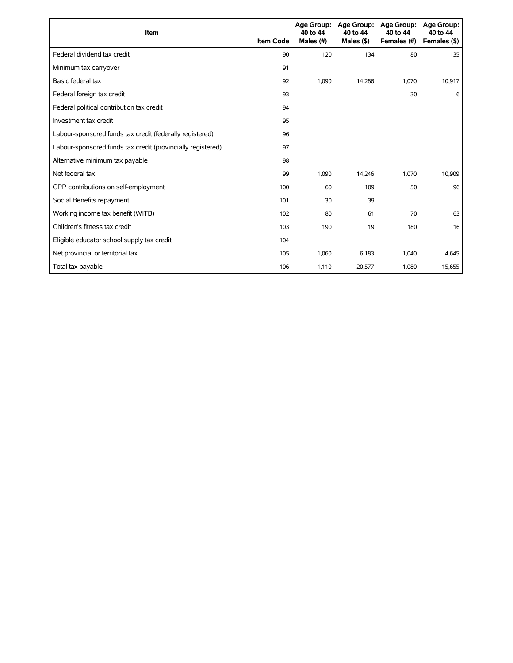| Item                                                        | <b>Item Code</b> | 40 to 44<br>Males (#) | Age Group: Age Group:<br>40 to 44<br>Males $($ \$ $)$ | <b>Age Group:</b><br>40 to 44<br>Females (#) | <b>Age Group:</b><br>40 to 44<br>Females (\$) |
|-------------------------------------------------------------|------------------|-----------------------|-------------------------------------------------------|----------------------------------------------|-----------------------------------------------|
| Federal dividend tax credit                                 | 90               | 120                   | 134                                                   | 80                                           | 135                                           |
| Minimum tax carryover                                       | 91               |                       |                                                       |                                              |                                               |
| Basic federal tax                                           | 92               | 1,090                 | 14,286                                                | 1.070                                        | 10,917                                        |
| Federal foreign tax credit                                  | 93               |                       |                                                       | 30                                           | 6                                             |
| Federal political contribution tax credit                   | 94               |                       |                                                       |                                              |                                               |
| Investment tax credit                                       | 95               |                       |                                                       |                                              |                                               |
| Labour-sponsored funds tax credit (federally registered)    | 96               |                       |                                                       |                                              |                                               |
| Labour-sponsored funds tax credit (provincially registered) | 97               |                       |                                                       |                                              |                                               |
| Alternative minimum tax payable                             | 98               |                       |                                                       |                                              |                                               |
| Net federal tax                                             | 99               | 1,090                 | 14,246                                                | 1,070                                        | 10,909                                        |
| CPP contributions on self-employment                        | 100              | 60                    | 109                                                   | 50                                           | 96                                            |
| Social Benefits repayment                                   | 101              | 30                    | 39                                                    |                                              |                                               |
| Working income tax benefit (WITB)                           | 102              | 80                    | 61                                                    | 70                                           | 63                                            |
| Children's fitness tax credit                               | 103              | 190                   | 19                                                    | 180                                          | 16                                            |
| Eligible educator school supply tax credit                  | 104              |                       |                                                       |                                              |                                               |
| Net provincial or territorial tax                           | 105              | 1,060                 | 6,183                                                 | 1,040                                        | 4,645                                         |
| Total tax payable                                           | 106              | 1,110                 | 20,577                                                | 1,080                                        | 15,655                                        |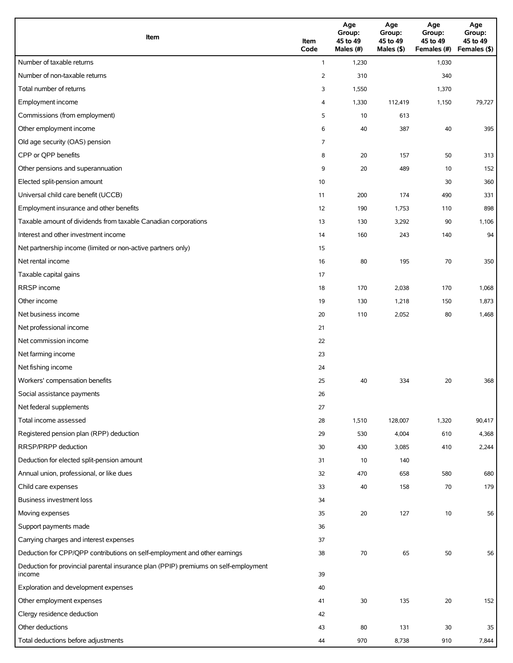| Item                                                                                          | Item<br>Code   | Age<br>Group:<br>45 to 49<br>Males (#) | Age<br>Group:<br>45 to 49<br>Males (\$) | Age<br>Group:<br>45 to 49<br>Females (#) | Age<br>Group:<br>45 to 49<br>Females (\$) |
|-----------------------------------------------------------------------------------------------|----------------|----------------------------------------|-----------------------------------------|------------------------------------------|-------------------------------------------|
| Number of taxable returns                                                                     | $\mathbf{1}$   | 1,230                                  |                                         | 1,030                                    |                                           |
| Number of non-taxable returns                                                                 | $\overline{2}$ | 310                                    |                                         | 340                                      |                                           |
| Total number of returns                                                                       | 3              | 1,550                                  |                                         | 1,370                                    |                                           |
| Employment income                                                                             | 4              | 1,330                                  | 112,419                                 | 1,150                                    | 79,727                                    |
| Commissions (from employment)                                                                 | 5              | 10                                     | 613                                     |                                          |                                           |
| Other employment income                                                                       | 6              | 40                                     | 387                                     | 40                                       | 395                                       |
| Old age security (OAS) pension                                                                | 7              |                                        |                                         |                                          |                                           |
| CPP or QPP benefits                                                                           | 8              | 20                                     | 157                                     | 50                                       | 313                                       |
| Other pensions and superannuation                                                             | 9              | 20                                     | 489                                     | 10                                       | 152                                       |
| Elected split-pension amount                                                                  | 10             |                                        |                                         | 30                                       | 360                                       |
| Universal child care benefit (UCCB)                                                           | 11             | 200                                    | 174                                     | 490                                      | 331                                       |
| Employment insurance and other benefits                                                       | 12             | 190                                    | 1,753                                   | 110                                      | 898                                       |
| Taxable amount of dividends from taxable Canadian corporations                                | 13             | 130                                    | 3,292                                   | 90                                       | 1,106                                     |
| Interest and other investment income                                                          | 14             | 160                                    | 243                                     | 140                                      | 94                                        |
| Net partnership income (limited or non-active partners only)                                  | 15             |                                        |                                         |                                          |                                           |
| Net rental income                                                                             | 16             | 80                                     | 195                                     | 70                                       | 350                                       |
| Taxable capital gains                                                                         | 17             |                                        |                                         |                                          |                                           |
| <b>RRSP</b> income                                                                            | 18             | 170                                    | 2,038                                   | 170                                      | 1,068                                     |
| Other income                                                                                  | 19             | 130                                    | 1,218                                   | 150                                      | 1,873                                     |
| Net business income                                                                           | 20             | 110                                    | 2,052                                   | 80                                       | 1,468                                     |
| Net professional income                                                                       | 21             |                                        |                                         |                                          |                                           |
| Net commission income                                                                         | 22             |                                        |                                         |                                          |                                           |
| Net farming income                                                                            | 23             |                                        |                                         |                                          |                                           |
| Net fishing income                                                                            | 24             |                                        |                                         |                                          |                                           |
| Workers' compensation benefits                                                                | 25             | 40                                     | 334                                     | 20                                       | 368                                       |
| Social assistance payments                                                                    | 26             |                                        |                                         |                                          |                                           |
| Net federal supplements                                                                       | 27             |                                        |                                         |                                          |                                           |
| Total income assessed                                                                         | 28             | 1,510                                  | 128,007                                 | 1,320                                    | 90,417                                    |
| Registered pension plan (RPP) deduction                                                       | 29             | 530                                    | 4,004                                   | 610                                      | 4,368                                     |
| RRSP/PRPP deduction                                                                           | 30             | 430                                    | 3,085                                   | 410                                      | 2,244                                     |
| Deduction for elected split-pension amount                                                    | 31             | 10                                     | 140                                     |                                          |                                           |
| Annual union, professional, or like dues                                                      | 32             | 470                                    | 658                                     | 580                                      | 680                                       |
| Child care expenses                                                                           | 33             | 40                                     | 158                                     | 70                                       | 179                                       |
| Business investment loss                                                                      | 34             |                                        |                                         |                                          |                                           |
| Moving expenses                                                                               | 35             | 20                                     | 127                                     | 10                                       | 56                                        |
| Support payments made                                                                         | 36             |                                        |                                         |                                          |                                           |
| Carrying charges and interest expenses                                                        | 37             |                                        |                                         |                                          |                                           |
| Deduction for CPP/QPP contributions on self-employment and other earnings                     | 38             | 70                                     | 65                                      | 50                                       | 56                                        |
| Deduction for provincial parental insurance plan (PPIP) premiums on self-employment<br>income | 39             |                                        |                                         |                                          |                                           |
| Exploration and development expenses                                                          | 40             |                                        |                                         |                                          |                                           |
| Other employment expenses                                                                     | 41             | 30                                     | 135                                     | 20                                       | 152                                       |
| Clergy residence deduction                                                                    | 42             |                                        |                                         |                                          |                                           |
| Other deductions                                                                              | 43             | 80                                     | 131                                     | 30                                       | 35                                        |
| Total deductions before adjustments                                                           | 44             | 970                                    | 8,738                                   | 910                                      | 7,844                                     |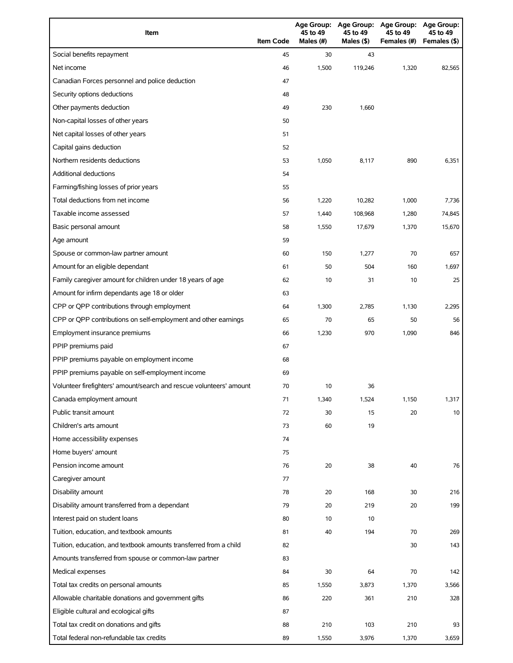| Item                                                                | <b>Item Code</b> | 45 to 49<br>Males (#) | 45 to 49<br>Males (\$) | Age Group: Age Group: Age Group:<br>45 to 49<br>Females (#) | <b>Age Group:</b><br>45 to 49<br>Females (\$) |
|---------------------------------------------------------------------|------------------|-----------------------|------------------------|-------------------------------------------------------------|-----------------------------------------------|
| Social benefits repayment                                           | 45               | 30                    | 43                     |                                                             |                                               |
| Net income                                                          | 46               | 1,500                 | 119,246                | 1,320                                                       | 82,565                                        |
| Canadian Forces personnel and police deduction                      | 47               |                       |                        |                                                             |                                               |
| Security options deductions                                         | 48               |                       |                        |                                                             |                                               |
| Other payments deduction                                            | 49               | 230                   | 1,660                  |                                                             |                                               |
| Non-capital losses of other years                                   | 50               |                       |                        |                                                             |                                               |
| Net capital losses of other years                                   | 51               |                       |                        |                                                             |                                               |
| Capital gains deduction                                             | 52               |                       |                        |                                                             |                                               |
| Northern residents deductions                                       | 53               | 1,050                 | 8,117                  | 890                                                         | 6,351                                         |
| Additional deductions                                               | 54               |                       |                        |                                                             |                                               |
| Farming/fishing losses of prior years                               | 55               |                       |                        |                                                             |                                               |
| Total deductions from net income                                    | 56               | 1,220                 | 10,282                 | 1,000                                                       | 7,736                                         |
| Taxable income assessed                                             | 57               | 1,440                 | 108,968                | 1,280                                                       | 74,845                                        |
| Basic personal amount                                               | 58               | 1,550                 | 17,679                 | 1,370                                                       | 15,670                                        |
| Age amount                                                          | 59               |                       |                        |                                                             |                                               |
| Spouse or common-law partner amount                                 | 60               | 150                   | 1,277                  | 70                                                          | 657                                           |
| Amount for an eligible dependant                                    | 61               | 50                    | 504                    | 160                                                         | 1,697                                         |
| Family caregiver amount for children under 18 years of age          | 62               | 10                    | 31                     | 10                                                          | 25                                            |
| Amount for infirm dependants age 18 or older                        | 63               |                       |                        |                                                             |                                               |
| CPP or QPP contributions through employment                         | 64               | 1,300                 | 2,785                  | 1,130                                                       | 2,295                                         |
| CPP or QPP contributions on self-employment and other earnings      | 65               | 70                    | 65                     | 50                                                          | 56                                            |
| Employment insurance premiums                                       | 66               | 1,230                 | 970                    | 1,090                                                       | 846                                           |
| PPIP premiums paid                                                  | 67               |                       |                        |                                                             |                                               |
| PPIP premiums payable on employment income                          | 68               |                       |                        |                                                             |                                               |
| PPIP premiums payable on self-employment income                     | 69               |                       |                        |                                                             |                                               |
| Volunteer firefighters' amount/search and rescue volunteers' amount | 70               | 10                    | 36                     |                                                             |                                               |
| Canada employment amount                                            | 71               | 1,340                 | 1,524                  | 1,150                                                       | 1,317                                         |
| Public transit amount                                               | 72               | 30                    | 15                     | 20                                                          | 10                                            |
| Children's arts amount                                              | 73               | 60                    | 19                     |                                                             |                                               |
| Home accessibility expenses                                         | 74               |                       |                        |                                                             |                                               |
| Home buyers' amount                                                 | 75               |                       |                        |                                                             |                                               |
| Pension income amount                                               | 76               | 20                    | 38                     | 40                                                          | 76                                            |
| Caregiver amount                                                    | 77               |                       |                        |                                                             |                                               |
| Disability amount                                                   | 78               | 20                    | 168                    | 30                                                          | 216                                           |
| Disability amount transferred from a dependant                      | 79               | 20                    | 219                    | 20                                                          | 199                                           |
| Interest paid on student loans                                      | 80               | 10                    | 10                     |                                                             |                                               |
| Tuition, education, and textbook amounts                            | 81               | 40                    | 194                    | 70                                                          | 269                                           |
| Tuition, education, and textbook amounts transferred from a child   | 82               |                       |                        | 30                                                          | 143                                           |
| Amounts transferred from spouse or common-law partner               | 83               |                       |                        |                                                             |                                               |
| Medical expenses                                                    | 84               | 30                    | 64                     | 70                                                          | 142                                           |
| Total tax credits on personal amounts                               | 85               | 1,550                 | 3,873                  | 1,370                                                       | 3,566                                         |
| Allowable charitable donations and government gifts                 | 86               | 220                   | 361                    | 210                                                         | 328                                           |
| Eligible cultural and ecological gifts                              | 87               |                       |                        |                                                             |                                               |
| Total tax credit on donations and gifts                             | 88               | 210                   | 103                    | 210                                                         | 93                                            |
| Total federal non-refundable tax credits                            | 89               | 1,550                 | 3,976                  | 1,370                                                       | 3,659                                         |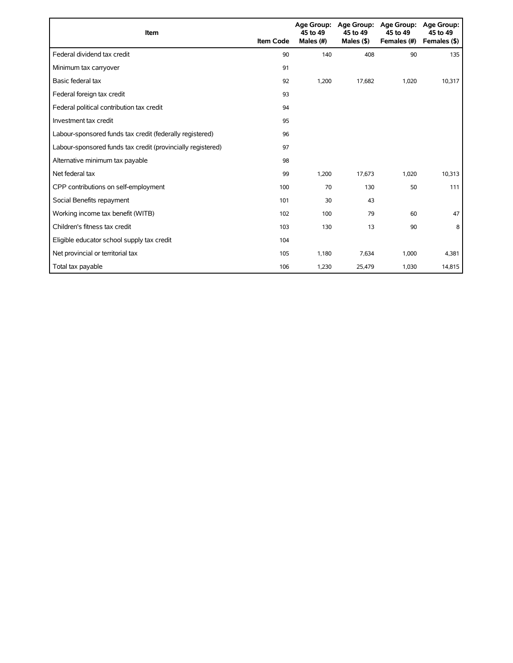| Item                                                        | <b>Item Code</b> | 45 to 49<br>Males (#) | Age Group: Age Group:<br>45 to 49<br>Males $($ \$ $)$ | <b>Age Group:</b><br>45 to 49<br>Females (#) | <b>Age Group:</b><br>45 to 49<br>Females (\$) |
|-------------------------------------------------------------|------------------|-----------------------|-------------------------------------------------------|----------------------------------------------|-----------------------------------------------|
| Federal dividend tax credit                                 | 90               | 140                   | 408                                                   | 90                                           | 135                                           |
| Minimum tax carryover                                       | 91               |                       |                                                       |                                              |                                               |
| Basic federal tax                                           | 92               | 1,200                 | 17,682                                                | 1,020                                        | 10,317                                        |
| Federal foreign tax credit                                  | 93               |                       |                                                       |                                              |                                               |
| Federal political contribution tax credit                   | 94               |                       |                                                       |                                              |                                               |
| Investment tax credit                                       | 95               |                       |                                                       |                                              |                                               |
| Labour-sponsored funds tax credit (federally registered)    | 96               |                       |                                                       |                                              |                                               |
| Labour-sponsored funds tax credit (provincially registered) | 97               |                       |                                                       |                                              |                                               |
| Alternative minimum tax payable                             | 98               |                       |                                                       |                                              |                                               |
| Net federal tax                                             | 99               | 1,200                 | 17,673                                                | 1,020                                        | 10,313                                        |
| CPP contributions on self-employment                        | 100              | 70                    | 130                                                   | 50                                           | 111                                           |
| Social Benefits repayment                                   | 101              | 30                    | 43                                                    |                                              |                                               |
| Working income tax benefit (WITB)                           | 102              | 100                   | 79                                                    | 60                                           | 47                                            |
| Children's fitness tax credit                               | 103              | 130                   | 13                                                    | 90                                           | 8                                             |
| Eligible educator school supply tax credit                  | 104              |                       |                                                       |                                              |                                               |
| Net provincial or territorial tax                           | 105              | 1,180                 | 7,634                                                 | 1,000                                        | 4,381                                         |
| Total tax payable                                           | 106              | 1,230                 | 25,479                                                | 1,030                                        | 14,815                                        |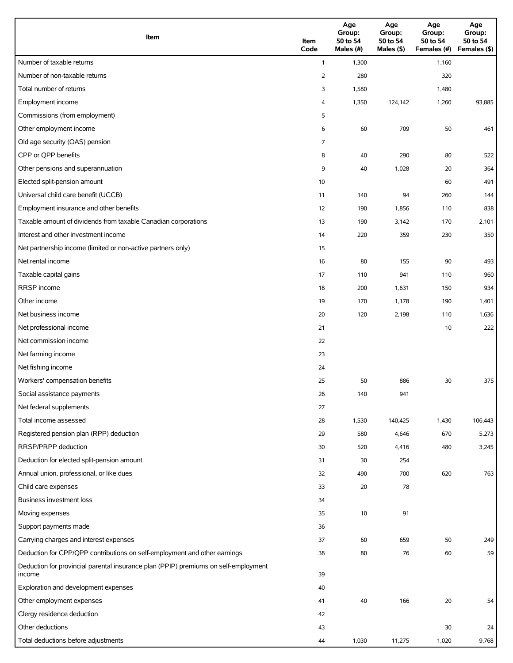| Item                                                                                          | Item<br>Code   | Age<br>Group:<br>50 to 54<br>Males (#) | Age<br>Group:<br>50 to 54<br>Males (\$) | Age<br>Group:<br>50 to 54<br>Females (#) | Age<br>Group:<br>50 to 54<br>Females (\$) |
|-----------------------------------------------------------------------------------------------|----------------|----------------------------------------|-----------------------------------------|------------------------------------------|-------------------------------------------|
| Number of taxable returns                                                                     | $\mathbf{1}$   | 1,300                                  |                                         | 1,160                                    |                                           |
| Number of non-taxable returns                                                                 | $\overline{2}$ | 280                                    |                                         | 320                                      |                                           |
| Total number of returns                                                                       | 3              | 1,580                                  |                                         | 1,480                                    |                                           |
| Employment income                                                                             | 4              | 1,350                                  | 124,142                                 | 1,260                                    | 93,885                                    |
| Commissions (from employment)                                                                 | 5              |                                        |                                         |                                          |                                           |
| Other employment income                                                                       | 6              | 60                                     | 709                                     | 50                                       | 461                                       |
| Old age security (OAS) pension                                                                | 7              |                                        |                                         |                                          |                                           |
| CPP or QPP benefits                                                                           | 8              | 40                                     | 290                                     | 80                                       | 522                                       |
| Other pensions and superannuation                                                             | 9              | 40                                     | 1,028                                   | 20                                       | 364                                       |
| Elected split-pension amount                                                                  | 10             |                                        |                                         | 60                                       | 491                                       |
| Universal child care benefit (UCCB)                                                           | 11             | 140                                    | 94                                      | 260                                      | 144                                       |
| Employment insurance and other benefits                                                       | 12             | 190                                    | 1,856                                   | 110                                      | 838                                       |
| Taxable amount of dividends from taxable Canadian corporations                                | 13             | 190                                    | 3,142                                   | 170                                      | 2,101                                     |
| Interest and other investment income                                                          | 14             | 220                                    | 359                                     | 230                                      | 350                                       |
| Net partnership income (limited or non-active partners only)                                  | 15             |                                        |                                         |                                          |                                           |
| Net rental income                                                                             | 16             | 80                                     | 155                                     | 90                                       | 493                                       |
| Taxable capital gains                                                                         | 17             | 110                                    | 941                                     | 110                                      | 960                                       |
| <b>RRSP</b> income                                                                            | 18             | 200                                    | 1,631                                   | 150                                      | 934                                       |
| Other income                                                                                  | 19             | 170                                    | 1,178                                   | 190                                      | 1,401                                     |
| Net business income                                                                           | 20             | 120                                    | 2,198                                   | 110                                      | 1,636                                     |
| Net professional income                                                                       | 21             |                                        |                                         | 10                                       | 222                                       |
| Net commission income                                                                         | 22             |                                        |                                         |                                          |                                           |
| Net farming income                                                                            | 23             |                                        |                                         |                                          |                                           |
| Net fishing income                                                                            | 24             |                                        |                                         |                                          |                                           |
| Workers' compensation benefits                                                                | 25             | 50                                     | 886                                     | 30                                       | 375                                       |
| Social assistance payments                                                                    | 26             | 140                                    | 941                                     |                                          |                                           |
| Net federal supplements                                                                       | 27             |                                        |                                         |                                          |                                           |
| Total income assessed                                                                         | 28             | 1,530                                  | 140,425                                 | 1,430                                    | 106,443                                   |
| Registered pension plan (RPP) deduction                                                       | 29             | 580                                    | 4,646                                   | 670                                      | 5,273                                     |
| RRSP/PRPP deduction                                                                           | 30             | 520                                    | 4,416                                   | 480                                      | 3,245                                     |
| Deduction for elected split-pension amount                                                    | 31             | 30                                     | 254                                     |                                          |                                           |
| Annual union, professional, or like dues                                                      | 32             | 490                                    | 700                                     | 620                                      | 763                                       |
| Child care expenses                                                                           | 33             | 20                                     | 78                                      |                                          |                                           |
| Business investment loss                                                                      | 34             |                                        |                                         |                                          |                                           |
| Moving expenses                                                                               | 35             | 10                                     | 91                                      |                                          |                                           |
| Support payments made                                                                         | 36             |                                        |                                         |                                          |                                           |
| Carrying charges and interest expenses                                                        | 37             | 60                                     | 659                                     | 50                                       | 249                                       |
| Deduction for CPP/QPP contributions on self-employment and other earnings                     | 38             | 80                                     | 76                                      | 60                                       | 59                                        |
| Deduction for provincial parental insurance plan (PPIP) premiums on self-employment<br>income | 39             |                                        |                                         |                                          |                                           |
| Exploration and development expenses                                                          | 40             |                                        |                                         |                                          |                                           |
| Other employment expenses                                                                     | 41             | 40                                     | 166                                     | 20                                       | 54                                        |
| Clergy residence deduction                                                                    | 42             |                                        |                                         |                                          |                                           |
| Other deductions                                                                              | 43             |                                        |                                         | 30                                       | 24                                        |
| Total deductions before adjustments                                                           | 44             | 1,030                                  | 11,275                                  | 1,020                                    | 9,768                                     |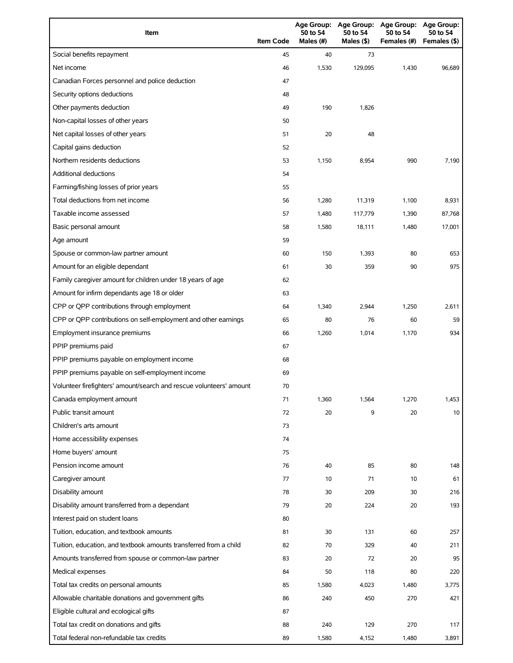| Item                                                                | <b>Item Code</b> | <b>Age Group:</b><br>50 to 54<br>Males (#) | <b>Age Group:</b><br>50 to 54<br>Males (\$) | Age Group:<br>50 to 54<br>Females (#) | Age Group:<br>50 to 54<br>Females (\$) |
|---------------------------------------------------------------------|------------------|--------------------------------------------|---------------------------------------------|---------------------------------------|----------------------------------------|
| Social benefits repayment                                           | 45               | 40                                         | 73                                          |                                       |                                        |
| Net income                                                          | 46               | 1,530                                      | 129,095                                     | 1,430                                 | 96,689                                 |
| Canadian Forces personnel and police deduction                      | 47               |                                            |                                             |                                       |                                        |
| Security options deductions                                         | 48               |                                            |                                             |                                       |                                        |
| Other payments deduction                                            | 49               | 190                                        | 1,826                                       |                                       |                                        |
| Non-capital losses of other years                                   | 50               |                                            |                                             |                                       |                                        |
| Net capital losses of other years                                   | 51               | 20                                         | 48                                          |                                       |                                        |
| Capital gains deduction                                             | 52               |                                            |                                             |                                       |                                        |
| Northern residents deductions                                       | 53               | 1,150                                      | 8,954                                       | 990                                   | 7,190                                  |
| <b>Additional deductions</b>                                        | 54               |                                            |                                             |                                       |                                        |
| Farming/fishing losses of prior years                               | 55               |                                            |                                             |                                       |                                        |
| Total deductions from net income                                    | 56               | 1,280                                      | 11,319                                      | 1,100                                 | 8,931                                  |
| Taxable income assessed                                             | 57               | 1,480                                      | 117,779                                     | 1,390                                 | 87,768                                 |
| Basic personal amount                                               | 58               | 1,580                                      | 18,111                                      | 1,480                                 | 17,001                                 |
| Age amount                                                          | 59               |                                            |                                             |                                       |                                        |
| Spouse or common-law partner amount                                 | 60               | 150                                        | 1,393                                       | 80                                    | 653                                    |
| Amount for an eligible dependant                                    | 61               | 30                                         | 359                                         | 90                                    | 975                                    |
| Family caregiver amount for children under 18 years of age          | 62               |                                            |                                             |                                       |                                        |
| Amount for infirm dependants age 18 or older                        | 63               |                                            |                                             |                                       |                                        |
| CPP or QPP contributions through employment                         | 64               | 1,340                                      | 2,944                                       | 1,250                                 | 2,611                                  |
| CPP or QPP contributions on self-employment and other earnings      | 65               | 80                                         | 76                                          | 60                                    | 59                                     |
| Employment insurance premiums                                       | 66               | 1,260                                      | 1,014                                       | 1,170                                 | 934                                    |
| PPIP premiums paid                                                  | 67               |                                            |                                             |                                       |                                        |
| PPIP premiums payable on employment income                          | 68               |                                            |                                             |                                       |                                        |
| PPIP premiums payable on self-employment income                     | 69               |                                            |                                             |                                       |                                        |
| Volunteer firefighters' amount/search and rescue volunteers' amount | 70               |                                            |                                             |                                       |                                        |
| Canada employment amount                                            | 71               | 1,360                                      | 1,564                                       | 1,270                                 | 1,453                                  |
| Public transit amount                                               | 72               | 20                                         | 9                                           | 20                                    | 10                                     |
| Children's arts amount                                              | 73               |                                            |                                             |                                       |                                        |
| Home accessibility expenses                                         | 74               |                                            |                                             |                                       |                                        |
| Home buyers' amount                                                 | 75               |                                            |                                             |                                       |                                        |
| Pension income amount                                               | 76               | 40                                         | 85                                          | 80                                    | 148                                    |
| Caregiver amount                                                    | 77               | 10                                         | 71                                          | 10                                    | 61                                     |
| Disability amount                                                   | 78               | 30                                         | 209                                         | 30                                    | 216                                    |
| Disability amount transferred from a dependant                      | 79               | 20                                         | 224                                         | 20                                    | 193                                    |
| Interest paid on student loans                                      | 80               |                                            |                                             |                                       |                                        |
| Tuition, education, and textbook amounts                            | 81               | 30                                         | 131                                         | 60                                    | 257                                    |
| Tuition, education, and textbook amounts transferred from a child   | 82               | 70                                         | 329                                         | 40                                    | 211                                    |
| Amounts transferred from spouse or common-law partner               | 83               | 20                                         | 72                                          | 20                                    | 95                                     |
| Medical expenses                                                    | 84               | 50                                         | 118                                         | 80                                    | 220                                    |
| Total tax credits on personal amounts                               | 85               | 1,580                                      | 4,023                                       | 1,480                                 | 3,775                                  |
| Allowable charitable donations and government gifts                 | 86               | 240                                        | 450                                         | 270                                   | 421                                    |
| Eligible cultural and ecological gifts                              | 87               |                                            |                                             |                                       |                                        |
| Total tax credit on donations and gifts                             | 88               | 240                                        | 129                                         | 270                                   | 117                                    |
| Total federal non-refundable tax credits                            | 89               | 1,580                                      | 4,152                                       | 1,480                                 | 3,891                                  |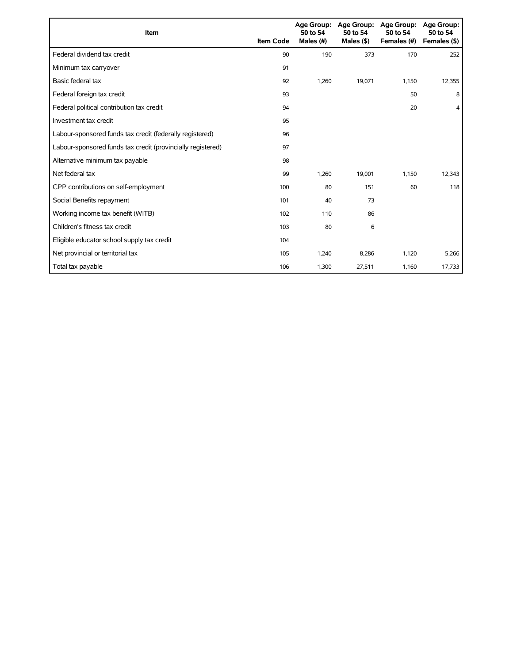| <b>Item</b>                                                 | <b>Item Code</b> | 50 to 54<br>Males (#) | Age Group: Age Group:<br>50 to 54<br>Males $($ \$ $)$ | Age Group:<br>50 to 54<br>Females (#) | <b>Age Group:</b><br>50 to 54<br>Females (\$) |
|-------------------------------------------------------------|------------------|-----------------------|-------------------------------------------------------|---------------------------------------|-----------------------------------------------|
| Federal dividend tax credit                                 | 90               | 190                   | 373                                                   | 170                                   | 252                                           |
| Minimum tax carryover                                       | 91               |                       |                                                       |                                       |                                               |
| Basic federal tax                                           | 92               | 1,260                 | 19,071                                                | 1,150                                 | 12,355                                        |
| Federal foreign tax credit                                  | 93               |                       |                                                       | 50                                    | 8                                             |
| Federal political contribution tax credit                   | 94               |                       |                                                       | 20                                    | $\overline{4}$                                |
| Investment tax credit                                       | 95               |                       |                                                       |                                       |                                               |
| Labour-sponsored funds tax credit (federally registered)    | 96               |                       |                                                       |                                       |                                               |
| Labour-sponsored funds tax credit (provincially registered) | 97               |                       |                                                       |                                       |                                               |
| Alternative minimum tax payable                             | 98               |                       |                                                       |                                       |                                               |
| Net federal tax                                             | 99               | 1,260                 | 19,001                                                | 1,150                                 | 12,343                                        |
| CPP contributions on self-employment                        | 100              | 80                    | 151                                                   | 60                                    | 118                                           |
| Social Benefits repayment                                   | 101              | 40                    | 73                                                    |                                       |                                               |
| Working income tax benefit (WITB)                           | 102              | 110                   | 86                                                    |                                       |                                               |
| Children's fitness tax credit                               | 103              | 80                    | 6                                                     |                                       |                                               |
| Eligible educator school supply tax credit                  | 104              |                       |                                                       |                                       |                                               |
| Net provincial or territorial tax                           | 105              | 1,240                 | 8,286                                                 | 1,120                                 | 5,266                                         |
| Total tax payable                                           | 106              | 1,300                 | 27,511                                                | 1,160                                 | 17,733                                        |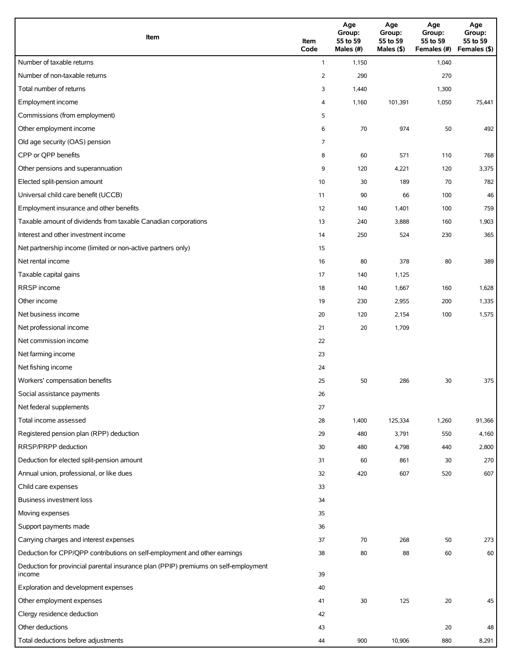| Item                                                                                          | Item<br>Code | Age<br>Group:<br>55 to 59<br>Males (#) | Age<br>Group:<br>55 to 59<br>Males (\$) | Age<br>Group:<br>55 to 59<br>Females (#) | Age<br>Group:<br>55 to 59<br>Females (\$) |
|-----------------------------------------------------------------------------------------------|--------------|----------------------------------------|-----------------------------------------|------------------------------------------|-------------------------------------------|
| Number of taxable returns                                                                     | $\mathbf{1}$ | 1,150                                  |                                         | 1,040                                    |                                           |
| Number of non-taxable returns                                                                 | 2            | 290                                    |                                         | 270                                      |                                           |
| Total number of returns                                                                       | 3            | 1,440                                  |                                         | 1,300                                    |                                           |
| Employment income                                                                             | 4            | 1,160                                  | 101,391                                 | 1,050                                    | 75,441                                    |
| Commissions (from employment)                                                                 | 5            |                                        |                                         |                                          |                                           |
| Other employment income                                                                       | 6            | 70                                     | 974                                     | 50                                       | 492                                       |
| Old age security (OAS) pension                                                                | 7            |                                        |                                         |                                          |                                           |
| CPP or QPP benefits                                                                           | 8            | 60                                     | 571                                     | 110                                      | 768                                       |
| Other pensions and superannuation                                                             | 9            | 120                                    | 4,221                                   | 120                                      | 3,375                                     |
| Elected split-pension amount                                                                  | 10           | 30                                     | 189                                     | 70                                       | 782                                       |
| Universal child care benefit (UCCB)                                                           | 11           | 90                                     | 66                                      | 100                                      | 46                                        |
| Employment insurance and other benefits                                                       | 12           | 140                                    | 1,401                                   | 100                                      | 759                                       |
| Taxable amount of dividends from taxable Canadian corporations                                | 13           | 240                                    | 3,888                                   | 160                                      | 1,903                                     |
| Interest and other investment income                                                          | 14           | 250                                    | 524                                     | 230                                      | 365                                       |
| Net partnership income (limited or non-active partners only)                                  | 15           |                                        |                                         |                                          |                                           |
| Net rental income                                                                             | 16           | 80                                     | 378                                     | 80                                       | 389                                       |
| Taxable capital gains                                                                         | 17           | 140                                    | 1,125                                   |                                          |                                           |
| <b>RRSP</b> income                                                                            | 18           | 140                                    | 1,667                                   | 160                                      | 1,628                                     |
| Other income                                                                                  | 19           | 230                                    | 2,955                                   | 200                                      | 1,335                                     |
| Net business income                                                                           | 20           | 120                                    | 2,154                                   | 100                                      | 1,575                                     |
| Net professional income                                                                       | 21           | 20                                     | 1,709                                   |                                          |                                           |
| Net commission income                                                                         | 22           |                                        |                                         |                                          |                                           |
| Net farming income                                                                            | 23           |                                        |                                         |                                          |                                           |
| Net fishing income                                                                            | 24           |                                        |                                         |                                          |                                           |
| Workers' compensation benefits                                                                | 25           | 50                                     | 286                                     | 30                                       | 375                                       |
| Social assistance payments                                                                    | 26           |                                        |                                         |                                          |                                           |
| Net federal supplements                                                                       | 27           |                                        |                                         |                                          |                                           |
| Total income assessed                                                                         | 28           | 1,400                                  | 125,334                                 | 1,260                                    | 91,366                                    |
| Registered pension plan (RPP) deduction                                                       | 29           | 480                                    | 3,791                                   | 550                                      | 4,160                                     |
| RRSP/PRPP deduction                                                                           | 30           | 480                                    | 4,798                                   | 440                                      | 2,800                                     |
| Deduction for elected split-pension amount                                                    | 31           | 60                                     | 861                                     | 30                                       | 270                                       |
| Annual union, professional, or like dues                                                      | 32           | 420                                    | 607                                     | 520                                      | 607                                       |
| Child care expenses                                                                           | 33           |                                        |                                         |                                          |                                           |
| Business investment loss                                                                      | 34           |                                        |                                         |                                          |                                           |
| Moving expenses                                                                               | 35           |                                        |                                         |                                          |                                           |
| Support payments made                                                                         | 36           |                                        |                                         |                                          |                                           |
| Carrying charges and interest expenses                                                        | 37           | 70                                     | 268                                     | 50                                       | 273                                       |
| Deduction for CPP/QPP contributions on self-employment and other earnings                     | 38           | 80                                     | 88                                      | 60                                       | 60                                        |
| Deduction for provincial parental insurance plan (PPIP) premiums on self-employment<br>income | 39           |                                        |                                         |                                          |                                           |
| Exploration and development expenses                                                          | 40           |                                        |                                         |                                          |                                           |
| Other employment expenses                                                                     | 41           | 30                                     | 125                                     | 20                                       | 45                                        |
| Clergy residence deduction                                                                    | 42           |                                        |                                         |                                          |                                           |
| Other deductions                                                                              | 43           |                                        |                                         | 20                                       | 48                                        |
| Total deductions before adjustments                                                           | 44           | 900                                    | 10,906                                  | 880                                      | 8,291                                     |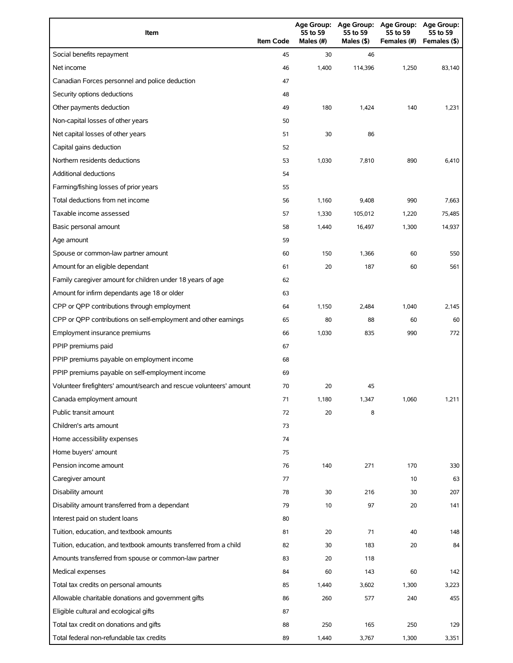| Item                                                                | <b>Item Code</b> | <b>Age Group:</b><br>55 to 59<br>Males (#) | <b>Age Group:</b><br>55 to 59<br>Males (\$) | <b>Age Group:</b><br>55 to 59<br>Females (#) | <b>Age Group:</b><br>55 to 59<br>Females (\$) |
|---------------------------------------------------------------------|------------------|--------------------------------------------|---------------------------------------------|----------------------------------------------|-----------------------------------------------|
| Social benefits repayment                                           | 45               | 30                                         | 46                                          |                                              |                                               |
| Net income                                                          | 46               | 1,400                                      | 114,396                                     | 1,250                                        | 83,140                                        |
| Canadian Forces personnel and police deduction                      | 47               |                                            |                                             |                                              |                                               |
| Security options deductions                                         | 48               |                                            |                                             |                                              |                                               |
| Other payments deduction                                            | 49               | 180                                        | 1,424                                       | 140                                          | 1,231                                         |
| Non-capital losses of other years                                   | 50               |                                            |                                             |                                              |                                               |
| Net capital losses of other years                                   | 51               | 30                                         | 86                                          |                                              |                                               |
| Capital gains deduction                                             | 52               |                                            |                                             |                                              |                                               |
| Northern residents deductions                                       | 53               | 1,030                                      | 7,810                                       | 890                                          | 6,410                                         |
| <b>Additional deductions</b>                                        | 54               |                                            |                                             |                                              |                                               |
| Farming/fishing losses of prior years                               | 55               |                                            |                                             |                                              |                                               |
| Total deductions from net income                                    | 56               | 1,160                                      | 9,408                                       | 990                                          | 7,663                                         |
| Taxable income assessed                                             | 57               | 1,330                                      | 105,012                                     | 1,220                                        | 75,485                                        |
| Basic personal amount                                               | 58               | 1,440                                      | 16,497                                      | 1,300                                        | 14,937                                        |
| Age amount                                                          | 59               |                                            |                                             |                                              |                                               |
| Spouse or common-law partner amount                                 | 60               | 150                                        | 1,366                                       | 60                                           | 550                                           |
| Amount for an eligible dependant                                    | 61               | 20                                         | 187                                         | 60                                           | 561                                           |
| Family caregiver amount for children under 18 years of age          | 62               |                                            |                                             |                                              |                                               |
| Amount for infirm dependants age 18 or older                        | 63               |                                            |                                             |                                              |                                               |
| CPP or QPP contributions through employment                         | 64               | 1,150                                      | 2,484                                       | 1,040                                        | 2,145                                         |
| CPP or QPP contributions on self-employment and other earnings      | 65               | 80                                         | 88                                          | 60                                           | 60                                            |
| Employment insurance premiums                                       | 66               | 1,030                                      | 835                                         | 990                                          | 772                                           |
| PPIP premiums paid                                                  | 67               |                                            |                                             |                                              |                                               |
| PPIP premiums payable on employment income                          | 68               |                                            |                                             |                                              |                                               |
| PPIP premiums payable on self-employment income                     | 69               |                                            |                                             |                                              |                                               |
| Volunteer firefighters' amount/search and rescue volunteers' amount | 70               | 20                                         | 45                                          |                                              |                                               |
| Canada employment amount                                            | 71               | 1,180                                      | 1,347                                       | 1,060                                        | 1,211                                         |
| Public transit amount                                               | 72               | 20                                         | 8                                           |                                              |                                               |
| Children's arts amount                                              | 73               |                                            |                                             |                                              |                                               |
| Home accessibility expenses                                         | 74               |                                            |                                             |                                              |                                               |
| Home buyers' amount                                                 | 75               |                                            |                                             |                                              |                                               |
| Pension income amount                                               | 76               | 140                                        | 271                                         | 170                                          | 330                                           |
| Caregiver amount                                                    | 77               |                                            |                                             | 10                                           | 63                                            |
| Disability amount                                                   | 78               | 30                                         | 216                                         | 30                                           | 207                                           |
| Disability amount transferred from a dependant                      | 79               | 10                                         | 97                                          | 20                                           | 141                                           |
| Interest paid on student loans                                      | 80               |                                            |                                             |                                              |                                               |
| Tuition, education, and textbook amounts                            | 81               | 20                                         | 71                                          | 40                                           | 148                                           |
| Tuition, education, and textbook amounts transferred from a child   | 82               | 30                                         | 183                                         | 20                                           | 84                                            |
| Amounts transferred from spouse or common-law partner               | 83               | 20                                         | 118                                         |                                              |                                               |
| Medical expenses                                                    | 84               | 60                                         | 143                                         | 60                                           | 142                                           |
| Total tax credits on personal amounts                               | 85               | 1,440                                      | 3,602                                       | 1,300                                        | 3,223                                         |
| Allowable charitable donations and government gifts                 | 86               | 260                                        | 577                                         | 240                                          | 455                                           |
| Eligible cultural and ecological gifts                              | 87               |                                            |                                             |                                              |                                               |
| Total tax credit on donations and gifts                             | 88               | 250                                        | 165                                         | 250                                          | 129                                           |
| Total federal non-refundable tax credits                            | 89               | 1,440                                      | 3,767                                       | 1,300                                        | 3,351                                         |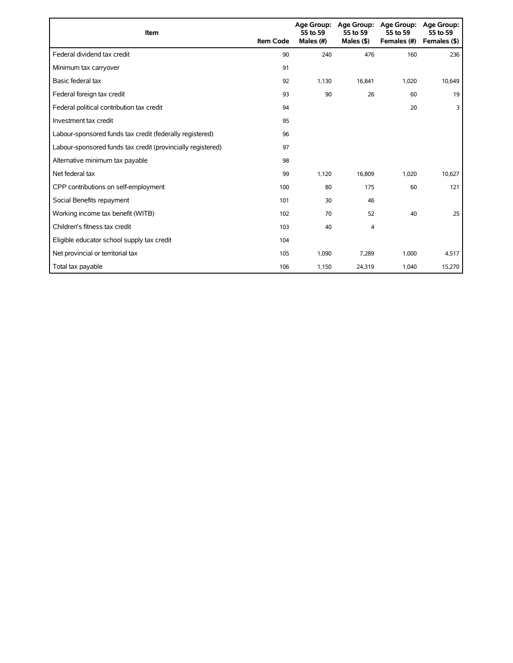| <b>Item</b>                                                 | <b>Item Code</b> | 55 to 59<br>Males (#) | Age Group: Age Group:<br>55 to 59<br>Males $($ \$ $)$ | <b>Age Group:</b><br>55 to 59<br>Females (#) | Age Group:<br>55 to 59<br>Females (\$) |
|-------------------------------------------------------------|------------------|-----------------------|-------------------------------------------------------|----------------------------------------------|----------------------------------------|
| Federal dividend tax credit                                 | 90               | 240                   | 476                                                   | 160                                          | 236                                    |
| Minimum tax carryover                                       | 91               |                       |                                                       |                                              |                                        |
| Basic federal tax                                           | 92               | 1.130                 | 16,841                                                | 1,020                                        | 10,649                                 |
| Federal foreign tax credit                                  | 93               | 90                    | 26                                                    | 60                                           | 19                                     |
| Federal political contribution tax credit                   | 94               |                       |                                                       | 20                                           | 3                                      |
| Investment tax credit                                       | 95               |                       |                                                       |                                              |                                        |
| Labour-sponsored funds tax credit (federally registered)    | 96               |                       |                                                       |                                              |                                        |
| Labour-sponsored funds tax credit (provincially registered) | 97               |                       |                                                       |                                              |                                        |
| Alternative minimum tax payable                             | 98               |                       |                                                       |                                              |                                        |
| Net federal tax                                             | 99               | 1,120                 | 16,809                                                | 1,020                                        | 10,627                                 |
| CPP contributions on self-employment                        | 100              | 80                    | 175                                                   | 60                                           | 121                                    |
| Social Benefits repayment                                   | 101              | 30                    | 46                                                    |                                              |                                        |
| Working income tax benefit (WITB)                           | 102              | 70                    | 52                                                    | 40                                           | 25                                     |
| Children's fitness tax credit                               | 103              | 40                    | 4                                                     |                                              |                                        |
| Eligible educator school supply tax credit                  | 104              |                       |                                                       |                                              |                                        |
| Net provincial or territorial tax                           | 105              | 1,090                 | 7,289                                                 | 1,000                                        | 4,517                                  |
| Total tax payable                                           | 106              | 1,150                 | 24,319                                                | 1,040                                        | 15,270                                 |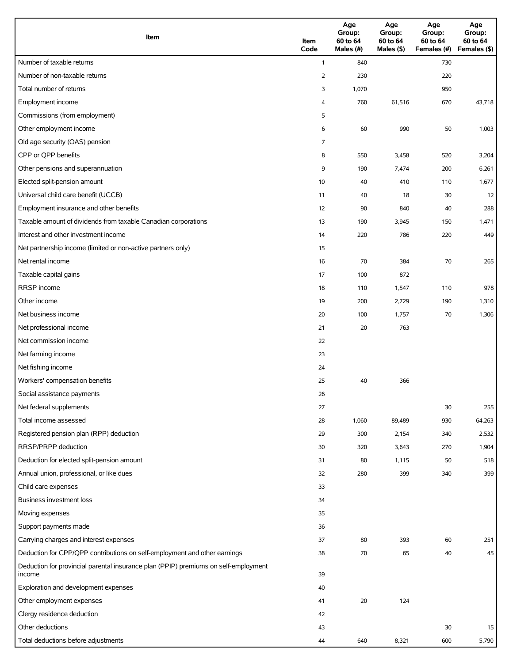| Item                                                                                          | Item<br>Code   | Age<br>Group:<br>60 to 64<br>Males (#) | Age<br>Group:<br>60 to 64<br>Males (\$) | Age<br>Group:<br>60 to 64<br>Females (#) | Age<br>Group:<br>60 to 64<br>Females (\$) |
|-----------------------------------------------------------------------------------------------|----------------|----------------------------------------|-----------------------------------------|------------------------------------------|-------------------------------------------|
| Number of taxable returns                                                                     | $\mathbf{1}$   | 840                                    |                                         | 730                                      |                                           |
| Number of non-taxable returns                                                                 | $\overline{2}$ | 230                                    |                                         | 220                                      |                                           |
| Total number of returns                                                                       | 3              | 1,070                                  |                                         | 950                                      |                                           |
| Employment income                                                                             | 4              | 760                                    | 61,516                                  | 670                                      | 43,718                                    |
| Commissions (from employment)                                                                 | 5              |                                        |                                         |                                          |                                           |
| Other employment income                                                                       | 6              | 60                                     | 990                                     | 50                                       | 1,003                                     |
| Old age security (OAS) pension                                                                | 7              |                                        |                                         |                                          |                                           |
| CPP or QPP benefits                                                                           | 8              | 550                                    | 3,458                                   | 520                                      | 3,204                                     |
| Other pensions and superannuation                                                             | 9              | 190                                    | 7,474                                   | 200                                      | 6,261                                     |
| Elected split-pension amount                                                                  | 10             | 40                                     | 410                                     | 110                                      | 1,677                                     |
| Universal child care benefit (UCCB)                                                           | 11             | 40                                     | 18                                      | 30                                       | 12                                        |
| Employment insurance and other benefits                                                       | 12             | 90                                     | 840                                     | 40                                       | 288                                       |
| Taxable amount of dividends from taxable Canadian corporations                                | 13             | 190                                    | 3,945                                   | 150                                      | 1,471                                     |
| Interest and other investment income                                                          | 14             | 220                                    | 786                                     | 220                                      | 449                                       |
| Net partnership income (limited or non-active partners only)                                  | 15             |                                        |                                         |                                          |                                           |
| Net rental income                                                                             | 16             | 70                                     | 384                                     | 70                                       | 265                                       |
| Taxable capital gains                                                                         | 17             | 100                                    | 872                                     |                                          |                                           |
| <b>RRSP</b> income                                                                            | 18             | 110                                    | 1,547                                   | 110                                      | 978                                       |
| Other income                                                                                  | 19             | 200                                    | 2,729                                   | 190                                      | 1,310                                     |
| Net business income                                                                           | 20             | 100                                    | 1,757                                   | 70                                       | 1,306                                     |
| Net professional income                                                                       | 21             | 20                                     | 763                                     |                                          |                                           |
| Net commission income                                                                         | 22             |                                        |                                         |                                          |                                           |
| Net farming income                                                                            | 23             |                                        |                                         |                                          |                                           |
| Net fishing income                                                                            | 24             |                                        |                                         |                                          |                                           |
| Workers' compensation benefits                                                                | 25             | 40                                     | 366                                     |                                          |                                           |
| Social assistance payments                                                                    | 26             |                                        |                                         |                                          |                                           |
| Net federal supplements                                                                       | 27             |                                        |                                         | 30                                       | 255                                       |
| Total income assessed                                                                         | 28             | 1,060                                  | 89,489                                  | 930                                      | 64,263                                    |
| Registered pension plan (RPP) deduction                                                       | 29             | 300                                    | 2,154                                   | 340                                      | 2,532                                     |
| RRSP/PRPP deduction                                                                           | 30             | 320                                    | 3,643                                   | 270                                      | 1,904                                     |
| Deduction for elected split-pension amount                                                    | 31             | 80                                     | 1,115                                   | 50                                       | 518                                       |
| Annual union, professional, or like dues                                                      | 32             | 280                                    | 399                                     | 340                                      | 399                                       |
| Child care expenses                                                                           | 33             |                                        |                                         |                                          |                                           |
| Business investment loss                                                                      | 34             |                                        |                                         |                                          |                                           |
| Moving expenses                                                                               | 35             |                                        |                                         |                                          |                                           |
| Support payments made                                                                         | 36             |                                        |                                         |                                          |                                           |
| Carrying charges and interest expenses                                                        | 37             | 80                                     | 393                                     | 60                                       | 251                                       |
| Deduction for CPP/QPP contributions on self-employment and other earnings                     | 38             | 70                                     | 65                                      | 40                                       | 45                                        |
| Deduction for provincial parental insurance plan (PPIP) premiums on self-employment<br>income | 39             |                                        |                                         |                                          |                                           |
| Exploration and development expenses                                                          | 40             |                                        |                                         |                                          |                                           |
| Other employment expenses                                                                     | 41             | 20                                     | 124                                     |                                          |                                           |
| Clergy residence deduction                                                                    | 42             |                                        |                                         |                                          |                                           |
| Other deductions                                                                              | 43             |                                        |                                         | 30                                       | 15                                        |
| Total deductions before adjustments                                                           | 44             | 640                                    | 8,321                                   | 600                                      | 5,790                                     |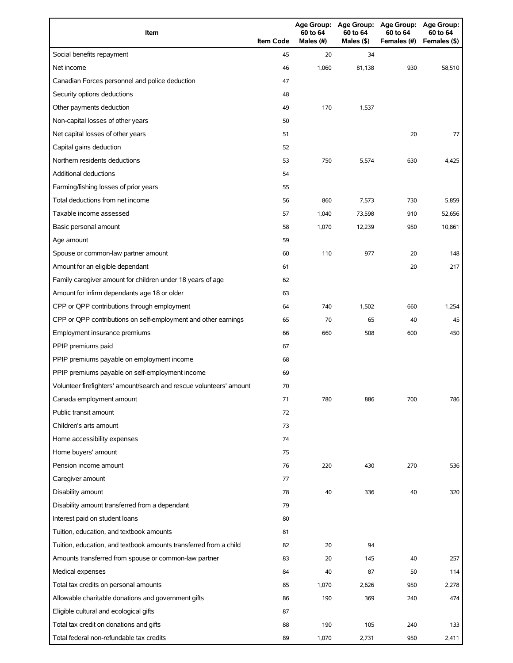| Item                                                                | <b>Item Code</b> | <b>Age Group:</b><br>60 to 64<br>Males (#) | <b>Age Group:</b><br>60 to 64<br>Males (\$) | Age Group:<br>60 to 64<br>Females (#) | Age Group:<br>60 to 64<br>Females (\$) |
|---------------------------------------------------------------------|------------------|--------------------------------------------|---------------------------------------------|---------------------------------------|----------------------------------------|
| Social benefits repayment                                           | 45               | 20                                         | 34                                          |                                       |                                        |
| Net income                                                          | 46               | 1,060                                      | 81,138                                      | 930                                   | 58,510                                 |
| Canadian Forces personnel and police deduction                      | 47               |                                            |                                             |                                       |                                        |
| Security options deductions                                         | 48               |                                            |                                             |                                       |                                        |
| Other payments deduction                                            | 49               | 170                                        | 1,537                                       |                                       |                                        |
| Non-capital losses of other years                                   | 50               |                                            |                                             |                                       |                                        |
| Net capital losses of other years                                   | 51               |                                            |                                             | 20                                    | 77                                     |
| Capital gains deduction                                             | 52               |                                            |                                             |                                       |                                        |
| Northern residents deductions                                       | 53               | 750                                        | 5,574                                       | 630                                   | 4,425                                  |
| <b>Additional deductions</b>                                        | 54               |                                            |                                             |                                       |                                        |
| Farming/fishing losses of prior years                               | 55               |                                            |                                             |                                       |                                        |
| Total deductions from net income                                    | 56               | 860                                        | 7,573                                       | 730                                   | 5,859                                  |
| Taxable income assessed                                             | 57               | 1,040                                      | 73,598                                      | 910                                   | 52,656                                 |
| Basic personal amount                                               | 58               | 1,070                                      | 12,239                                      | 950                                   | 10,861                                 |
| Age amount                                                          | 59               |                                            |                                             |                                       |                                        |
| Spouse or common-law partner amount                                 | 60               | 110                                        | 977                                         | 20                                    | 148                                    |
| Amount for an eligible dependant                                    | 61               |                                            |                                             | 20                                    | 217                                    |
| Family caregiver amount for children under 18 years of age          | 62               |                                            |                                             |                                       |                                        |
| Amount for infirm dependants age 18 or older                        | 63               |                                            |                                             |                                       |                                        |
| CPP or QPP contributions through employment                         | 64               | 740                                        | 1,502                                       | 660                                   | 1,254                                  |
| CPP or QPP contributions on self-employment and other earnings      | 65               | 70                                         | 65                                          | 40                                    | 45                                     |
| Employment insurance premiums                                       | 66               | 660                                        | 508                                         | 600                                   | 450                                    |
| PPIP premiums paid                                                  | 67               |                                            |                                             |                                       |                                        |
| PPIP premiums payable on employment income                          | 68               |                                            |                                             |                                       |                                        |
| PPIP premiums payable on self-employment income                     | 69               |                                            |                                             |                                       |                                        |
| Volunteer firefighters' amount/search and rescue volunteers' amount | 70               |                                            |                                             |                                       |                                        |
| Canada employment amount                                            | 71               | 780                                        | 886                                         | 700                                   | 786                                    |
| Public transit amount                                               | 72               |                                            |                                             |                                       |                                        |
| Children's arts amount                                              | 73               |                                            |                                             |                                       |                                        |
| Home accessibility expenses                                         | 74               |                                            |                                             |                                       |                                        |
| Home buyers' amount                                                 | 75               |                                            |                                             |                                       |                                        |
| Pension income amount                                               | 76               | 220                                        | 430                                         | 270                                   | 536                                    |
| Caregiver amount                                                    | 77               |                                            |                                             |                                       |                                        |
| Disability amount                                                   | 78               | 40                                         | 336                                         | 40                                    | 320                                    |
| Disability amount transferred from a dependant                      | 79               |                                            |                                             |                                       |                                        |
| Interest paid on student loans                                      | 80               |                                            |                                             |                                       |                                        |
| Tuition, education, and textbook amounts                            | 81               |                                            |                                             |                                       |                                        |
| Tuition, education, and textbook amounts transferred from a child   | 82               | 20                                         | 94                                          |                                       |                                        |
| Amounts transferred from spouse or common-law partner               | 83               | 20                                         | 145                                         | 40                                    | 257                                    |
| Medical expenses                                                    | 84               | 40                                         | 87                                          | 50                                    | 114                                    |
| Total tax credits on personal amounts                               | 85               | 1,070                                      | 2,626                                       | 950                                   | 2,278                                  |
| Allowable charitable donations and government gifts                 | 86               | 190                                        | 369                                         | 240                                   | 474                                    |
| Eligible cultural and ecological gifts                              | 87               |                                            |                                             |                                       |                                        |
| Total tax credit on donations and gifts                             | 88               | 190                                        | 105                                         | 240                                   | 133                                    |
| Total federal non-refundable tax credits                            | 89               | 1,070                                      | 2,731                                       | 950                                   | 2,411                                  |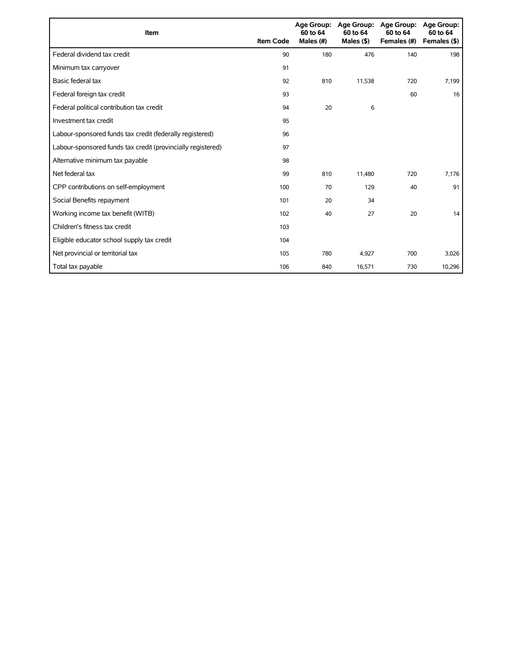| <b>Item</b>                                                 | <b>Item Code</b> | 60 to 64<br>Males (#) | Age Group: Age Group:<br>60 to 64<br>Males $($ \$ $)$ | <b>Age Group:</b><br>60 to 64<br>Females (#) | <b>Age Group:</b><br>60 to 64<br>Females (\$) |
|-------------------------------------------------------------|------------------|-----------------------|-------------------------------------------------------|----------------------------------------------|-----------------------------------------------|
| Federal dividend tax credit                                 | 90               | 180                   | 476                                                   | 140                                          | 198                                           |
| Minimum tax carryover                                       | 91               |                       |                                                       |                                              |                                               |
| Basic federal tax                                           | 92               | 810                   | 11,538                                                | 720                                          | 7,199                                         |
| Federal foreign tax credit                                  | 93               |                       |                                                       | 60                                           | 16                                            |
| Federal political contribution tax credit                   | 94               | 20                    | 6                                                     |                                              |                                               |
| Investment tax credit                                       | 95               |                       |                                                       |                                              |                                               |
| Labour-sponsored funds tax credit (federally registered)    | 96               |                       |                                                       |                                              |                                               |
| Labour-sponsored funds tax credit (provincially registered) | 97               |                       |                                                       |                                              |                                               |
| Alternative minimum tax payable                             | 98               |                       |                                                       |                                              |                                               |
| Net federal tax                                             | 99               | 810                   | 11,480                                                | 720                                          | 7,176                                         |
| CPP contributions on self-employment                        | 100              | 70                    | 129                                                   | 40                                           | 91                                            |
| Social Benefits repayment                                   | 101              | 20                    | 34                                                    |                                              |                                               |
| Working income tax benefit (WITB)                           | 102              | 40                    | 27                                                    | 20                                           | 14                                            |
| Children's fitness tax credit                               | 103              |                       |                                                       |                                              |                                               |
| Eligible educator school supply tax credit                  | 104              |                       |                                                       |                                              |                                               |
| Net provincial or territorial tax                           | 105              | 780                   | 4,927                                                 | 700                                          | 3,026                                         |
| Total tax payable                                           | 106              | 840                   | 16,571                                                | 730                                          | 10,296                                        |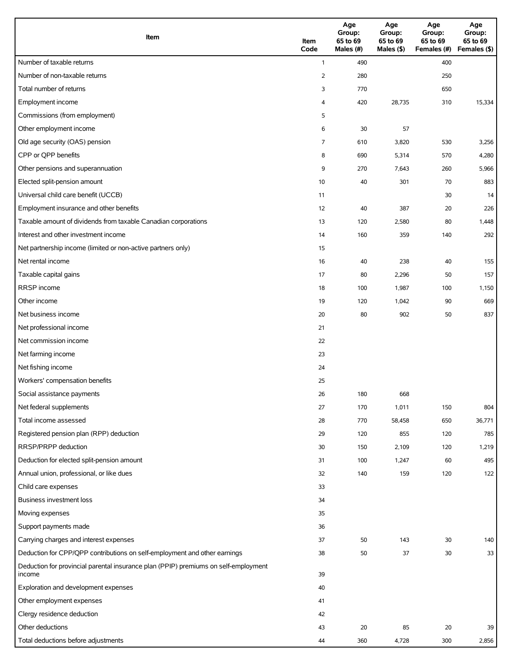| Item                                                                                          | Item<br>Code | Age<br>Group:<br>65 to 69<br>Males (#) | Age<br>Group:<br>65 to 69<br>Males (\$) | Age<br>Group:<br>65 to 69<br>Females (#) | Age<br>Group:<br>65 to 69<br>Females (\$) |
|-----------------------------------------------------------------------------------------------|--------------|----------------------------------------|-----------------------------------------|------------------------------------------|-------------------------------------------|
| Number of taxable returns                                                                     | $\mathbf{1}$ | 490                                    |                                         | 400                                      |                                           |
| Number of non-taxable returns                                                                 | 2            | 280                                    |                                         | 250                                      |                                           |
| Total number of returns                                                                       | 3            | 770                                    |                                         | 650                                      |                                           |
| Employment income                                                                             | 4            | 420                                    | 28,735                                  | 310                                      | 15,334                                    |
| Commissions (from employment)                                                                 | 5            |                                        |                                         |                                          |                                           |
| Other employment income                                                                       | 6            | 30                                     | 57                                      |                                          |                                           |
| Old age security (OAS) pension                                                                | 7            | 610                                    | 3,820                                   | 530                                      | 3,256                                     |
| CPP or QPP benefits                                                                           | 8            | 690                                    | 5,314                                   | 570                                      | 4,280                                     |
| Other pensions and superannuation                                                             | 9            | 270                                    | 7,643                                   | 260                                      | 5,966                                     |
| Elected split-pension amount                                                                  | 10           | 40                                     | 301                                     | 70                                       | 883                                       |
| Universal child care benefit (UCCB)                                                           | 11           |                                        |                                         | 30                                       | 14                                        |
| Employment insurance and other benefits                                                       | 12           | 40                                     | 387                                     | 20                                       | 226                                       |
| Taxable amount of dividends from taxable Canadian corporations                                | 13           | 120                                    | 2,580                                   | 80                                       | 1,448                                     |
| Interest and other investment income                                                          | 14           | 160                                    | 359                                     | 140                                      | 292                                       |
| Net partnership income (limited or non-active partners only)                                  | 15           |                                        |                                         |                                          |                                           |
| Net rental income                                                                             | 16           | 40                                     | 238                                     | 40                                       | 155                                       |
| Taxable capital gains                                                                         | 17           | 80                                     | 2,296                                   | 50                                       | 157                                       |
| RRSP income                                                                                   | 18           | 100                                    | 1,987                                   | 100                                      | 1,150                                     |
| Other income                                                                                  | 19           | 120                                    | 1,042                                   | 90                                       | 669                                       |
| Net business income                                                                           | 20           | 80                                     | 902                                     | 50                                       | 837                                       |
| Net professional income                                                                       | 21           |                                        |                                         |                                          |                                           |
| Net commission income                                                                         | 22           |                                        |                                         |                                          |                                           |
| Net farming income                                                                            | 23           |                                        |                                         |                                          |                                           |
| Net fishing income                                                                            | 24           |                                        |                                         |                                          |                                           |
| Workers' compensation benefits                                                                | 25           |                                        |                                         |                                          |                                           |
| Social assistance payments                                                                    | 26           | 180                                    | 668                                     |                                          |                                           |
| Net federal supplements                                                                       | 27           | 170                                    | 1,011                                   | 150                                      | 804                                       |
| Total income assessed                                                                         | 28           | 770                                    | 58,458                                  | 650                                      | 36,771                                    |
| Registered pension plan (RPP) deduction                                                       | 29           | 120                                    | 855                                     | 120                                      | 785                                       |
| RRSP/PRPP deduction                                                                           | 30           | 150                                    | 2,109                                   | 120                                      | 1,219                                     |
| Deduction for elected split-pension amount                                                    | 31           | 100                                    | 1,247                                   | 60                                       | 495                                       |
| Annual union, professional, or like dues                                                      | 32           | 140                                    | 159                                     | 120                                      | 122                                       |
| Child care expenses                                                                           | 33           |                                        |                                         |                                          |                                           |
| <b>Business investment loss</b>                                                               | 34           |                                        |                                         |                                          |                                           |
| Moving expenses                                                                               | 35           |                                        |                                         |                                          |                                           |
| Support payments made                                                                         | 36           |                                        |                                         |                                          |                                           |
| Carrying charges and interest expenses                                                        | 37           | 50                                     | 143                                     | 30                                       | 140                                       |
| Deduction for CPP/QPP contributions on self-employment and other earnings                     | 38           | 50                                     | 37                                      | 30                                       | 33                                        |
| Deduction for provincial parental insurance plan (PPIP) premiums on self-employment<br>income | 39           |                                        |                                         |                                          |                                           |
| Exploration and development expenses                                                          | 40           |                                        |                                         |                                          |                                           |
| Other employment expenses                                                                     | 41           |                                        |                                         |                                          |                                           |
| Clergy residence deduction                                                                    | 42           |                                        |                                         |                                          |                                           |
| Other deductions                                                                              | 43           | 20                                     | 85                                      | 20                                       | 39                                        |
| Total deductions before adjustments                                                           | 44           | 360                                    | 4,728                                   | 300                                      | 2,856                                     |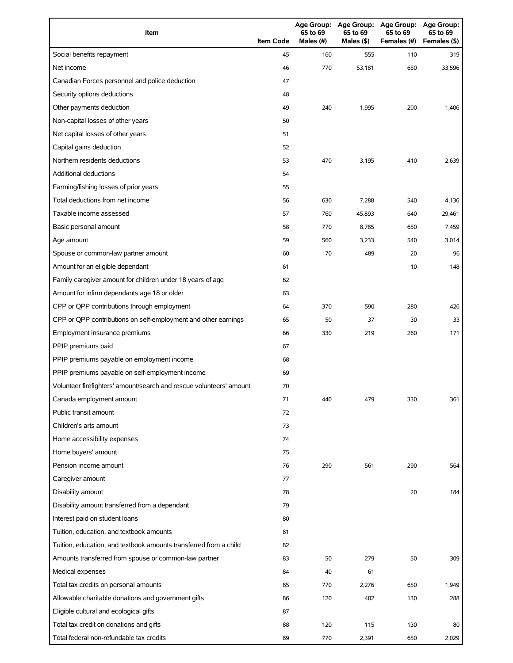| Item                                                                | <b>Item Code</b> | 65 to 69<br>Males (#) | 65 to 69<br>Males (\$) | Age Group: Age Group: Age Group: Age Group:<br>65 to 69<br>Females (#) | 65 to 69<br>Females (\$) |
|---------------------------------------------------------------------|------------------|-----------------------|------------------------|------------------------------------------------------------------------|--------------------------|
| Social benefits repayment                                           | 45               | 160                   | 555                    | 110                                                                    | 319                      |
| Net income                                                          | 46               | 770                   | 53,181                 | 650                                                                    | 33,596                   |
| Canadian Forces personnel and police deduction                      | 47               |                       |                        |                                                                        |                          |
| Security options deductions                                         | 48               |                       |                        |                                                                        |                          |
| Other payments deduction                                            | 49               | 240                   | 1,995                  | 200                                                                    | 1,406                    |
| Non-capital losses of other years                                   | 50               |                       |                        |                                                                        |                          |
| Net capital losses of other years                                   | 51               |                       |                        |                                                                        |                          |
| Capital gains deduction                                             | 52               |                       |                        |                                                                        |                          |
| Northern residents deductions                                       | 53               | 470                   | 3,195                  | 410                                                                    | 2,639                    |
| Additional deductions                                               | 54               |                       |                        |                                                                        |                          |
| Farming/fishing losses of prior years                               | 55               |                       |                        |                                                                        |                          |
| Total deductions from net income                                    | 56               | 630                   | 7,288                  | 540                                                                    | 4,136                    |
| Taxable income assessed                                             | 57               | 760                   | 45,893                 | 640                                                                    | 29,461                   |
| Basic personal amount                                               | 58               | 770                   | 8,785                  | 650                                                                    | 7,459                    |
| Age amount                                                          | 59               | 560                   | 3,233                  | 540                                                                    | 3,014                    |
| Spouse or common-law partner amount                                 | 60               | 70                    | 489                    | 20                                                                     | 96                       |
| Amount for an eligible dependant                                    | 61               |                       |                        | 10                                                                     | 148                      |
| Family caregiver amount for children under 18 years of age          | 62               |                       |                        |                                                                        |                          |
| Amount for infirm dependants age 18 or older                        | 63               |                       |                        |                                                                        |                          |
| CPP or QPP contributions through employment                         | 64               | 370                   | 590                    | 280                                                                    | 426                      |
| CPP or QPP contributions on self-employment and other earnings      | 65               | 50                    | 37                     | 30                                                                     | 33                       |
| Employment insurance premiums                                       | 66               | 330                   | 219                    | 260                                                                    | 171                      |
| PPIP premiums paid                                                  | 67               |                       |                        |                                                                        |                          |
| PPIP premiums payable on employment income                          | 68               |                       |                        |                                                                        |                          |
| PPIP premiums payable on self-employment income                     | 69               |                       |                        |                                                                        |                          |
| Volunteer firefighters' amount/search and rescue volunteers' amount | 70               |                       |                        |                                                                        |                          |
| Canada employment amount                                            | 71               | 440                   | 479                    | 330                                                                    | 361                      |
| Public transit amount                                               | 72               |                       |                        |                                                                        |                          |
| Children's arts amount                                              | 73               |                       |                        |                                                                        |                          |
| Home accessibility expenses                                         | 74               |                       |                        |                                                                        |                          |
| Home buyers' amount                                                 | 75               |                       |                        |                                                                        |                          |
| Pension income amount                                               | 76               | 290                   | 561                    | 290                                                                    | 564                      |
| Caregiver amount                                                    | 77               |                       |                        |                                                                        |                          |
| Disability amount                                                   | 78               |                       |                        | 20                                                                     | 184                      |
| Disability amount transferred from a dependant                      | 79               |                       |                        |                                                                        |                          |
| Interest paid on student loans                                      | 80               |                       |                        |                                                                        |                          |
| Tuition, education, and textbook amounts                            | 81               |                       |                        |                                                                        |                          |
| Tuition, education, and textbook amounts transferred from a child   | 82               |                       |                        |                                                                        |                          |
| Amounts transferred from spouse or common-law partner               | 83               | 50                    | 279                    | 50                                                                     | 309                      |
| Medical expenses                                                    | 84               | 40                    | 61                     |                                                                        |                          |
| Total tax credits on personal amounts                               | 85               | 770                   | 2,276                  | 650                                                                    | 1,949                    |
| Allowable charitable donations and government gifts                 | 86               | 120                   | 402                    | 130                                                                    | 288                      |
| Eligible cultural and ecological gifts                              | 87               |                       |                        |                                                                        |                          |
| Total tax credit on donations and gifts                             | 88               | 120                   | 115                    | 130                                                                    | 80                       |
| Total federal non-refundable tax credits                            | 89               | 770                   | 2,391                  | 650                                                                    | 2,029                    |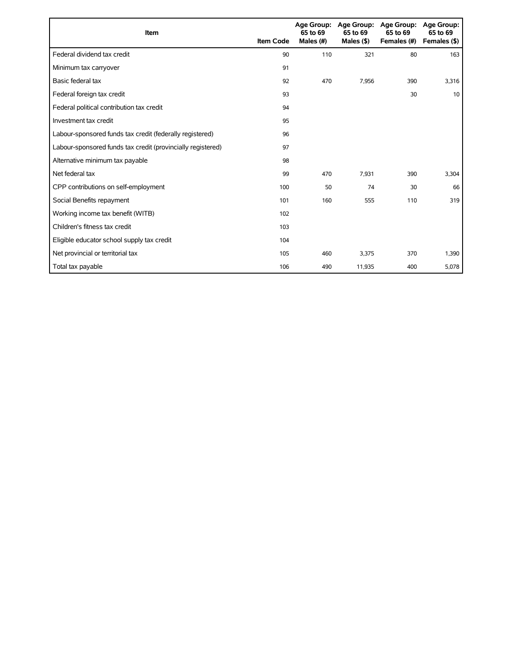| <b>Item</b>                                                 | <b>Item Code</b> | 65 to 69<br>Males (#) | Age Group: Age Group:<br>65 to 69<br>Males $($ \$ $)$ | <b>Age Group:</b><br>65 to 69<br>Females (#) | Age Group:<br>65 to 69<br>Females (\$) |
|-------------------------------------------------------------|------------------|-----------------------|-------------------------------------------------------|----------------------------------------------|----------------------------------------|
| Federal dividend tax credit                                 | 90               | 110                   | 321                                                   | 80                                           | 163                                    |
| Minimum tax carryover                                       | 91               |                       |                                                       |                                              |                                        |
| Basic federal tax                                           | 92               | 470                   | 7,956                                                 | 390                                          | 3,316                                  |
| Federal foreign tax credit                                  | 93               |                       |                                                       | 30                                           | 10                                     |
| Federal political contribution tax credit                   | 94               |                       |                                                       |                                              |                                        |
| Investment tax credit                                       | 95               |                       |                                                       |                                              |                                        |
| Labour-sponsored funds tax credit (federally registered)    | 96               |                       |                                                       |                                              |                                        |
| Labour-sponsored funds tax credit (provincially registered) | 97               |                       |                                                       |                                              |                                        |
| Alternative minimum tax payable                             | 98               |                       |                                                       |                                              |                                        |
| Net federal tax                                             | 99               | 470                   | 7,931                                                 | 390                                          | 3,304                                  |
| CPP contributions on self-employment                        | 100              | 50                    | 74                                                    | 30                                           | 66                                     |
| Social Benefits repayment                                   | 101              | 160                   | 555                                                   | 110                                          | 319                                    |
| Working income tax benefit (WITB)                           | 102              |                       |                                                       |                                              |                                        |
| Children's fitness tax credit                               | 103              |                       |                                                       |                                              |                                        |
| Eligible educator school supply tax credit                  | 104              |                       |                                                       |                                              |                                        |
| Net provincial or territorial tax                           | 105              | 460                   | 3,375                                                 | 370                                          | 1,390                                  |
| Total tax payable                                           | 106              | 490                   | 11,935                                                | 400                                          | 5,078                                  |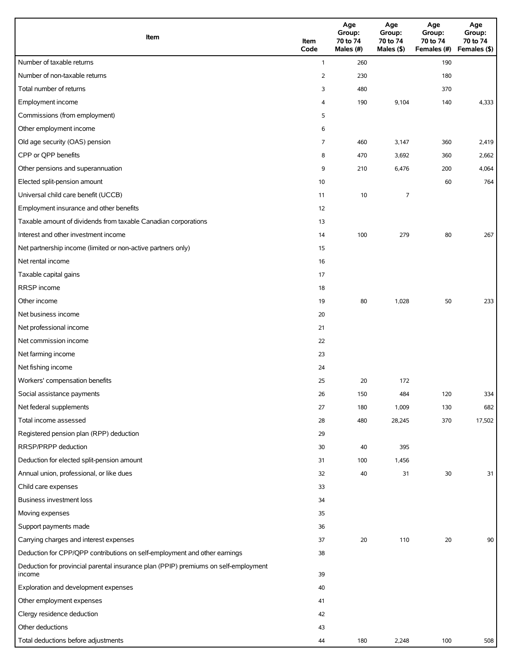| Item                                                                                          | Item<br>Code   | Age<br>Group:<br>70 to 74<br>Males (#) | Age<br>Group:<br>70 to 74<br>Males (\$) | Age<br>Group:<br>70 to 74<br>Females (#) | Age<br>Group:<br>70 to 74<br>Females (\$) |
|-----------------------------------------------------------------------------------------------|----------------|----------------------------------------|-----------------------------------------|------------------------------------------|-------------------------------------------|
| Number of taxable returns                                                                     | $\mathbf{1}$   | 260                                    |                                         | 190                                      |                                           |
| Number of non-taxable returns                                                                 | $\overline{2}$ | 230                                    |                                         | 180                                      |                                           |
| Total number of returns                                                                       | 3              | 480                                    |                                         | 370                                      |                                           |
| Employment income                                                                             | 4              | 190                                    | 9,104                                   | 140                                      | 4,333                                     |
| Commissions (from employment)                                                                 | 5              |                                        |                                         |                                          |                                           |
| Other employment income                                                                       | 6              |                                        |                                         |                                          |                                           |
| Old age security (OAS) pension                                                                | 7              | 460                                    | 3,147                                   | 360                                      | 2,419                                     |
| CPP or QPP benefits                                                                           | 8              | 470                                    | 3,692                                   | 360                                      | 2,662                                     |
| Other pensions and superannuation                                                             | 9              | 210                                    | 6,476                                   | 200                                      | 4,064                                     |
| Elected split-pension amount                                                                  | 10             |                                        |                                         | 60                                       | 764                                       |
| Universal child care benefit (UCCB)                                                           | 11             | 10                                     | 7                                       |                                          |                                           |
| Employment insurance and other benefits                                                       | 12             |                                        |                                         |                                          |                                           |
| Taxable amount of dividends from taxable Canadian corporations                                | 13             |                                        |                                         |                                          |                                           |
| Interest and other investment income                                                          | 14             | 100                                    | 279                                     | 80                                       | 267                                       |
| Net partnership income (limited or non-active partners only)                                  | 15             |                                        |                                         |                                          |                                           |
| Net rental income                                                                             | 16             |                                        |                                         |                                          |                                           |
| Taxable capital gains                                                                         | 17             |                                        |                                         |                                          |                                           |
| RRSP income                                                                                   | 18             |                                        |                                         |                                          |                                           |
| Other income                                                                                  | 19             | 80                                     | 1,028                                   | 50                                       | 233                                       |
| Net business income                                                                           | 20             |                                        |                                         |                                          |                                           |
| Net professional income                                                                       | 21             |                                        |                                         |                                          |                                           |
| Net commission income                                                                         | 22             |                                        |                                         |                                          |                                           |
| Net farming income                                                                            | 23             |                                        |                                         |                                          |                                           |
| Net fishing income                                                                            | 24             |                                        |                                         |                                          |                                           |
| Workers' compensation benefits                                                                | 25             | 20                                     | 172                                     |                                          |                                           |
| Social assistance payments                                                                    | 26             | 150                                    | 484                                     | 120                                      | 334                                       |
| Net federal supplements                                                                       | 27             | 180                                    | 1,009                                   | 130                                      | 682                                       |
| Total income assessed                                                                         | 28             | 480                                    | 28,245                                  | 370                                      | 17,502                                    |
| Registered pension plan (RPP) deduction                                                       | 29             |                                        |                                         |                                          |                                           |
| RRSP/PRPP deduction                                                                           | 30             | 40                                     | 395                                     |                                          |                                           |
| Deduction for elected split-pension amount                                                    | 31             | 100                                    | 1,456                                   |                                          |                                           |
| Annual union, professional, or like dues                                                      | 32             | 40                                     | 31                                      | 30                                       | 31                                        |
| Child care expenses                                                                           | 33             |                                        |                                         |                                          |                                           |
| <b>Business investment loss</b>                                                               | 34             |                                        |                                         |                                          |                                           |
| Moving expenses                                                                               | 35             |                                        |                                         |                                          |                                           |
| Support payments made                                                                         | 36             |                                        |                                         |                                          |                                           |
| Carrying charges and interest expenses                                                        | 37             | 20                                     | 110                                     | 20                                       | 90                                        |
| Deduction for CPP/QPP contributions on self-employment and other earnings                     | 38             |                                        |                                         |                                          |                                           |
| Deduction for provincial parental insurance plan (PPIP) premiums on self-employment<br>income | 39             |                                        |                                         |                                          |                                           |
| Exploration and development expenses                                                          | 40             |                                        |                                         |                                          |                                           |
| Other employment expenses                                                                     | 41             |                                        |                                         |                                          |                                           |
| Clergy residence deduction                                                                    | 42             |                                        |                                         |                                          |                                           |
| Other deductions                                                                              | 43             |                                        |                                         |                                          |                                           |
| Total deductions before adjustments                                                           | 44             | 180                                    | 2,248                                   | 100                                      | 508                                       |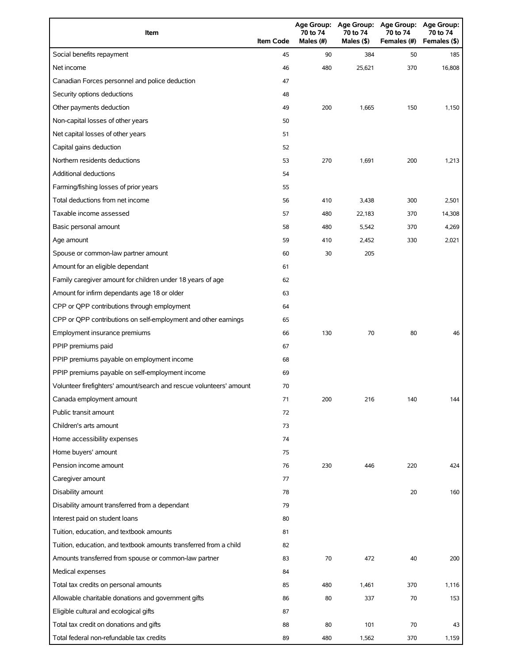| Item                                                                | <b>Item Code</b> | 70 to 74<br>Males $(H)$ | 70 to 74<br>Males (\$) | Age Group: Age Group: Age Group:<br>70 to 74<br>Females (#) | <b>Age Group:</b><br>70 to 74<br>Females (\$) |
|---------------------------------------------------------------------|------------------|-------------------------|------------------------|-------------------------------------------------------------|-----------------------------------------------|
| Social benefits repayment                                           | 45               | 90                      | 384                    | 50                                                          | 185                                           |
| Net income                                                          | 46               | 480                     | 25,621                 | 370                                                         | 16,808                                        |
| Canadian Forces personnel and police deduction                      | 47               |                         |                        |                                                             |                                               |
| Security options deductions                                         | 48               |                         |                        |                                                             |                                               |
| Other payments deduction                                            | 49               | 200                     | 1,665                  | 150                                                         | 1,150                                         |
| Non-capital losses of other years                                   | 50               |                         |                        |                                                             |                                               |
| Net capital losses of other years                                   | 51               |                         |                        |                                                             |                                               |
| Capital gains deduction                                             | 52               |                         |                        |                                                             |                                               |
| Northern residents deductions                                       | 53               | 270                     | 1,691                  | 200                                                         | 1,213                                         |
| Additional deductions                                               | 54               |                         |                        |                                                             |                                               |
| Farming/fishing losses of prior years                               | 55               |                         |                        |                                                             |                                               |
| Total deductions from net income                                    | 56               | 410                     | 3,438                  | 300                                                         | 2,501                                         |
| Taxable income assessed                                             | 57               | 480                     | 22,183                 | 370                                                         | 14,308                                        |
| Basic personal amount                                               | 58               | 480                     | 5,542                  | 370                                                         | 4,269                                         |
| Age amount                                                          | 59               | 410                     | 2,452                  | 330                                                         | 2,021                                         |
| Spouse or common-law partner amount                                 | 60               | 30                      | 205                    |                                                             |                                               |
| Amount for an eligible dependant                                    | 61               |                         |                        |                                                             |                                               |
| Family caregiver amount for children under 18 years of age          | 62               |                         |                        |                                                             |                                               |
| Amount for infirm dependants age 18 or older                        | 63               |                         |                        |                                                             |                                               |
| CPP or QPP contributions through employment                         | 64               |                         |                        |                                                             |                                               |
| CPP or QPP contributions on self-employment and other earnings      | 65               |                         |                        |                                                             |                                               |
| Employment insurance premiums                                       | 66               | 130                     | 70                     | 80                                                          | 46                                            |
| PPIP premiums paid                                                  | 67               |                         |                        |                                                             |                                               |
| PPIP premiums payable on employment income                          | 68               |                         |                        |                                                             |                                               |
| PPIP premiums payable on self-employment income                     | 69               |                         |                        |                                                             |                                               |
| Volunteer firefighters' amount/search and rescue volunteers' amount | 70               |                         |                        |                                                             |                                               |
| Canada employment amount                                            | 71               | 200                     | 216                    | 140                                                         | 144                                           |
| Public transit amount                                               | 72               |                         |                        |                                                             |                                               |
| Children's arts amount                                              | 73               |                         |                        |                                                             |                                               |
| Home accessibility expenses                                         | 74               |                         |                        |                                                             |                                               |
| Home buyers' amount                                                 | 75               |                         |                        |                                                             |                                               |
| Pension income amount                                               | 76               | 230                     | 446                    | 220                                                         | 424                                           |
| Caregiver amount                                                    | 77               |                         |                        |                                                             |                                               |
| Disability amount                                                   | 78               |                         |                        | 20                                                          | 160                                           |
| Disability amount transferred from a dependant                      | 79               |                         |                        |                                                             |                                               |
| Interest paid on student loans                                      | 80               |                         |                        |                                                             |                                               |
| Tuition, education, and textbook amounts                            | 81               |                         |                        |                                                             |                                               |
| Tuition, education, and textbook amounts transferred from a child   | 82               |                         |                        |                                                             |                                               |
| Amounts transferred from spouse or common-law partner               | 83               | 70                      | 472                    | 40                                                          | 200                                           |
| Medical expenses                                                    | 84               |                         |                        |                                                             |                                               |
| Total tax credits on personal amounts                               | 85               | 480                     | 1,461                  | 370                                                         | 1,116                                         |
| Allowable charitable donations and government gifts                 | 86               | 80                      | 337                    | 70                                                          | 153                                           |
| Eligible cultural and ecological gifts                              | 87               |                         |                        |                                                             |                                               |
| Total tax credit on donations and gifts                             | 88               | 80                      | 101                    | 70                                                          | 43                                            |
| Total federal non-refundable tax credits                            | 89               | 480                     | 1,562                  | 370                                                         | 1,159                                         |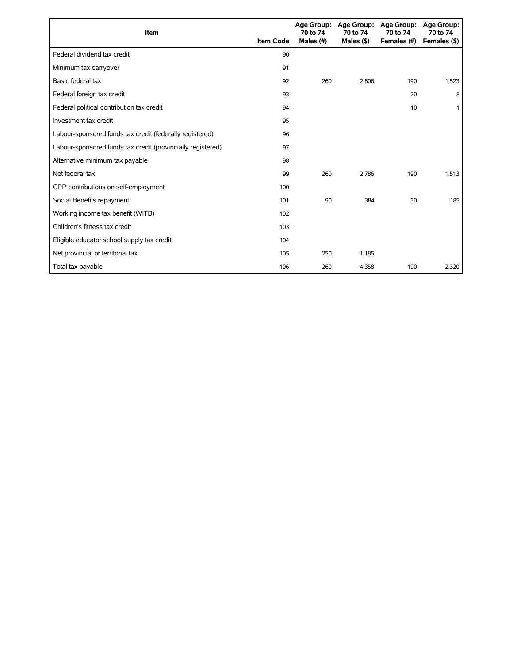| <b>Item</b>                                                 | <b>Item Code</b> | 70 to 74<br>Males (#) | Age Group: Age Group:<br>70 to 74<br>Males $($ \$) | <b>Age Group:</b><br>70 to 74<br>Females (#) | <b>Age Group:</b><br>70 to 74<br>Females (\$) |
|-------------------------------------------------------------|------------------|-----------------------|----------------------------------------------------|----------------------------------------------|-----------------------------------------------|
| Federal dividend tax credit                                 | 90               |                       |                                                    |                                              |                                               |
| Minimum tax carryover                                       | 91               |                       |                                                    |                                              |                                               |
| Basic federal tax                                           | 92               | 260                   | 2.806                                              | 190                                          | 1,523                                         |
| Federal foreign tax credit                                  | 93               |                       |                                                    | 20                                           | 8                                             |
| Federal political contribution tax credit                   | 94               |                       |                                                    | 10                                           |                                               |
| Investment tax credit                                       | 95               |                       |                                                    |                                              |                                               |
| Labour-sponsored funds tax credit (federally registered)    | 96               |                       |                                                    |                                              |                                               |
| Labour-sponsored funds tax credit (provincially registered) | 97               |                       |                                                    |                                              |                                               |
| Alternative minimum tax payable                             | 98               |                       |                                                    |                                              |                                               |
| Net federal tax                                             | 99               | 260                   | 2.786                                              | 190                                          | 1,513                                         |
| CPP contributions on self-employment                        | 100              |                       |                                                    |                                              |                                               |
| Social Benefits repayment                                   | 101              | 90                    | 384                                                | 50                                           | 185                                           |
| Working income tax benefit (WITB)                           | 102              |                       |                                                    |                                              |                                               |
| Children's fitness tax credit                               | 103              |                       |                                                    |                                              |                                               |
| Eligible educator school supply tax credit                  | 104              |                       |                                                    |                                              |                                               |
| Net provincial or territorial tax                           | 105              | 250                   | 1,185                                              |                                              |                                               |
| Total tax payable                                           | 106              | 260                   | 4,358                                              | 190                                          | 2,320                                         |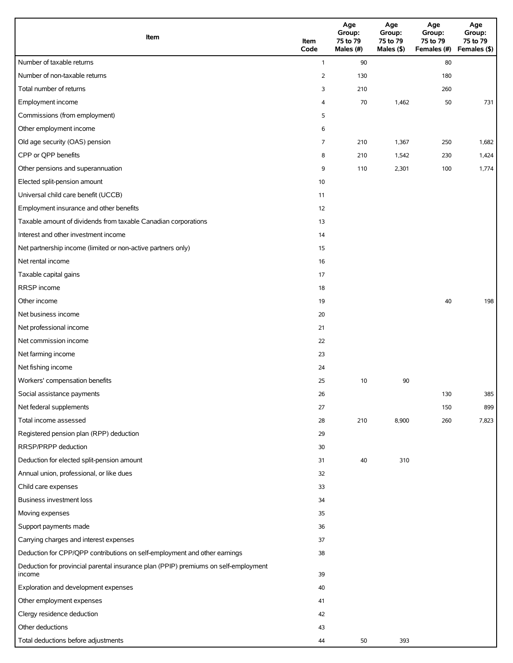| Item                                                                                          | Item<br>Code   | Age<br>Group:<br>75 to 79<br>Males (\$)<br>Males (#) |       | Age<br>Group:<br>75 to 79<br>Females (#) | Age<br>Group:<br>75 to 79<br>Females (\$) |
|-----------------------------------------------------------------------------------------------|----------------|------------------------------------------------------|-------|------------------------------------------|-------------------------------------------|
| Number of taxable returns                                                                     | $\mathbf{1}$   | 90                                                   |       | 80                                       |                                           |
| Number of non-taxable returns                                                                 | $\overline{2}$ | 130                                                  |       | 180                                      |                                           |
| Total number of returns                                                                       | 3              | 210                                                  |       | 260                                      |                                           |
| Employment income                                                                             | 4              | 70                                                   | 1,462 | 50                                       | 731                                       |
| Commissions (from employment)                                                                 | 5              |                                                      |       |                                          |                                           |
| Other employment income                                                                       | 6              |                                                      |       |                                          |                                           |
| Old age security (OAS) pension                                                                | 7              | 210                                                  | 1,367 | 250                                      | 1,682                                     |
| CPP or QPP benefits                                                                           | 8              | 210                                                  | 1,542 | 230                                      | 1,424                                     |
| Other pensions and superannuation                                                             | 9              | 110                                                  | 2,301 | 100                                      | 1,774                                     |
| Elected split-pension amount                                                                  | 10             |                                                      |       |                                          |                                           |
| Universal child care benefit (UCCB)                                                           | 11             |                                                      |       |                                          |                                           |
| Employment insurance and other benefits                                                       | 12             |                                                      |       |                                          |                                           |
| Taxable amount of dividends from taxable Canadian corporations                                | 13             |                                                      |       |                                          |                                           |
| Interest and other investment income                                                          | 14             |                                                      |       |                                          |                                           |
| Net partnership income (limited or non-active partners only)                                  | 15             |                                                      |       |                                          |                                           |
| Net rental income                                                                             | 16             |                                                      |       |                                          |                                           |
| Taxable capital gains                                                                         | 17             |                                                      |       |                                          |                                           |
| RRSP income                                                                                   | 18             |                                                      |       |                                          |                                           |
| Other income                                                                                  | 19             |                                                      |       | 40                                       | 198                                       |
| Net business income                                                                           | 20             |                                                      |       |                                          |                                           |
| Net professional income                                                                       | 21             |                                                      |       |                                          |                                           |
| Net commission income                                                                         | 22             |                                                      |       |                                          |                                           |
| Net farming income                                                                            | 23             |                                                      |       |                                          |                                           |
| Net fishing income                                                                            | 24             |                                                      |       |                                          |                                           |
| Workers' compensation benefits                                                                | 25             | 10                                                   | 90    |                                          |                                           |
| Social assistance payments                                                                    | 26             |                                                      |       | 130                                      | 385                                       |
| Net federal supplements                                                                       | 27             |                                                      |       | 150                                      | 899                                       |
| Total income assessed                                                                         | 28             | 210                                                  | 8,900 | 260                                      | 7,823                                     |
| Registered pension plan (RPP) deduction                                                       | 29             |                                                      |       |                                          |                                           |
| RRSP/PRPP deduction                                                                           | 30             |                                                      |       |                                          |                                           |
| Deduction for elected split-pension amount                                                    | 31             | 40                                                   | 310   |                                          |                                           |
| Annual union, professional, or like dues                                                      | 32             |                                                      |       |                                          |                                           |
| Child care expenses                                                                           | 33             |                                                      |       |                                          |                                           |
| Business investment loss                                                                      | 34             |                                                      |       |                                          |                                           |
| Moving expenses                                                                               | 35             |                                                      |       |                                          |                                           |
| Support payments made                                                                         | 36             |                                                      |       |                                          |                                           |
| Carrying charges and interest expenses                                                        | 37             |                                                      |       |                                          |                                           |
| Deduction for CPP/QPP contributions on self-employment and other earnings                     | 38             |                                                      |       |                                          |                                           |
| Deduction for provincial parental insurance plan (PPIP) premiums on self-employment<br>income | 39             |                                                      |       |                                          |                                           |
| Exploration and development expenses                                                          | 40             |                                                      |       |                                          |                                           |
| Other employment expenses                                                                     | 41             |                                                      |       |                                          |                                           |
| Clergy residence deduction                                                                    | 42             |                                                      |       |                                          |                                           |
| Other deductions                                                                              | 43             |                                                      |       |                                          |                                           |
| Total deductions before adjustments                                                           | 44             | 50                                                   | 393   |                                          |                                           |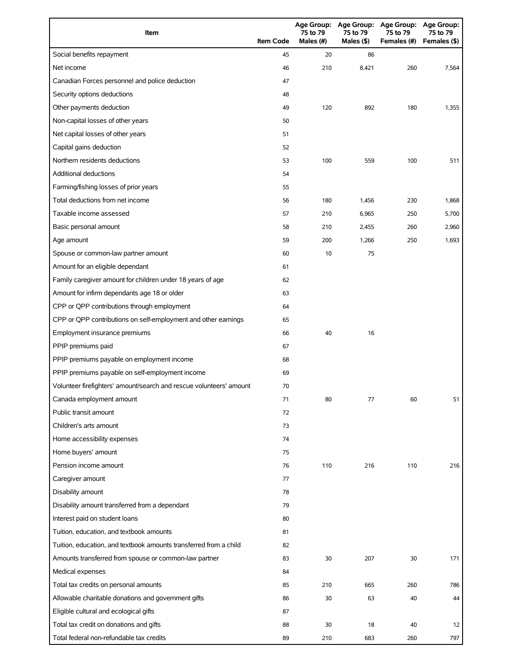| Item                                                                | <b>Item Code</b> | 75 to 79<br>Males (#) | 75 to 79<br>Males (\$) | Age Group: Age Group: Age Group:<br>75 to 79<br>Females (#) | <b>Age Group:</b><br>75 to 79<br>Females (\$) |
|---------------------------------------------------------------------|------------------|-----------------------|------------------------|-------------------------------------------------------------|-----------------------------------------------|
| Social benefits repayment                                           | 45               | 20                    | 86                     |                                                             |                                               |
| Net income                                                          | 46               | 210                   | 8,421                  | 260                                                         | 7,564                                         |
| Canadian Forces personnel and police deduction                      | 47               |                       |                        |                                                             |                                               |
| Security options deductions                                         | 48               |                       |                        |                                                             |                                               |
| Other payments deduction                                            | 49               | 120                   | 892                    | 180                                                         | 1,355                                         |
| Non-capital losses of other years                                   | 50               |                       |                        |                                                             |                                               |
| Net capital losses of other years                                   | 51               |                       |                        |                                                             |                                               |
| Capital gains deduction                                             | 52               |                       |                        |                                                             |                                               |
| Northern residents deductions                                       | 53               | 100                   | 559                    | 100                                                         | 511                                           |
| Additional deductions                                               | 54               |                       |                        |                                                             |                                               |
| Farming/fishing losses of prior years                               | 55               |                       |                        |                                                             |                                               |
| Total deductions from net income                                    | 56               | 180                   | 1,456                  | 230                                                         | 1,868                                         |
| Taxable income assessed                                             | 57               | 210                   | 6,965                  | 250                                                         | 5,700                                         |
| Basic personal amount                                               | 58               | 210                   | 2,455                  | 260                                                         | 2,960                                         |
| Age amount                                                          | 59               | 200                   | 1,266                  | 250                                                         | 1,693                                         |
| Spouse or common-law partner amount                                 | 60               | 10                    | 75                     |                                                             |                                               |
| Amount for an eligible dependant                                    | 61               |                       |                        |                                                             |                                               |
| Family caregiver amount for children under 18 years of age          | 62               |                       |                        |                                                             |                                               |
| Amount for infirm dependants age 18 or older                        | 63               |                       |                        |                                                             |                                               |
| CPP or QPP contributions through employment                         | 64               |                       |                        |                                                             |                                               |
| CPP or QPP contributions on self-employment and other earnings      | 65               |                       |                        |                                                             |                                               |
| Employment insurance premiums                                       | 66               | 40                    | 16                     |                                                             |                                               |
| PPIP premiums paid                                                  | 67               |                       |                        |                                                             |                                               |
| PPIP premiums payable on employment income                          | 68               |                       |                        |                                                             |                                               |
| PPIP premiums payable on self-employment income                     | 69               |                       |                        |                                                             |                                               |
| Volunteer firefighters' amount/search and rescue volunteers' amount | 70               |                       |                        |                                                             |                                               |
| Canada employment amount                                            | 71               | 80                    | 77                     | 60                                                          | 51                                            |
| Public transit amount                                               | 72               |                       |                        |                                                             |                                               |
| Children's arts amount                                              | 73               |                       |                        |                                                             |                                               |
| Home accessibility expenses                                         | 74               |                       |                        |                                                             |                                               |
| Home buyers' amount                                                 | 75               |                       |                        |                                                             |                                               |
| Pension income amount                                               | 76               | 110                   | 216                    | 110                                                         | 216                                           |
| Caregiver amount                                                    | 77               |                       |                        |                                                             |                                               |
| Disability amount                                                   | 78               |                       |                        |                                                             |                                               |
| Disability amount transferred from a dependant                      | 79               |                       |                        |                                                             |                                               |
| Interest paid on student loans                                      | 80               |                       |                        |                                                             |                                               |
| Tuition, education, and textbook amounts                            | 81               |                       |                        |                                                             |                                               |
| Tuition, education, and textbook amounts transferred from a child   | 82               |                       |                        |                                                             |                                               |
| Amounts transferred from spouse or common-law partner               | 83               | 30                    | 207                    | 30                                                          | 171                                           |
| Medical expenses                                                    | 84               |                       |                        |                                                             |                                               |
| Total tax credits on personal amounts                               | 85               | 210                   | 665                    | 260                                                         | 786                                           |
| Allowable charitable donations and government gifts                 | 86               | 30                    | 63                     | 40                                                          | 44                                            |
| Eligible cultural and ecological gifts                              | 87               |                       |                        |                                                             |                                               |
| Total tax credit on donations and gifts                             | 88               | 30                    | 18                     | 40                                                          | 12                                            |
| Total federal non-refundable tax credits                            | 89               | 210                   | 683                    | 260                                                         | 797                                           |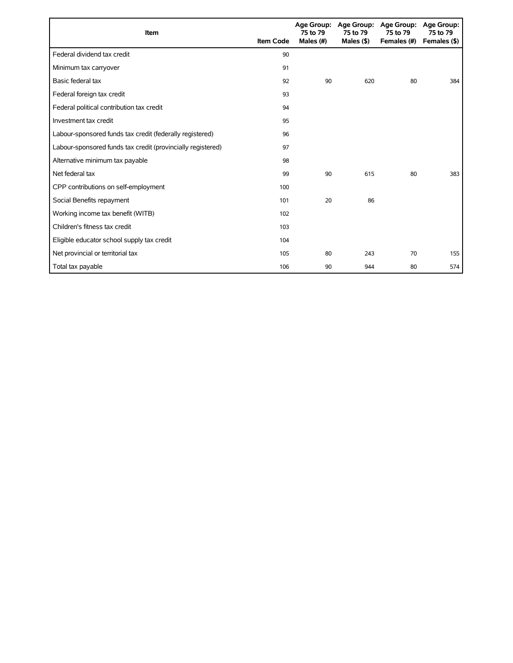| <b>Item</b>                                                 | <b>Item Code</b> | Age Group:<br>75 to 79<br>Males (#) | 75 to 79<br>Males (\$) | Age Group: Age Group:<br>75 to 79<br>Females (#) | Age Group:<br>75 to 79<br>Females (\$) |
|-------------------------------------------------------------|------------------|-------------------------------------|------------------------|--------------------------------------------------|----------------------------------------|
| Federal dividend tax credit                                 | 90               |                                     |                        |                                                  |                                        |
| Minimum tax carryover                                       | 91               |                                     |                        |                                                  |                                        |
| Basic federal tax                                           | 92               | 90                                  | 620                    | 80                                               | 384                                    |
| Federal foreign tax credit                                  | 93               |                                     |                        |                                                  |                                        |
| Federal political contribution tax credit                   | 94               |                                     |                        |                                                  |                                        |
| Investment tax credit                                       | 95               |                                     |                        |                                                  |                                        |
| Labour-sponsored funds tax credit (federally registered)    | 96               |                                     |                        |                                                  |                                        |
| Labour-sponsored funds tax credit (provincially registered) | 97               |                                     |                        |                                                  |                                        |
| Alternative minimum tax payable                             | 98               |                                     |                        |                                                  |                                        |
| Net federal tax                                             | 99               | 90                                  | 615                    | 80                                               | 383                                    |
| CPP contributions on self-employment                        | 100              |                                     |                        |                                                  |                                        |
| Social Benefits repayment                                   | 101              | 20                                  | 86                     |                                                  |                                        |
| Working income tax benefit (WITB)                           | 102              |                                     |                        |                                                  |                                        |
| Children's fitness tax credit                               | 103              |                                     |                        |                                                  |                                        |
| Eligible educator school supply tax credit                  | 104              |                                     |                        |                                                  |                                        |
| Net provincial or territorial tax                           | 105              | 80                                  | 243                    | 70                                               | 155                                    |
| Total tax payable                                           | 106              | 90                                  | 944                    | 80                                               | 574                                    |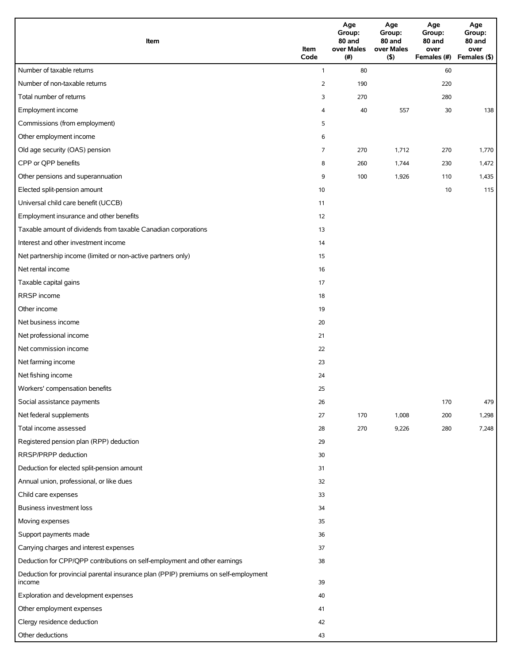| Item                                                                                          | Item<br>Code   | Age<br>Group:<br>80 and<br>over Males<br>(#) | Age<br>Group:<br>80 and<br>over Males<br>(5) | Age<br>Group:<br>80 and<br>over<br>Females (#) | Age<br>Group:<br>80 and<br>over<br>Females (\$) |
|-----------------------------------------------------------------------------------------------|----------------|----------------------------------------------|----------------------------------------------|------------------------------------------------|-------------------------------------------------|
| Number of taxable returns                                                                     | $\mathbf{1}$   | 80                                           |                                              | 60                                             |                                                 |
| Number of non-taxable returns                                                                 | $\overline{2}$ | 190                                          |                                              | 220                                            |                                                 |
| Total number of returns                                                                       | 3              | 270                                          |                                              | 280                                            |                                                 |
| Employment income                                                                             | 4              | 40                                           | 557                                          | 30                                             | 138                                             |
| Commissions (from employment)                                                                 | 5              |                                              |                                              |                                                |                                                 |
| Other employment income                                                                       | 6              |                                              |                                              |                                                |                                                 |
| Old age security (OAS) pension                                                                | 7              | 270                                          | 1,712                                        | 270                                            | 1,770                                           |
| CPP or QPP benefits                                                                           | 8              | 260                                          | 1,744                                        | 230                                            | 1,472                                           |
| Other pensions and superannuation                                                             | 9              | 100                                          | 1,926                                        | 110                                            | 1,435                                           |
| Elected split-pension amount                                                                  | 10             |                                              |                                              | 10                                             | 115                                             |
| Universal child care benefit (UCCB)                                                           | 11             |                                              |                                              |                                                |                                                 |
| Employment insurance and other benefits                                                       | 12             |                                              |                                              |                                                |                                                 |
| Taxable amount of dividends from taxable Canadian corporations                                | 13             |                                              |                                              |                                                |                                                 |
| Interest and other investment income                                                          | 14             |                                              |                                              |                                                |                                                 |
| Net partnership income (limited or non-active partners only)                                  | 15             |                                              |                                              |                                                |                                                 |
| Net rental income                                                                             | 16             |                                              |                                              |                                                |                                                 |
| Taxable capital gains                                                                         | 17             |                                              |                                              |                                                |                                                 |
| RRSP income                                                                                   | 18             |                                              |                                              |                                                |                                                 |
| Other income                                                                                  | 19             |                                              |                                              |                                                |                                                 |
| Net business income                                                                           | 20             |                                              |                                              |                                                |                                                 |
| Net professional income                                                                       | 21             |                                              |                                              |                                                |                                                 |
| Net commission income                                                                         | 22             |                                              |                                              |                                                |                                                 |
| Net farming income                                                                            | 23             |                                              |                                              |                                                |                                                 |
| Net fishing income                                                                            | 24             |                                              |                                              |                                                |                                                 |
| Workers' compensation benefits                                                                | 25             |                                              |                                              |                                                |                                                 |
| Social assistance payments                                                                    | 26             |                                              |                                              | 170                                            | 479                                             |
| Net federal supplements                                                                       | 27             | 170                                          | 1,008                                        | 200                                            | 1,298                                           |
| Total income assessed                                                                         | 28             | 270                                          | 9,226                                        | 280                                            | 7,248                                           |
| Registered pension plan (RPP) deduction                                                       | 29             |                                              |                                              |                                                |                                                 |
| RRSP/PRPP deduction                                                                           | 30             |                                              |                                              |                                                |                                                 |
| Deduction for elected split-pension amount                                                    | 31             |                                              |                                              |                                                |                                                 |
| Annual union, professional, or like dues                                                      | 32             |                                              |                                              |                                                |                                                 |
| Child care expenses                                                                           | 33             |                                              |                                              |                                                |                                                 |
| Business investment loss                                                                      | 34             |                                              |                                              |                                                |                                                 |
| Moving expenses                                                                               | 35             |                                              |                                              |                                                |                                                 |
| Support payments made                                                                         | 36             |                                              |                                              |                                                |                                                 |
| Carrying charges and interest expenses                                                        | 37             |                                              |                                              |                                                |                                                 |
| Deduction for CPP/QPP contributions on self-employment and other earnings                     | 38             |                                              |                                              |                                                |                                                 |
| Deduction for provincial parental insurance plan (PPIP) premiums on self-employment<br>income | 39             |                                              |                                              |                                                |                                                 |
| Exploration and development expenses                                                          | 40             |                                              |                                              |                                                |                                                 |
| Other employment expenses                                                                     | 41             |                                              |                                              |                                                |                                                 |
| Clergy residence deduction                                                                    | 42             |                                              |                                              |                                                |                                                 |
| Other deductions                                                                              | 43             |                                              |                                              |                                                |                                                 |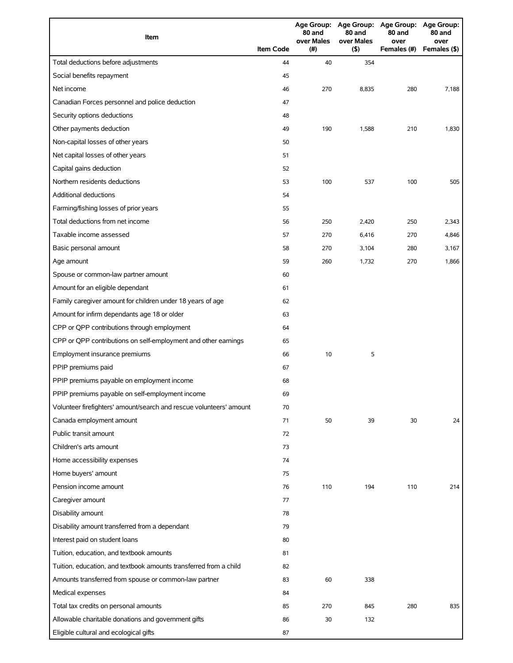| Item                                                                |                  | 80 and<br>over Males | 80 and<br>over Males | Age Group: Age Group: Age Group: Age Group:<br>80 and<br>over | 80 and<br>over |
|---------------------------------------------------------------------|------------------|----------------------|----------------------|---------------------------------------------------------------|----------------|
|                                                                     | <b>Item Code</b> | (# )                 | (5)                  | Females (#)                                                   | Females (\$)   |
| Total deductions before adjustments                                 | 44               | 40                   | 354                  |                                                               |                |
| Social benefits repayment                                           | 45               |                      |                      |                                                               |                |
| Net income                                                          | 46               | 270                  | 8,835                | 280                                                           | 7,188          |
| Canadian Forces personnel and police deduction                      | 47               |                      |                      |                                                               |                |
| Security options deductions                                         | 48               |                      |                      |                                                               |                |
| Other payments deduction                                            | 49               | 190                  | 1,588                | 210                                                           | 1,830          |
| Non-capital losses of other years                                   | 50               |                      |                      |                                                               |                |
| Net capital losses of other years                                   | 51               |                      |                      |                                                               |                |
| Capital gains deduction                                             | 52               |                      |                      |                                                               |                |
| Northern residents deductions                                       | 53               | 100                  | 537                  | 100                                                           | 505            |
| Additional deductions                                               | 54               |                      |                      |                                                               |                |
| Farming/fishing losses of prior years                               | 55               |                      |                      |                                                               |                |
| Total deductions from net income                                    | 56               | 250                  | 2,420                | 250                                                           | 2,343          |
| Taxable income assessed                                             | 57               | 270                  | 6,416                | 270                                                           | 4,846          |
| Basic personal amount                                               | 58               | 270                  | 3,104                | 280                                                           | 3,167          |
| Age amount                                                          | 59               | 260                  | 1,732                | 270                                                           | 1,866          |
| Spouse or common-law partner amount                                 | 60               |                      |                      |                                                               |                |
| Amount for an eligible dependant                                    | 61               |                      |                      |                                                               |                |
| Family caregiver amount for children under 18 years of age          | 62               |                      |                      |                                                               |                |
| Amount for infirm dependants age 18 or older                        | 63               |                      |                      |                                                               |                |
| CPP or QPP contributions through employment                         | 64               |                      |                      |                                                               |                |
| CPP or QPP contributions on self-employment and other earnings      | 65               |                      |                      |                                                               |                |
| Employment insurance premiums                                       | 66               | 10                   | 5                    |                                                               |                |
| PPIP premiums paid                                                  | 67               |                      |                      |                                                               |                |
| PPIP premiums payable on employment income                          | 68               |                      |                      |                                                               |                |
| PPIP premiums payable on self-employment income                     | 69               |                      |                      |                                                               |                |
| Volunteer firefighters' amount/search and rescue volunteers' amount | 70               |                      |                      |                                                               |                |
| Canada employment amount                                            | 71               | 50                   | 39                   | 30                                                            | 24             |
| Public transit amount                                               | 72               |                      |                      |                                                               |                |
| Children's arts amount                                              | 73               |                      |                      |                                                               |                |
| Home accessibility expenses                                         | 74               |                      |                      |                                                               |                |
| Home buyers' amount                                                 | 75               |                      |                      |                                                               |                |
| Pension income amount                                               | 76               | 110                  | 194                  | 110                                                           | 214            |
| Caregiver amount                                                    | 77               |                      |                      |                                                               |                |
| Disability amount                                                   | 78               |                      |                      |                                                               |                |
| Disability amount transferred from a dependant                      | 79               |                      |                      |                                                               |                |
| Interest paid on student loans                                      | 80               |                      |                      |                                                               |                |
| Tuition, education, and textbook amounts                            | 81               |                      |                      |                                                               |                |
| Tuition, education, and textbook amounts transferred from a child   | 82               |                      |                      |                                                               |                |
| Amounts transferred from spouse or common-law partner               | 83               | 60                   | 338                  |                                                               |                |
| Medical expenses                                                    | 84               |                      |                      |                                                               |                |
| Total tax credits on personal amounts                               | 85               | 270                  | 845                  | 280                                                           | 835            |
| Allowable charitable donations and government gifts                 | 86               | 30                   | 132                  |                                                               |                |
| Eligible cultural and ecological gifts                              | 87               |                      |                      |                                                               |                |